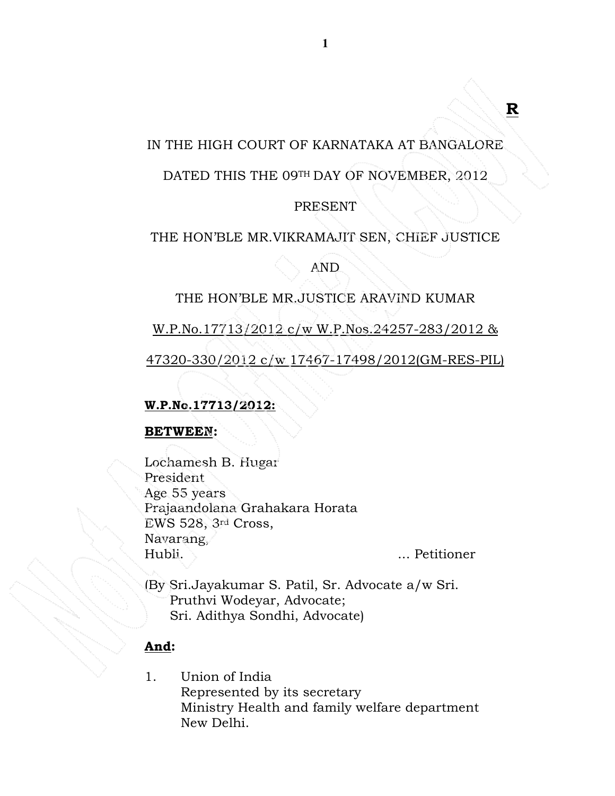# IN THE HIGH COURT OF KARNATAKA AT BANGALORE

## DATED THIS THE 09TH DAY OF NOVEMBER, 2012

## PRESENT

## THE HON'BLE MR.VIKRAMAJIT SEN, CHIEF JUSTICE

AND

## THE HON'BLE MR.JUSTICE ARAVIND KUMAR

W.P.No.17713/2012 c/w W.P.Nos.24257-283/2012 &

47320-330/2012 c/w 17467-17498/2012(GM-RES-PIL)

## W.P.No.17713/2012:

### BETWEEN:

Lochamesh B. Hugar President Age 55 years Prajaandolana Grahakara Horata EWS 528, 3rd Cross, Navarang, Hubli. ... Petitioner

R

(By Sri.Jayakumar S. Patil, Sr. Advocate a/w Sri. Pruthvi Wodeyar, Advocate; Sri. Adithya Sondhi, Advocate)

### And:

1. Union of India Represented by its secretary Ministry Health and family welfare department New Delhi.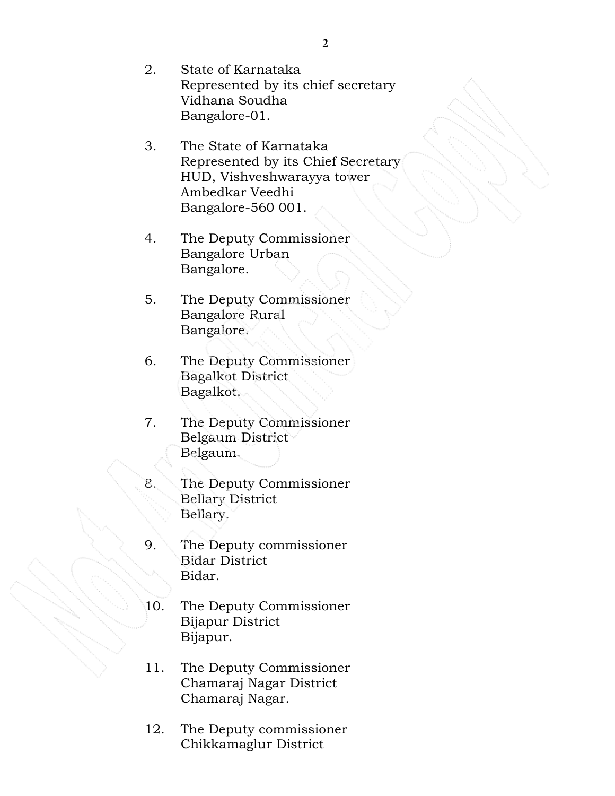- 2. State of Karnataka Represented by its chief secretary Vidhana Soudha Bangalore-01.
- 3. The State of Karnataka Represented by its Chief Secretary HUD, Vishveshwarayya tower Ambedkar Veedhi Bangalore-560 001.
- 4. The Deputy Commissioner Bangalore Urban Bangalore.
- 5. The Deputy Commissioner Bangalore Rural Bangalore.
- 6. The Deputy Commissioner Bagalkot District Bagalkot.
- 7. The Deputy Commissioner Belgaum District Belgaum.
- 8. The Deputy Commissioner Bellary District Bellary.
- 9. The Deputy commissioner Bidar District Bidar.
- 10. The Deputy Commissioner Bijapur District Bijapur.
- 11. The Deputy Commissioner Chamaraj Nagar District Chamaraj Nagar.
- 12. The Deputy commissioner Chikkamaglur District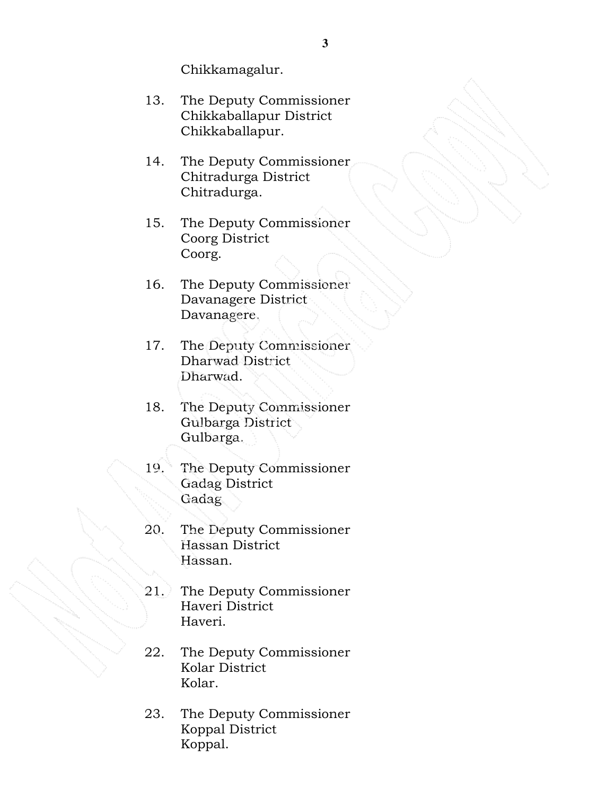Chikkamagalur.

- 13. The Deputy Commissioner Chikkaballapur District Chikkaballapur.
- 14. The Deputy Commissioner Chitradurga District Chitradurga.
- 15. The Deputy Commissioner Coorg District Coorg.
- 16. The Deputy Commissioner Davanagere District Davanagere.
- 17. The Deputy Commissioner Dharwad District Dharwad.
- 18. The Deputy Commissioner Gulbarga District Gulbarga.
- 19. The Deputy Commissioner Gadag District Gadag.
- 20. The Deputy Commissioner Hassan District Hassan.
- 21. The Deputy Commissioner Haveri District Haveri.
- 22. The Deputy Commissioner Kolar District Kolar.
- 23. The Deputy Commissioner Koppal District Koppal.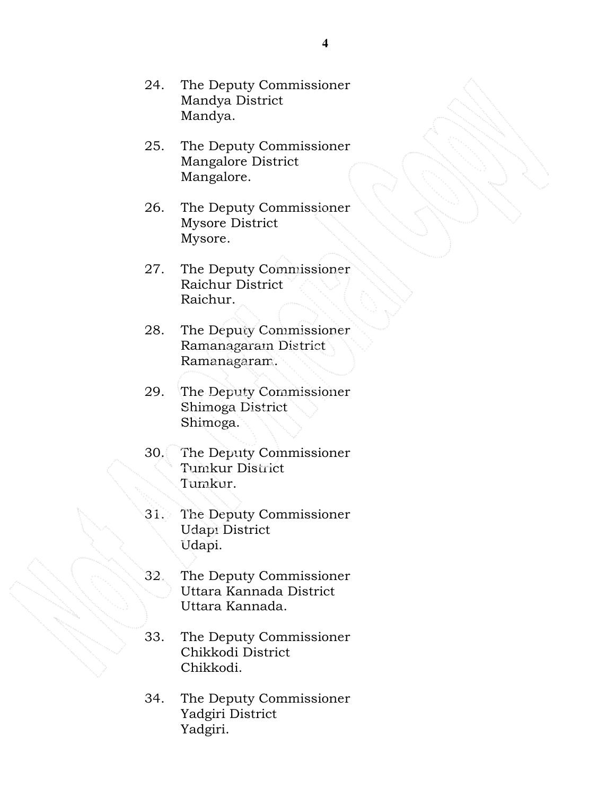- 24. The Deputy Commissioner Mandya District Mandya.
- 25. The Deputy Commissioner Mangalore District Mangalore.
- 26. The Deputy Commissioner Mysore District Mysore.
- 27. The Deputy Commissioner Raichur District Raichur.
- 28. The Deputy Commissioner Ramanagaram District Ramanagaram.
- 29. The Deputy Commissioner Shimoga District Shimoga.
- 30. The Deputy Commissioner Tumkur District Tumkur.
- 31. The Deputy Commissioner Udapi District Udapi.
- 32. The Deputy Commissioner Uttara Kannada District Uttara Kannada.
- 33. The Deputy Commissioner Chikkodi District Chikkodi.
- 34. The Deputy Commissioner Yadgiri District Yadgiri.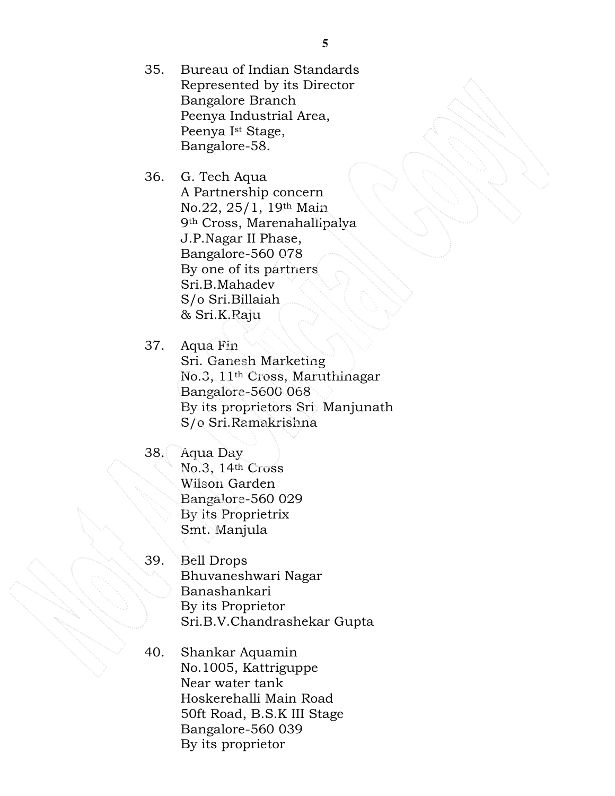35. Bureau of Indian Standards Represented by its Director Bangalore Branch Peenya Industrial Area, Peenya Ist Stage, Bangalore-58.

36. G. Tech Aqua A Partnership concern No.22, 25/1, 19th Main 9th Cross, Marenahallipalya J.P.Nagar II Phase, Bangalore-560 078 By one of its partners Sri.B.Mahadev S/o Sri.Billaiah & Sri.K.Raju

37. Aqua Fin Sri. Ganesh Marketing No.3, 11th Cross, Maruthinagar Bangalore-5600 068 By its proprietors Sri. Manjunath S/o Sri.Ramakrishna

- 38. Aqua Day No.3, 14th Cross Wilson Garden Bangalore-560 029 By its Proprietrix Smt. Manjula
- 39. Bell Drops Bhuvaneshwari Nagar Banashankari By its Proprietor Sri.B.V.Chandrashekar Gupta
- 40. Shankar Aquamin No.1005, Kattriguppe Near water tank Hoskerehalli Main Road 50ft Road, B.S.K III Stage Bangalore-560 039 By its proprietor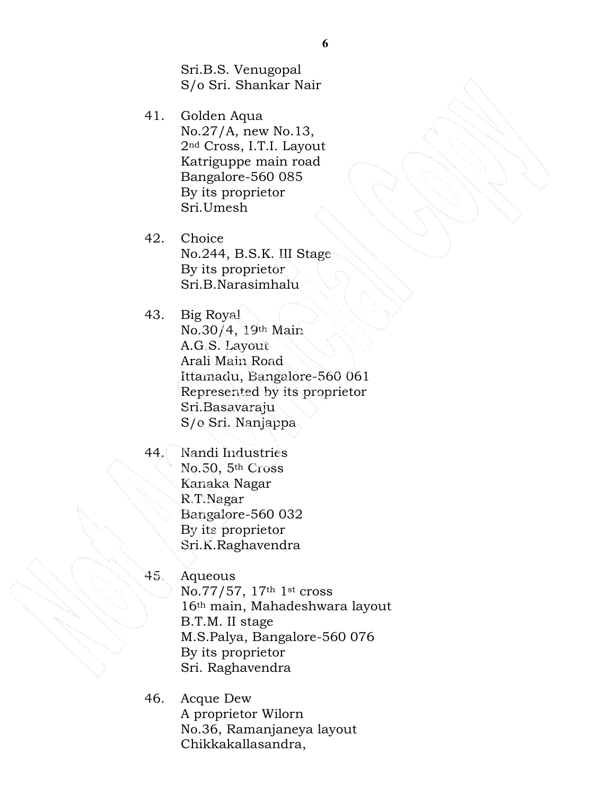Sri.B.S. Venugopal S/o Sri. Shankar Nair

41. Golden Aqua No.27/A, new No.13, 2nd Cross, I.T.I. Layout Katriguppe main road Bangalore-560 085 By its proprietor Sri.Umesh

42. Choice No.244, B.S.K. III Stage By its proprietor Sri.B.Narasimhalu

- 43. Big Royal No.30/4, 19th Main A.G.S. Layout Arali Main Road Ittamadu, Bangalore-560 061 Represented by its proprietor Sri.Basavaraju S/o Sri. Nanjappa
- 44. Nandi Industries No.50, 5th Cross Kanaka Nagar R.T.Nagar Bangalore-560 032 By its proprietor Sri.K.Raghavendra
- 45. Aqueous No.77/57, 17th 1st cross 16th main, Mahadeshwara layout B.T.M. II stage M.S.Palya, Bangalore-560 076 By its proprietor Sri. Raghavendra
- 46. Acque Dew A proprietor Wilorn No.36, Ramanjaneya layout Chikkakallasandra,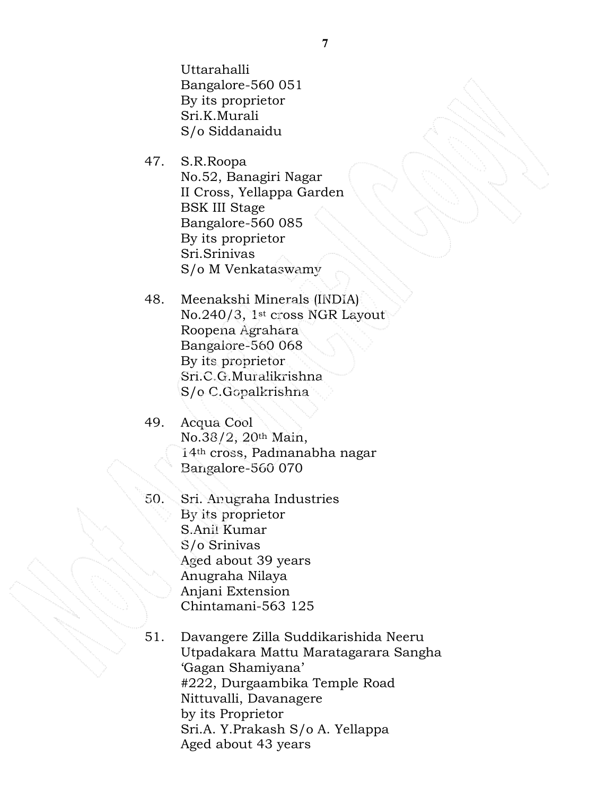Uttarahalli Bangalore-560 051 By its proprietor Sri.K.Murali S/o Siddanaidu

- 47. S.R.Roopa No.52, Banagiri Nagar II Cross, Yellappa Garden BSK III Stage Bangalore-560 085 By its proprietor Sri.Srinivas S/o M Venkataswamy
- 48. Meenakshi Minerals (INDIA) No.240/3, 1st cross NGR Layout Roopena Agrahara Bangalore-560 068 By its proprietor Sri.C.G.Muralikrishna S/o C.Gopalkrishna

49. Acqua Cool No.38/2, 20th Main, 14th cross, Padmanabha nagar Bangalore-560 070

- 50. Sri. Anugraha Industries By its proprietor S.Anil Kumar S/o Srinivas Aged about 39 years Anugraha Nilaya Anjani Extension Chintamani-563 125
- 51. Davangere Zilla Suddikarishida Neeru Utpadakara Mattu Maratagarara Sangha 'Gagan Shamiyana' #222, Durgaambika Temple Road Nittuvalli, Davanagere by its Proprietor Sri.A. Y.Prakash S/o A. Yellappa Aged about 43 years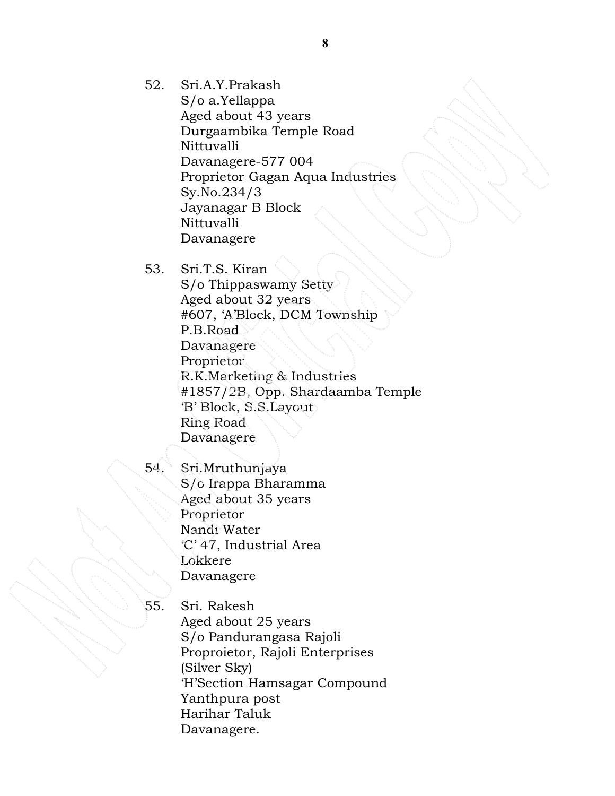52. Sri.A.Y.Prakash

S/o a.Yellappa Aged about 43 years Durgaambika Temple Road Nittuvalli Davanagere-577 004 Proprietor Gagan Aqua Industries Sy.No.234/3 Jayanagar B Block Nittuvalli Davanagere

53. Sri.T.S. Kiran S/o Thippaswamy Setty Aged about 32 years #607, 'A'Block, DCM Township P.B.Road Davanagere Proprietor R.K.Marketing & Industries #1857/2B, Opp. Shardaamba Temple 'B' Block, S.S.Layout Ring Road Davanagere

54. Sri.Mruthunjaya S/o Irappa Bharamma Aged about 35 years Proprietor Nandi Water 'C' 47, Industrial Area Lokkere Davanagere

55. Sri. Rakesh Aged about 25 years S/o Pandurangasa Rajoli Proproietor, Rajoli Enterprises (Silver Sky) 'H'Section Hamsagar Compound Yanthpura post Harihar Taluk Davanagere.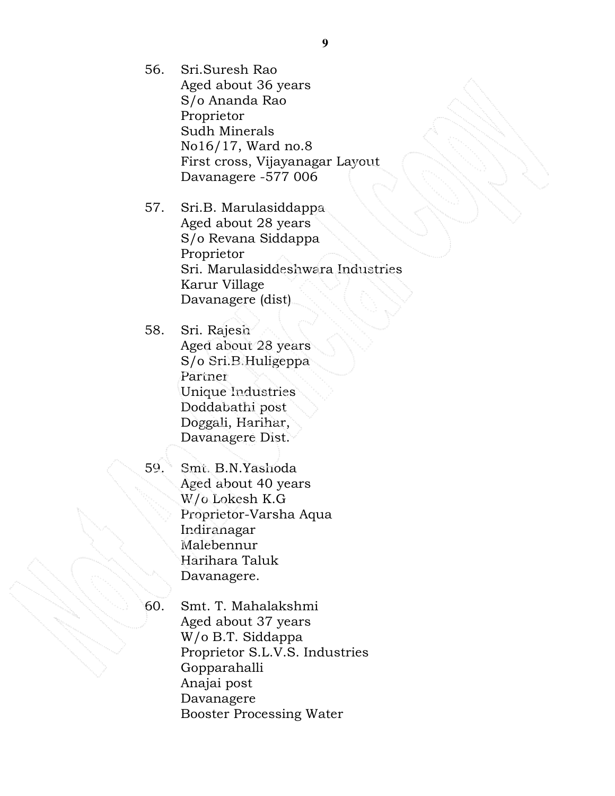- 56. Sri.Suresh Rao Aged about 36 years S/o Ananda Rao Proprietor Sudh Minerals No16/17, Ward no.8 First cross, Vijayanagar Layout Davanagere -577 006
- 57. Sri.B. Marulasiddappa Aged about 28 years S/o Revana Siddappa Proprietor Sri. Marulasiddeshwara Industries Karur Village Davanagere (dist)
- 58. Sri. Rajesh Aged about 28 years S/o Sri.B.Huligeppa Partner Unique Industries Doddabathi post Doggali, Harihar, Davanagere Dist.
- 

59. Smt. B.N.Yashoda Aged about 40 years W/o Lokesh K.G Proprietor-Varsha Aqua Indiranagar Malebennur Harihara Taluk Davanagere.

60. Smt. T. Mahalakshmi Aged about 37 years W/o B.T. Siddappa Proprietor S.L.V.S. Industries Gopparahalli Anajai post Davanagere Booster Processing Water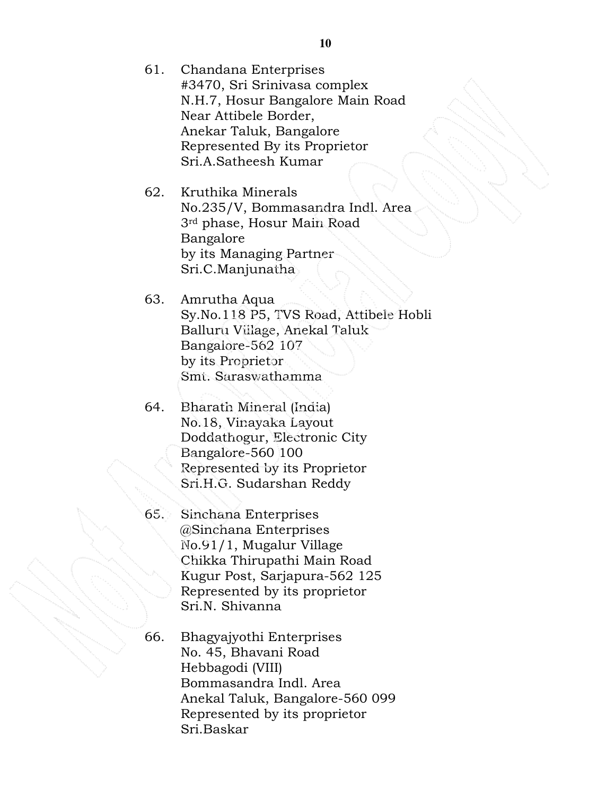- 61. Chandana Enterprises #3470, Sri Srinivasa complex N.H.7, Hosur Bangalore Main Road Near Attibele Border, Anekar Taluk, Bangalore Represented By its Proprietor Sri.A.Satheesh Kumar
- 62. Kruthika Minerals No.235/V, Bommasandra Indl. Area 3rd phase, Hosur Main Road Bangalore by its Managing Partner Sri.C.Manjunatha
- 63. Amrutha Aqua Sy.No.118 P5, TVS Road, Attibele Hobli Balluru Village, Anekal Taluk Bangalore-562 107 by its Proprietor Smt. Saraswathamma
- 64. Bharath Mineral (India) No.18, Vinayaka Layout Doddathogur, Electronic City Bangalore-560 100 Represented by its Proprietor Sri.H.G. Sudarshan Reddy
- 65. Sinchana Enterprises @Sinchana Enterprises No.91/1, Mugalur Village Chikka Thirupathi Main Road Kugur Post, Sarjapura-562 125 Represented by its proprietor Sri.N. Shivanna
- 66. Bhagyajyothi Enterprises No. 45, Bhavani Road Hebbagodi (VIII) Bommasandra Indl. Area Anekal Taluk, Bangalore-560 099 Represented by its proprietor Sri.Baskar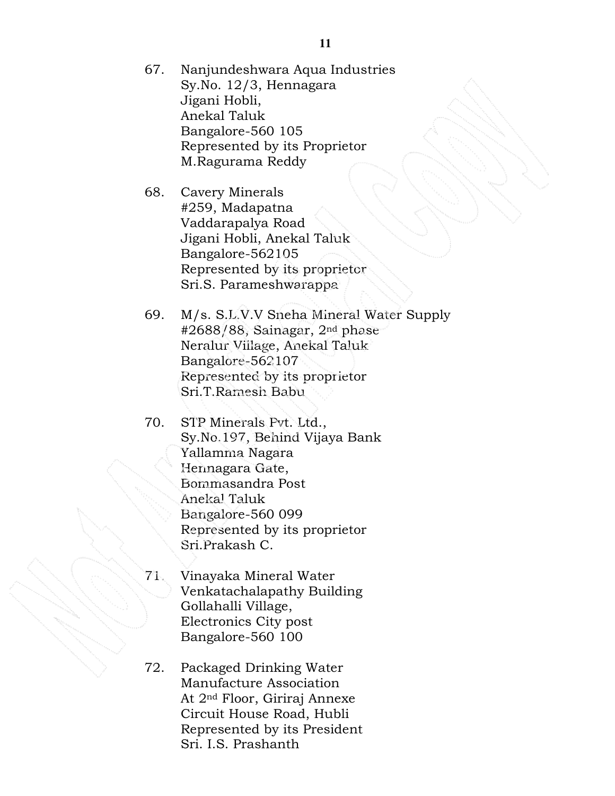- 67. Nanjundeshwara Aqua Industries Sy.No. 12/3, Hennagara Jigani Hobli, Anekal Taluk Bangalore-560 105 Represented by its Proprietor M.Ragurama Reddy
- 68. Cavery Minerals #259, Madapatna Vaddarapalya Road Jigani Hobli, Anekal Taluk Bangalore-562105 Represented by its proprietor Sri.S. Parameshwarappa
- 69. M/s. S.L.V.V Sneha Mineral Water Supply #2688/88, Sainagar, 2nd phase Neralur Village, Anekal Taluk Bangalore-562107 Represented by its proprietor Sri.T.Ramesh Babu
- 70. STP Minerals Pvt. Ltd., Sy.No.197, Behind Vijaya Bank Yallamma Nagara Hennagara Gate, Bommasandra Post Anekal Taluk Bangalore-560 099 Represented by its proprietor Sri.Prakash C.
- 71. Vinayaka Mineral Water Venkatachalapathy Building Gollahalli Village, Electronics City post Bangalore-560 100
- 72. Packaged Drinking Water Manufacture Association At 2nd Floor, Giriraj Annexe Circuit House Road, Hubli Represented by its President Sri. I.S. Prashanth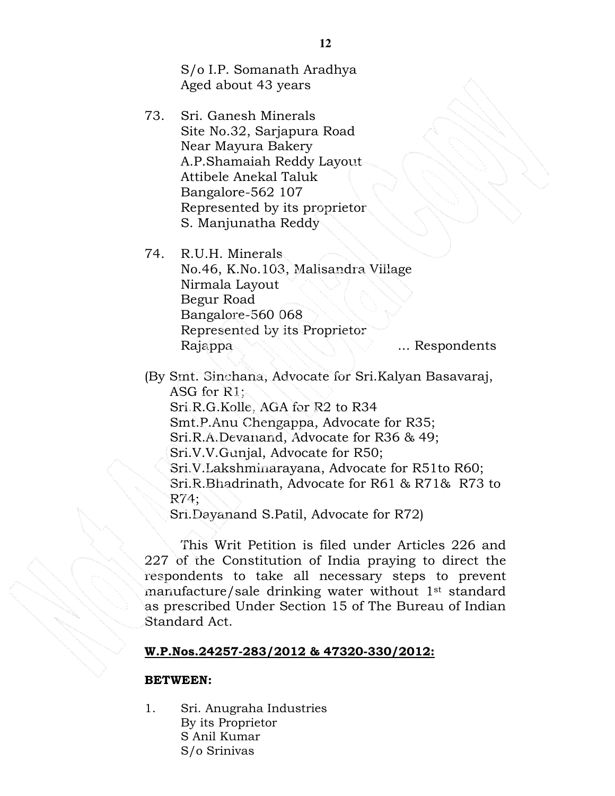S/o I.P. Somanath Aradhya Aged about 43 years

73. Sri. Ganesh Minerals Site No.32, Sarjapura Road Near Mayura Bakery A.P.Shamaiah Reddy Layout Attibele Anekal Taluk Bangalore-562 107 Represented by its proprietor S. Manjunatha Reddy

74. R.U.H. Minerals No.46, K.No.103, Malisandra Village Nirmala Layout Begur Road Bangalore-560 068 Represented by its Proprietor Rajappa ... Respondents

(By Smt. Sinchana, Advocate for Sri.Kalyan Basavaraj, ASG for R1; Sri.R.G.Kolle, AGA for R2 to R34 Smt.P.Anu Chengappa, Advocate for R35; Sri.R.A.Devanand, Advocate for R36 & 49; Sri.V.V.Gunjal, Advocate for R50; Sri.V.Lakshminarayana, Advocate for R51to R60; Sri.R.Bhadrinath, Advocate for R61 & R71& R73 to R74;

Sri.Dayanand S.Patil, Advocate for R72)

This Writ Petition is filed under Articles 226 and 227 of the Constitution of India praying to direct the respondents to take all necessary steps to prevent manufacture/sale drinking water without 1st standard as prescribed Under Section 15 of The Bureau of Indian Standard Act.

#### W.P.Nos.24257-283/2012 & 47320-330/2012:

#### BETWEEN:

1. Sri. Anugraha Industries By its Proprietor S Anil Kumar S/o Srinivas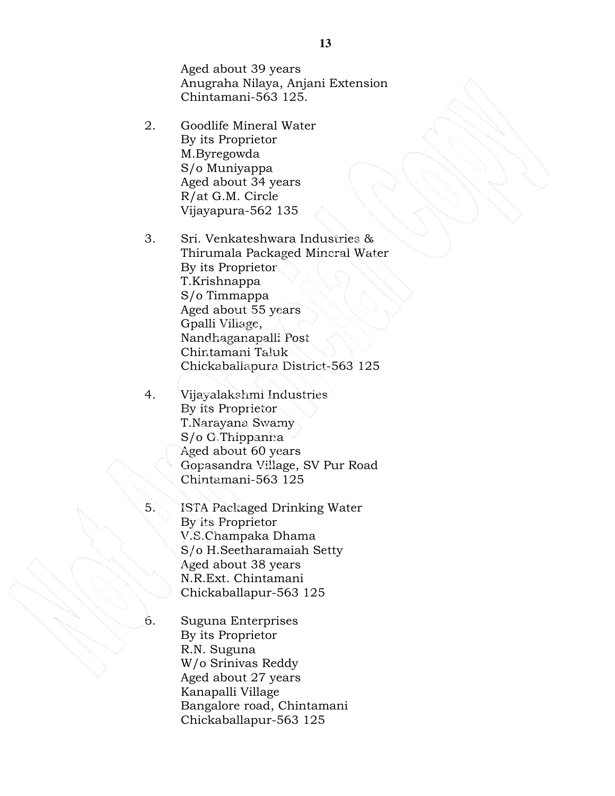Aged about 39 years Anugraha Nilaya, Anjani Extension Chintamani-563 125.

- 2. Goodlife Mineral Water By its Proprietor M.Byregowda S/o Muniyappa Aged about 34 years R/at G.M. Circle Vijayapura-562 135
- 3. Sri. Venkateshwara Industries & Thirumala Packaged Mineral Water By its Proprietor T.Krishnappa S/o Timmappa Aged about 55 years Gpalli Village, Nandhaganapalli Post Chintamani Taluk Chickaballapura District-563 125
- 4. Vijayalakshmi Industries By its Proprietor T.Narayana Swamy S/o G.Thippanna Aged about 60 years Gopasandra Village, SV Pur Road Chintamani-563 125
- 5. ISTA Packaged Drinking Water By its Proprietor V.S.Champaka Dhama S/o H.Seetharamaiah Setty Aged about 38 years N.R.Ext. Chintamani Chickaballapur-563 125
- 6. Suguna Enterprises By its Proprietor R.N. Suguna W/o Srinivas Reddy Aged about 27 years Kanapalli Village Bangalore road, Chintamani Chickaballapur-563 125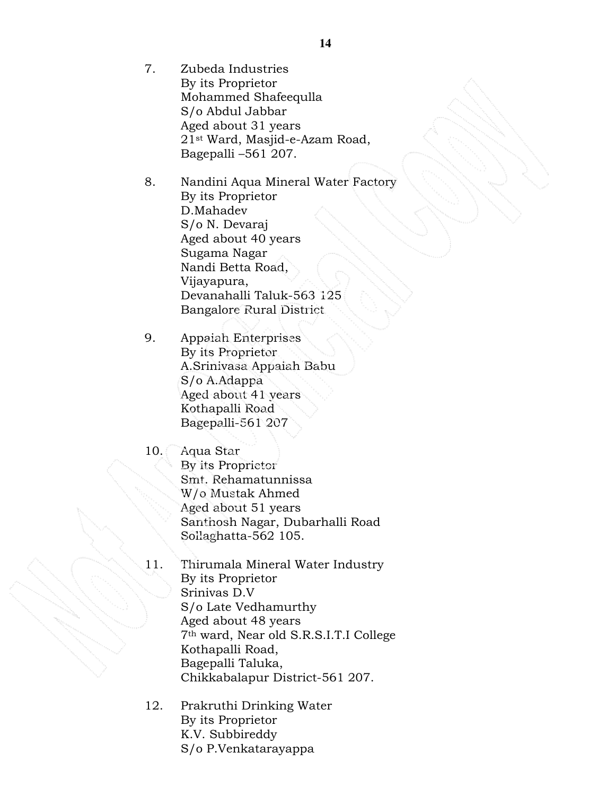- 7. Zubeda Industries By its Proprietor Mohammed Shafeequlla S/o Abdul Jabbar Aged about 31 years 21st Ward, Masjid-e-Azam Road, Bagepalli –561 207.
- 8. Nandini Aqua Mineral Water Factory By its Proprietor D.Mahadev S/o N. Devaraj Aged about 40 years Sugama Nagar Nandi Betta Road, Vijayapura, Devanahalli Taluk-563 125 Bangalore Rural District
- 9. Appaiah Enterprises By its Proprietor A.Srinivasa Appaiah Babu S/o A.Adappa Aged about 41 years Kothapalli Road Bagepalli-561 207
- 10. Aqua Star By its Proprietor Smt. Rehamatunnissa W/o Mustak Ahmed Aged about 51 years Santhosh Nagar, Dubarhalli Road Sollaghatta-562 105.
- 11. Thirumala Mineral Water Industry By its Proprietor Srinivas D.V S/o Late Vedhamurthy Aged about 48 years 7th ward, Near old S.R.S.I.T.I College Kothapalli Road, Bagepalli Taluka, Chikkabalapur District-561 207.
- 12. Prakruthi Drinking Water By its Proprietor K.V. Subbireddy S/o P.Venkatarayappa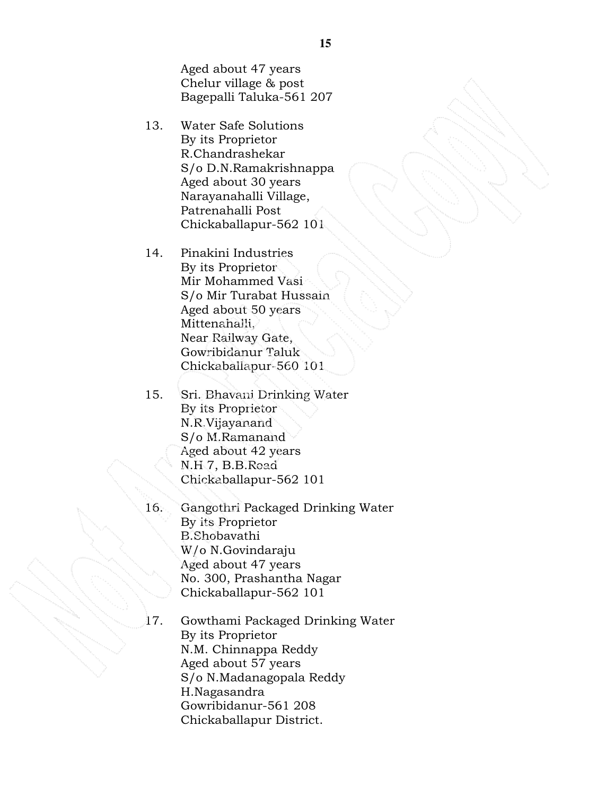Aged about 47 years Chelur village & post Bagepalli Taluka-561 207

- 13. Water Safe Solutions By its Proprietor R.Chandrashekar S/o D.N.Ramakrishnappa Aged about 30 years Narayanahalli Village, Patrenahalli Post Chickaballapur-562 101
- 14. Pinakini Industries By its Proprietor Mir Mohammed Vasi S/o Mir Turabat Hussain Aged about 50 years Mittenahalli, Near Railway Gate, Gowribidanur Taluk Chickaballapur-560 101
- 15. Sri. Bhavani Drinking Water By its Proprietor N.R.Vijayanand S/o M.Ramanand Aged about 42 years N.H 7, B.B.Road Chickaballapur-562 101
- 16. Gangothri Packaged Drinking Water By its Proprietor B.Shobavathi W/o N.Govindaraju Aged about 47 years No. 300, Prashantha Nagar Chickaballapur-562 101
- 17. Gowthami Packaged Drinking Water By its Proprietor N.M. Chinnappa Reddy Aged about 57 years S/o N.Madanagopala Reddy H.Nagasandra Gowribidanur-561 208 Chickaballapur District.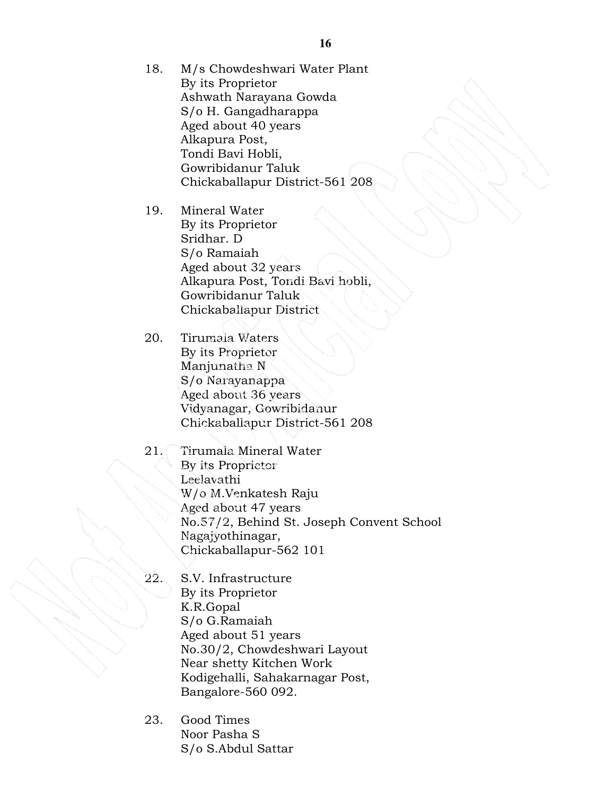18. M/s Chowdeshwari Water Plant By its Proprietor Ashwath Narayana Gowda S/o H. Gangadharappa Aged about 40 years Alkapura Post, Tondi Bavi Hobli, Gowribidanur Taluk Chickaballapur District-561 208

19. Mineral Water By its Proprietor Sridhar. D S/o Ramaiah Aged about 32 years Alkapura Post, Tondi Bavi hobli, Gowribidanur Taluk Chickaballapur District

20. Tirumala Waters By its Proprietor Manjunatha N S/o Narayanappa Aged about 36 years Vidyanagar, Gowribidanur Chickaballapur District-561 208

- 21. Tirumala Mineral Water By its Proprietor Leelavathi W/o M.Venkatesh Raju Aged about 47 years No.57/2, Behind St. Joseph Convent School Nagajyothinagar, Chickaballapur-562 101
- 22. S.V. Infrastructure By its Proprietor K.R.Gopal S/o G.Ramaiah Aged about 51 years No.30/2, Chowdeshwari Layout Near shetty Kitchen Work Kodigehalli, Sahakarnagar Post, Bangalore-560 092.
- 23. Good Times Noor Pasha S S/o S.Abdul Sattar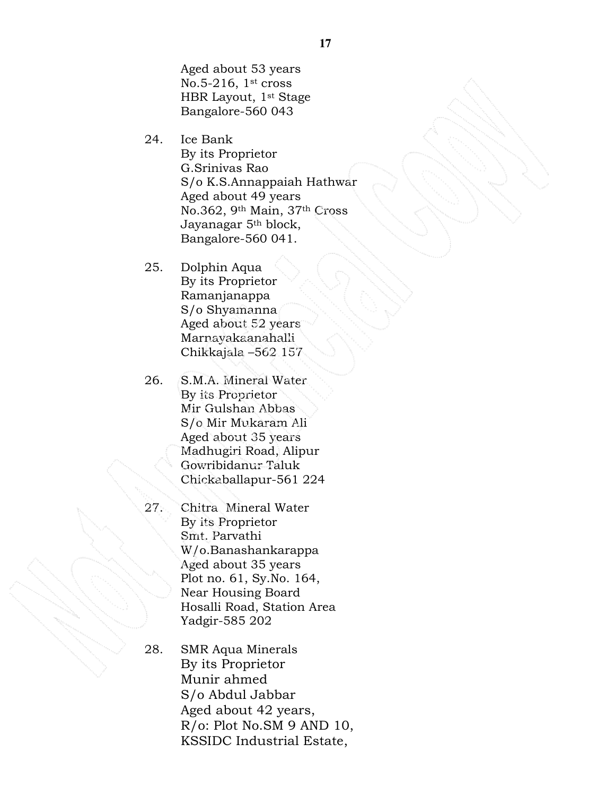Aged about 53 years No.5-216,  $1<sup>st</sup>$  cross HBR Layout, 1st Stage Bangalore-560 043

- 24. Ice Bank By its Proprietor G.Srinivas Rao S/o K.S.Annappaiah Hathwar Aged about 49 years No.362, 9th Main, 37th Cross Jayanagar 5th block, Bangalore-560 041.
- 25. Dolphin Aqua By its Proprietor Ramanjanappa S/o Shyamanna Aged about 52 years Marnayakaanahalli Chikkajala –562 157
- 26. S.M.A. Mineral Water By its Proprietor Mir Gulshan Abbas S/o Mir Mukaram Ali Aged about 35 years Madhugiri Road, Alipur Gowribidanur Taluk Chickaballapur-561 224
- 27. Chitra Mineral Water By its Proprietor Smt. Parvathi W/o.Banashankarappa Aged about 35 years Plot no. 61, Sy.No. 164, Near Housing Board Hosalli Road, Station Area Yadgir-585 202
- 28. SMR Aqua Minerals By its Proprietor Munir ahmed S/o Abdul Jabbar Aged about 42 years, R/o: Plot No.SM 9 AND 10, KSSIDC Industrial Estate,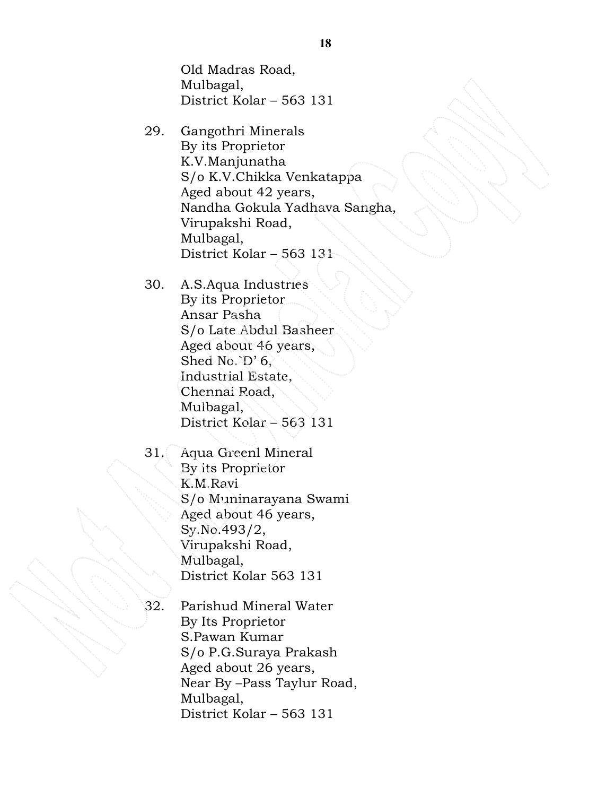Old Madras Road, Mulbagal, District Kolar – 563 131

- 29. Gangothri Minerals By its Proprietor K.V.Manjunatha S/o K.V.Chikka Venkatappa Aged about 42 years, Nandha Gokula Yadhava Sangha, Virupakshi Road, Mulbagal, District Kolar – 563 131
- 30. A.S.Aqua Industries By its Proprietor Ansar Pasha S/o Late Abdul Basheer Aged about 46 years, Shed No.<sup>3</sup>D' 6, Industrial Estate, Chennai Road, Mulbagal, District Kolar – 563 131
- 31. Aqua Greenl Mineral By its Proprietor K.M.Ravi S/o Muninarayana Swami Aged about 46 years, Sy.No.493/2, Virupakshi Road, Mulbagal, District Kolar 563 131
- 

32. Parishud Mineral Water By Its Proprietor S.Pawan Kumar S/o P.G.Suraya Prakash Aged about 26 years, Near By –Pass Taylur Road, Mulbagal, District Kolar – 563 131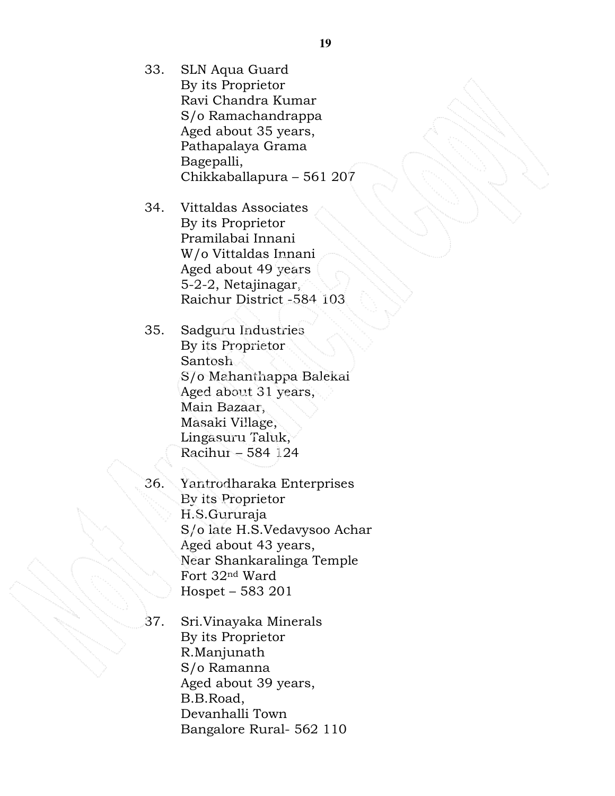- 33. SLN Aqua Guard By its Proprietor Ravi Chandra Kumar S/o Ramachandrappa Aged about 35 years, Pathapalaya Grama Bagepalli, Chikkaballapura – 561 207
- 34. Vittaldas Associates By its Proprietor Pramilabai Innani W/o Vittaldas Innani Aged about 49 years 5-2-2, Netajinagar, Raichur District -584 103
- 35. Sadguru Industries By its Proprietor Santosh S/o Mahanthappa Balekai Aged about 31 years, Main Bazaar, Masaki Village, Lingasuru Taluk, Racihur – 584 124
- 36. Yantrodharaka Enterprises By its Proprietor H.S.Gururaja S/o late H.S.Vedavysoo Achar Aged about 43 years, Near Shankaralinga Temple Fort 32nd Ward Hospet – 583 201
- 37. Sri.Vinayaka Minerals By its Proprietor R.Manjunath S/o Ramanna Aged about 39 years, B.B.Road, Devanhalli Town Bangalore Rural- 562 110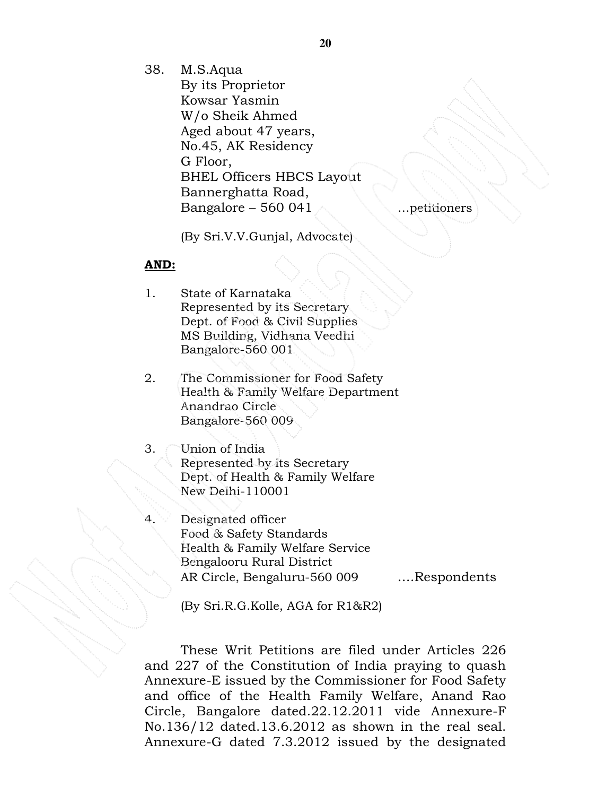38. M.S.Aqua

By its Proprietor Kowsar Yasmin W/o Sheik Ahmed Aged about 47 years, No.45, AK Residency G Floor, BHEL Officers HBCS Layout Bannerghatta Road, Bangalore – 560 041

(By Sri.V.V.Gunjal, Advocate)

#### AND:

- 1. State of Karnataka Represented by its Secretary Dept. of Food & Civil Supplies MS Building, Vidhana Veedhi Bangalore-560 001
- 2. The Commissioner for Food Safety Health & Family Welfare Department Anandrao Circle Bangalore-560 009

3. Union of India Represented by its Secretary Dept. of Health & Family Welfare New Delhi-110001

Designated officer Food & Safety Standards Health & Family Welfare Service Bengalooru Rural District AR Circle, Bengaluru-560 009 ....Respondents

(By Sri.R.G.Kolle, AGA for R1&R2)

These Writ Petitions are filed under Articles 226 and 227 of the Constitution of India praying to quash Annexure-E issued by the Commissioner for Food Safety and office of the Health Family Welfare, Anand Rao Circle, Bangalore dated.22.12.2011 vide Annexure-F No.136/12 dated.13.6.2012 as shown in the real seal. Annexure-G dated 7.3.2012 issued by the designated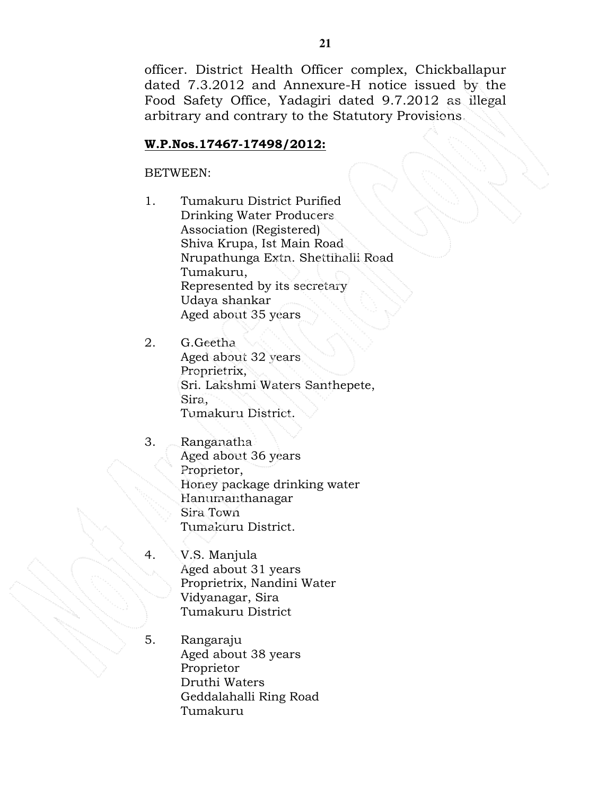officer. District Health Officer complex, Chickballapur dated 7.3.2012 and Annexure-H notice issued by the Food Safety Office, Yadagiri dated 9.7.2012 as illegal arbitrary and contrary to the Statutory Provisions.

## W.P.Nos.17467-17498/2012:

BETWEEN:

1. Tumakuru District Purified Drinking Water Producers Association (Registered) Shiva Krupa, Ist Main Road Nrupathunga Extn. Shettihalli Road Tumakuru, Represented by its secretary Udaya shankar Aged about 35 years

2. G.Geetha Aged about 32 years Proprietrix, Sri. Lakshmi Waters Santhepete, Sira, Tumakuru District.

- 3. Ranganatha Aged about 36 years Proprietor, Honey package drinking water Hanumanthanagar Sira Town Tumakuru District.
- 4. V.S. Manjula Aged about 31 years Proprietrix, Nandini Water Vidyanagar, Sira Tumakuru District
- 5. Rangaraju Aged about 38 years Proprietor Druthi Waters Geddalahalli Ring Road Tumakuru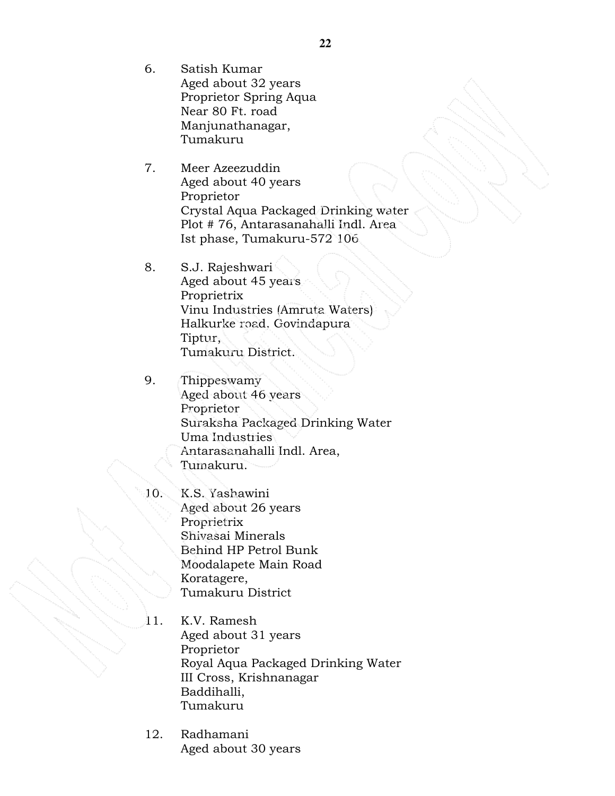- 6. Satish Kumar Aged about 32 years Proprietor Spring Aqua Near 80 Ft. road Manjunathanagar, Tumakuru
- 7. Meer Azeezuddin Aged about 40 years Proprietor Crystal Aqua Packaged Drinking water Plot # 76, Antarasanahalli Indl. Area Ist phase, Tumakuru-572 106
- 8. S.J. Rajeshwari Aged about 45 years Proprietrix Vinu Industries (Amruta Waters) Halkurke road, Govindapura Tiptur, Tumakuru District.
- 9. Thippeswamy Aged about 46 years Proprietor Suraksha Packaged Drinking Water Uma Industries Antarasanahalli Indl. Area, Tumakuru.
- 10. K.S. Yashawini Aged about 26 years Proprietrix Shivasai Minerals Behind HP Petrol Bunk Moodalapete Main Road Koratagere, Tumakuru District
- 11. K.V. Ramesh Aged about 31 years Proprietor Royal Aqua Packaged Drinking Water III Cross, Krishnanagar Baddihalli, Tumakuru
- 12. Radhamani Aged about 30 years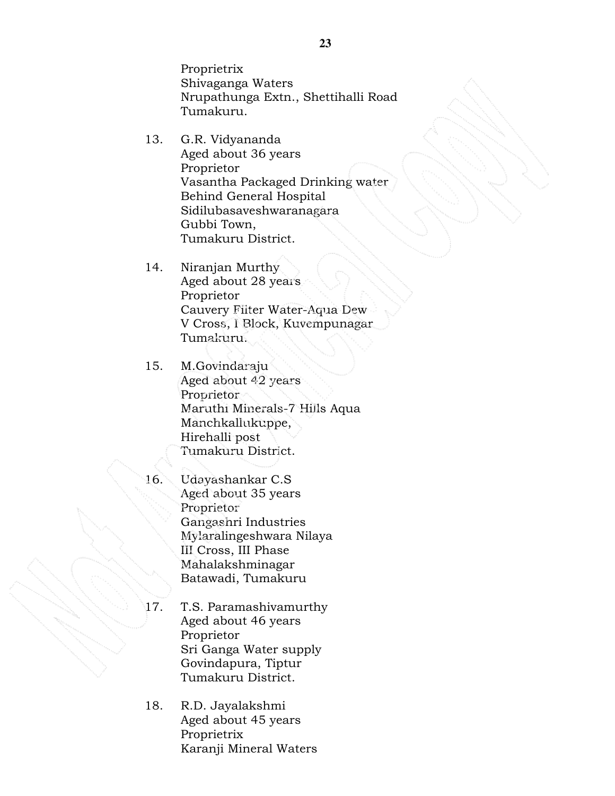Proprietrix Shivaganga Waters Nrupathunga Extn., Shettihalli Road Tumakuru.

- 13. G.R. Vidyananda Aged about 36 years Proprietor Vasantha Packaged Drinking water Behind General Hospital Sidilubasaveshwaranagara Gubbi Town, Tumakuru District.
- 14. Niranjan Murthy Aged about 28 years Proprietor Cauvery Filter Water-Aqua Dew V Cross, I Block, Kuvempunagar Tumakuru.
- 15. M.Govindaraju Aged about 42 years Proprietor Maruthi Minerals-7 Hills Aqua Manchkallukuppe, Hirehalli post Tumakuru District.
- 

16. Udayashankar C.S Aged about 35 years Proprietor Gangashri Industries Mylaralingeshwara Nilaya III Cross, III Phase Mahalakshminagar Batawadi, Tumakuru

- 17. T.S. Paramashivamurthy Aged about 46 years Proprietor Sri Ganga Water supply Govindapura, Tiptur Tumakuru District.
- 18. R.D. Jayalakshmi Aged about 45 years Proprietrix Karanji Mineral Waters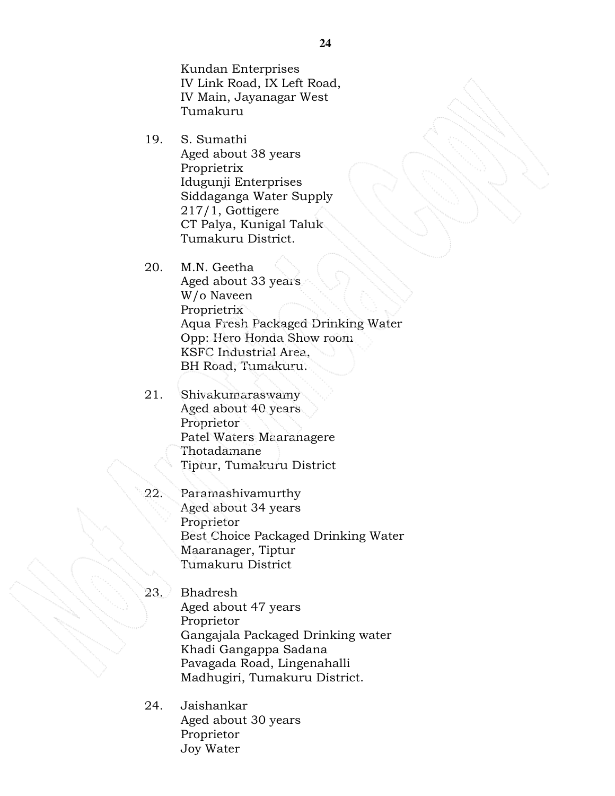Kundan Enterprises IV Link Road, IX Left Road, IV Main, Jayanagar West Tumakuru

- 19. S. Sumathi Aged about 38 years Proprietrix Idugunji Enterprises Siddaganga Water Supply 217/1, Gottigere CT Palya, Kunigal Taluk Tumakuru District.
- 20. M.N. Geetha Aged about 33 years W/o Naveen Proprietrix Aqua Fresh Packaged Drinking Water Opp: Hero Honda Show room KSFC Industrial Area, BH Road, Tumakuru.
- 21. Shivakumaraswamy Aged about 40 years Proprietor Patel Waters Maaranagere Thotadamane Tiptur, Tumakuru District
- 22. Paramashivamurthy Aged about 34 years Proprietor Best Choice Packaged Drinking Water Maaranager, Tiptur Tumakuru District
- 23. Bhadresh Aged about 47 years Proprietor Gangajala Packaged Drinking water Khadi Gangappa Sadana Pavagada Road, Lingenahalli Madhugiri, Tumakuru District.
- 24. Jaishankar Aged about 30 years Proprietor Joy Water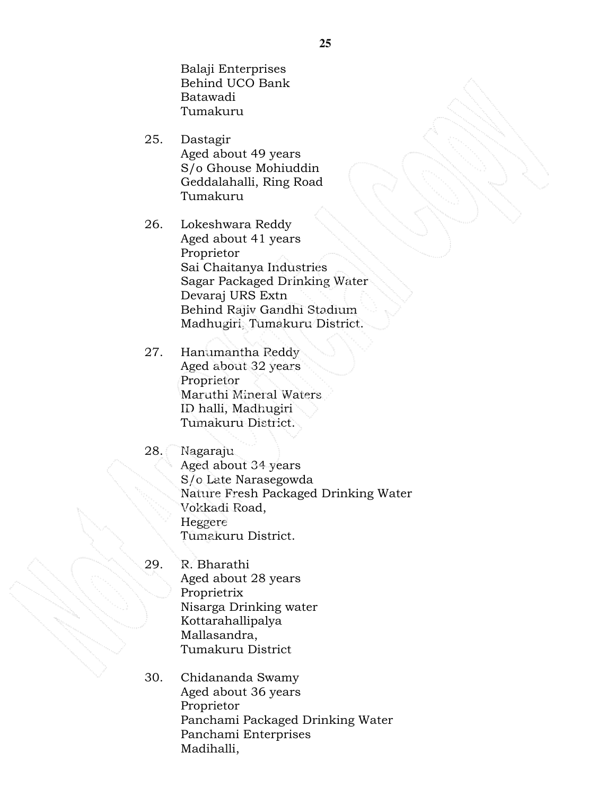Balaji Enterprises Behind UCO Bank Batawadi Tumakuru

- 25. Dastagir Aged about 49 years S/o Ghouse Mohiuddin Geddalahalli, Ring Road Tumakuru
- 26. Lokeshwara Reddy Aged about 41 years Proprietor Sai Chaitanya Industries Sagar Packaged Drinking Water Devaraj URS Extn Behind Rajiv Gandhi Stadium Madhugiri, Tumakuru District.
- 27. Hanumantha Reddy Aged about 32 years Proprietor Maruthi Mineral Waters ID halli, Madhugiri Tumakuru District.
- 28. Nagaraju Aged about 34 years S/o Late Narasegowda Nature Fresh Packaged Drinking Water Vokkadi Road, Heggere Tumakuru District.
- 29. R. Bharathi Aged about 28 years Proprietrix Nisarga Drinking water Kottarahallipalya Mallasandra, Tumakuru District
- 30. Chidananda Swamy Aged about 36 years Proprietor Panchami Packaged Drinking Water Panchami Enterprises Madihalli,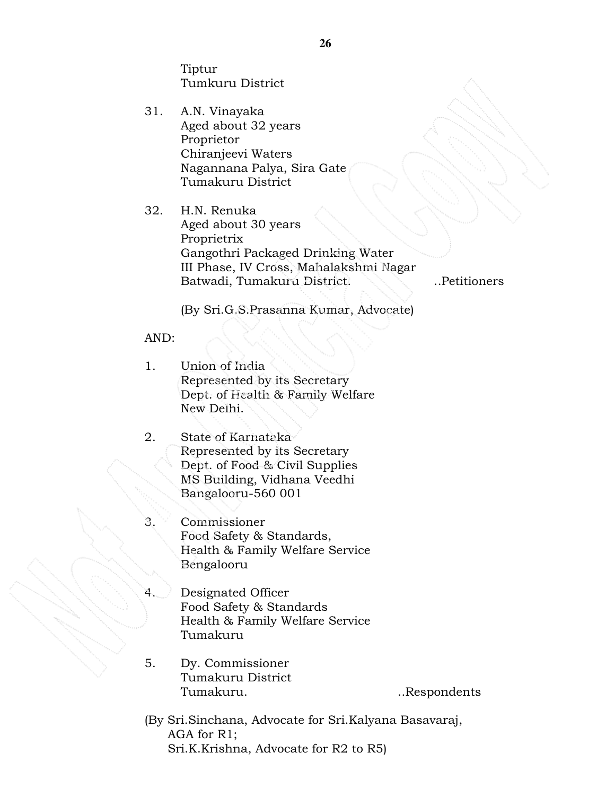Tiptur Tumkuru District

- 31. A.N. Vinayaka Aged about 32 years Proprietor Chiranjeevi Waters Nagannana Palya, Sira Gate Tumakuru District
- 32. H.N. Renuka Aged about 30 years Proprietrix Gangothri Packaged Drinking Water III Phase, IV Cross, Mahalakshmi Nagar Batwadi, Tumakuru District. ..Petitioners

(By Sri.G.S.Prasanna Kumar, Advocate)

#### AND:

- 1. Union of India Represented by its Secretary Dept. of Health & Family Welfare New Delhi.
- 2. State of Karnataka Represented by its Secretary Dept. of Food & Civil Supplies MS Building, Vidhana Veedhi Bangalooru-560 001
- 3. Commissioner Food Safety & Standards, Health & Family Welfare Service Bengalooru
- 4. Designated Officer Food Safety & Standards Health & Family Welfare Service Tumakuru
- 5. Dy. Commissioner Tumakuru District Tumakuru. ..Respondents

(By Sri.Sinchana, Advocate for Sri.Kalyana Basavaraj, AGA for R1; Sri.K.Krishna, Advocate for R2 to R5)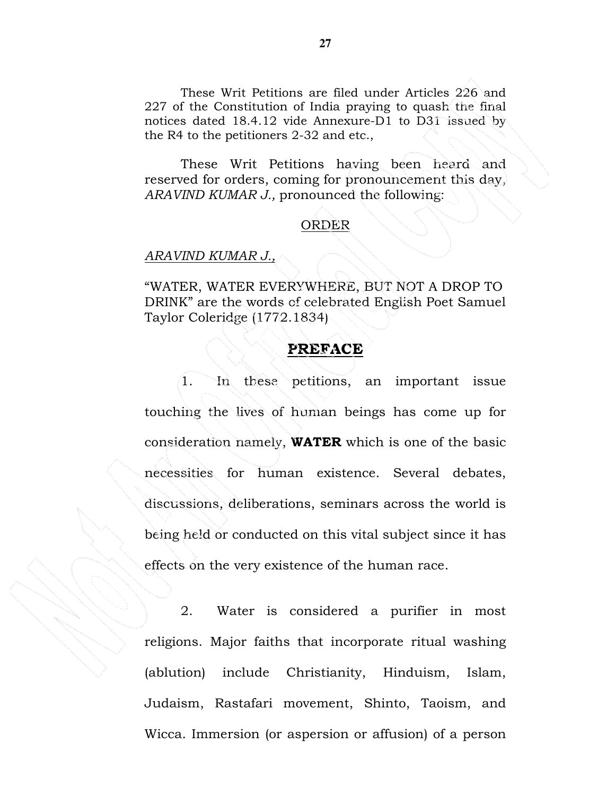These Writ Petitions are filed under Articles 226 and 227 of the Constitution of India praying to quash the final notices dated 18.4.12 vide Annexure-D1 to D31 issued by the R4 to the petitioners 2-32 and etc.,

 These Writ Petitions having been heard and reserved for orders, coming for pronouncement this day, ARAVIND KUMAR J., pronounced the following:

#### ORDER

#### ARAVIND KUMAR J.,

"WATER, WATER EVERYWHERE, BUT NOT A DROP TO DRINK" are the words of celebrated English Poet Samuel Taylor Coleridge (1772.1834)

#### PREFACE

 1. In these petitions, an important issue touching the lives of human beings has come up for consideration namely, WATER which is one of the basic necessities for human existence. Several debates, discussions, deliberations, seminars across the world is being held or conducted on this vital subject since it has effects on the very existence of the human race.

 2. Water is considered a purifier in most religions. Major faiths that incorporate ritual washing (ablution) include Christianity, Hinduism, Islam, Judaism, Rastafari movement, Shinto, Taoism, and Wicca. Immersion (or aspersion or affusion) of a person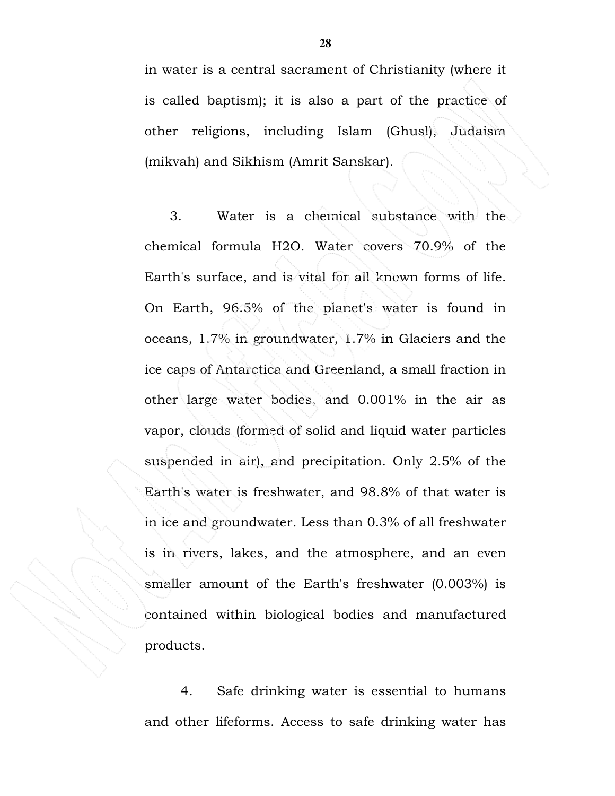in water is a central sacrament of Christianity (where it is called baptism); it is also a part of the practice of other religions, including Islam (Ghusl), Judaism (mikvah) and Sikhism (Amrit Sanskar).

 3. Water is a chemical substance with the chemical formula H2O. Water covers 70.9% of the Earth's surface, and is vital for all known forms of life. On Earth, 96.5% of the planet's water is found in oceans, 1.7% in groundwater, 1.7% in Glaciers and the ice caps of Antarctica and Greenland, a small fraction in other large water bodies, and 0.001% in the air as vapor, clouds (formed of solid and liquid water particles suspended in air), and precipitation. Only 2.5% of the Earth's water is freshwater, and 98.8% of that water is in ice and groundwater. Less than 0.3% of all freshwater is in rivers, lakes, and the atmosphere, and an even smaller amount of the Earth's freshwater (0.003%) is contained within biological bodies and manufactured products.

 4. Safe drinking water is essential to humans and other lifeforms. Access to safe drinking water has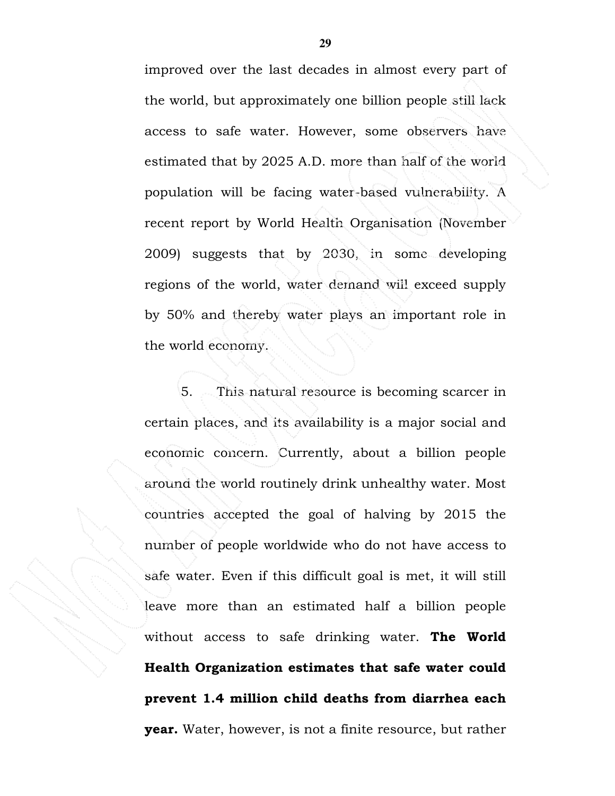improved over the last decades in almost every part of the world, but approximately one billion people still lack access to safe water. However, some observers have estimated that by 2025 A.D. more than half of the world population will be facing water-based vulnerability. A recent report by World Health Organisation (November 2009) suggests that by 2030, in some developing regions of the world, water demand will exceed supply by 50% and thereby water plays an important role in the world economy.

5. This natural resource is becoming scarcer in certain places, and its availability is a major social and economic concern. Currently, about a billion people around the world routinely drink unhealthy water. Most countries accepted the goal of halving by 2015 the number of people worldwide who do not have access to safe water. Even if this difficult goal is met, it will still leave more than an estimated half a billion people without access to safe drinking water. **The World** Health Organization estimates that safe water could prevent 1.4 million child deaths from diarrhea each year. Water, however, is not a finite resource, but rather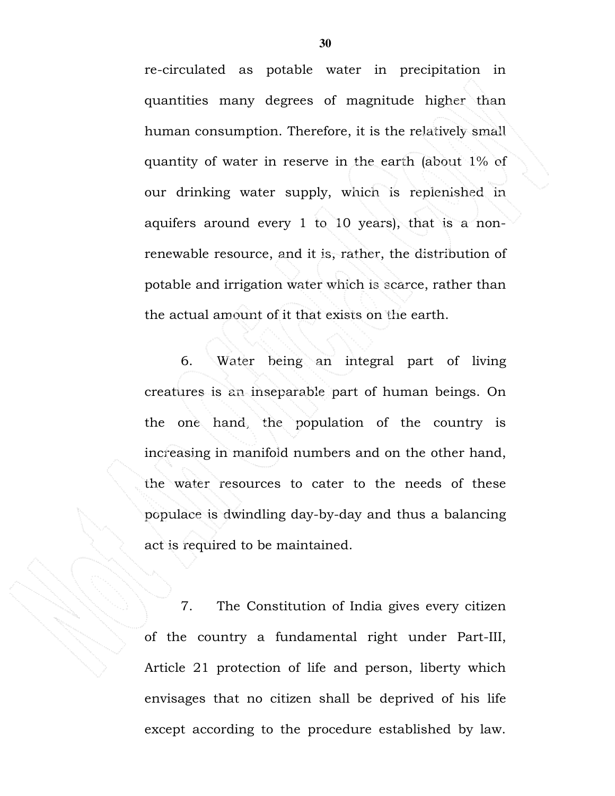re-circulated as potable water in precipitation in quantities many degrees of magnitude higher than human consumption. Therefore, it is the relatively small quantity of water in reserve in the earth (about 1% of our drinking water supply, which is replenished in aquifers around every 1 to 10 years), that is a nonrenewable resource, and it is, rather, the distribution of potable and irrigation water which is scarce, rather than the actual amount of it that exists on the earth.

 6. Water being an integral part of living creatures is an inseparable part of human beings. On the one hand, the population of the country is increasing in manifold numbers and on the other hand, the water resources to cater to the needs of these populace is dwindling day-by-day and thus a balancing act is required to be maintained.

7. The Constitution of India gives every citizen of the country a fundamental right under Part-III, Article 21 protection of life and person, liberty which envisages that no citizen shall be deprived of his life except according to the procedure established by law.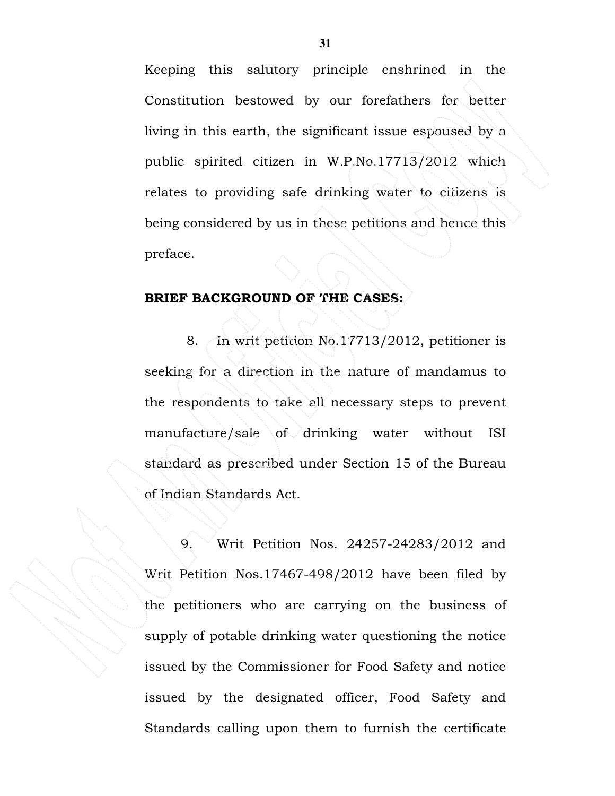Keeping this salutory principle enshrined in the Constitution bestowed by our forefathers for better living in this earth, the significant issue espoused by a public spirited citizen in W.P.No.17713/2012 which relates to providing safe drinking water to citizens is being considered by us in these petitions and hence this preface.

#### BRIEF BACKGROUND OF THE CASES:

 8. In writ petition No.17713/2012, petitioner is seeking for a direction in the nature of mandamus to the respondents to take all necessary steps to prevent manufacture/sale of drinking water without ISI standard as prescribed under Section 15 of the Bureau of Indian Standards Act.

 9. Writ Petition Nos. 24257-24283/2012 and Writ Petition Nos.17467-498/2012 have been filed by the petitioners who are carrying on the business of supply of potable drinking water questioning the notice issued by the Commissioner for Food Safety and notice issued by the designated officer, Food Safety and Standards calling upon them to furnish the certificate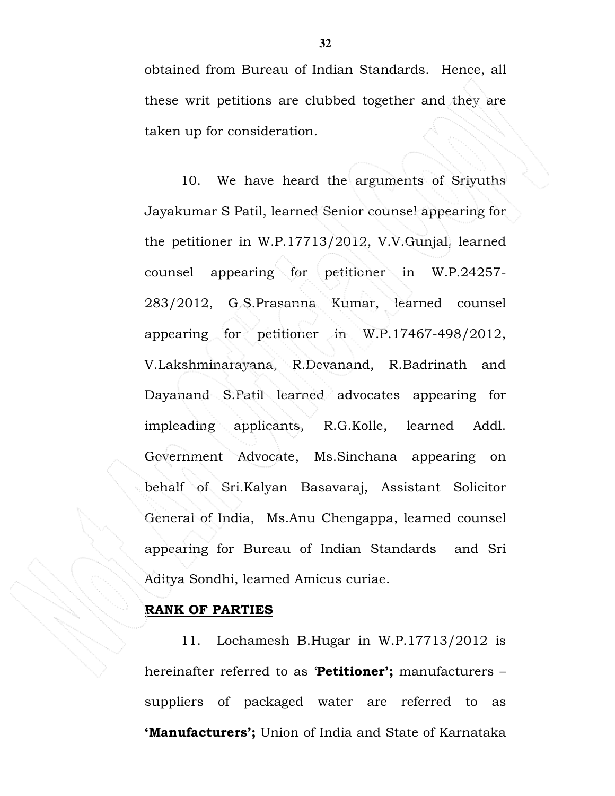obtained from Bureau of Indian Standards. Hence, all these writ petitions are clubbed together and they are taken up for consideration.

 10. We have heard the arguments of Sriyuths Jayakumar S Patil, learned Senior counsel appearing for the petitioner in W.P.17713/2012, V.V.Gunjal, learned counsel appearing for petitioner in W.P.24257-283/2012, G.S.Prasanna Kumar, learned counsel appearing for petitioner in W.P.17467-498/2012, V.Lakshminarayana, R.Devanand, R.Badrinath and Dayanand S.Patil learned advocates appearing for impleading applicants, R.G.Kolle, learned Addl. Government Advocate, Ms.Sinchana appearing on behalf of Sri.Kalyan Basavaraj, Assistant Solicitor General of India, Ms.Anu Chengappa, learned counsel appearing for Bureau of Indian Standards and Sri Aditya Sondhi, learned Amicus curiae.

## RANK OF PARTIES

 11. Lochamesh B.Hugar in W.P.17713/2012 is hereinafter referred to as 'Petitioner'; manufacturers suppliers of packaged water are referred to as 'Manufacturers'; Union of India and State of Karnataka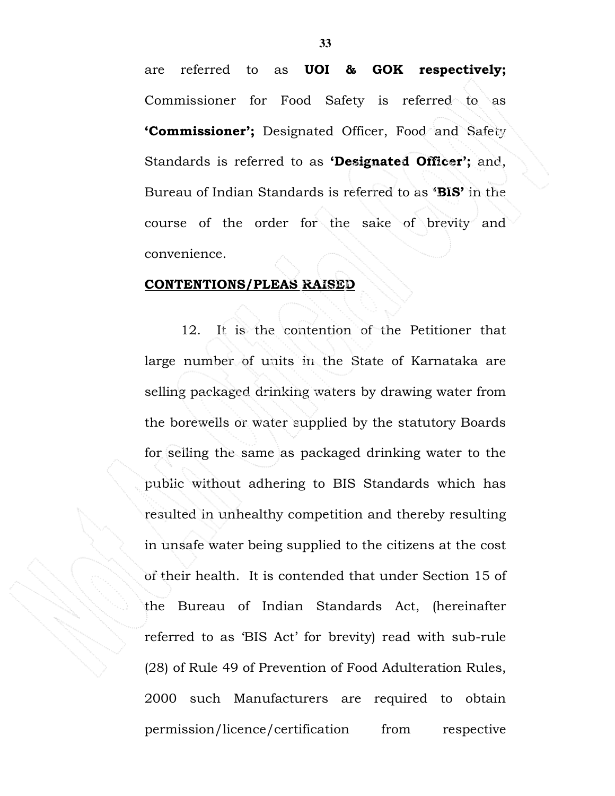are referred to as UOI & GOK respectively; Commissioner for Food Safety is referred to as 'Commissioner'; Designated Officer, Food and Safety Standards is referred to as **Designated Officer';** and, Bureau of Indian Standards is referred to as 'BIS' in the course of the order for the sake of brevity and convenience.

#### CONTENTIONS/PLEAS RAISED

 12. It is the contention of the Petitioner that large number of units in the State of Karnataka are selling packaged drinking waters by drawing water from the borewells or water supplied by the statutory Boards for selling the same as packaged drinking water to the public without adhering to BIS Standards which has resulted in unhealthy competition and thereby resulting in unsafe water being supplied to the citizens at the cost of their health. It is contended that under Section 15 of the Bureau of Indian Standards Act, (hereinafter referred to as 'BIS Act' for brevity) read with sub-rule (28) of Rule 49 of Prevention of Food Adulteration Rules, 2000 such Manufacturers are required to obtain permission/licence/certification from respective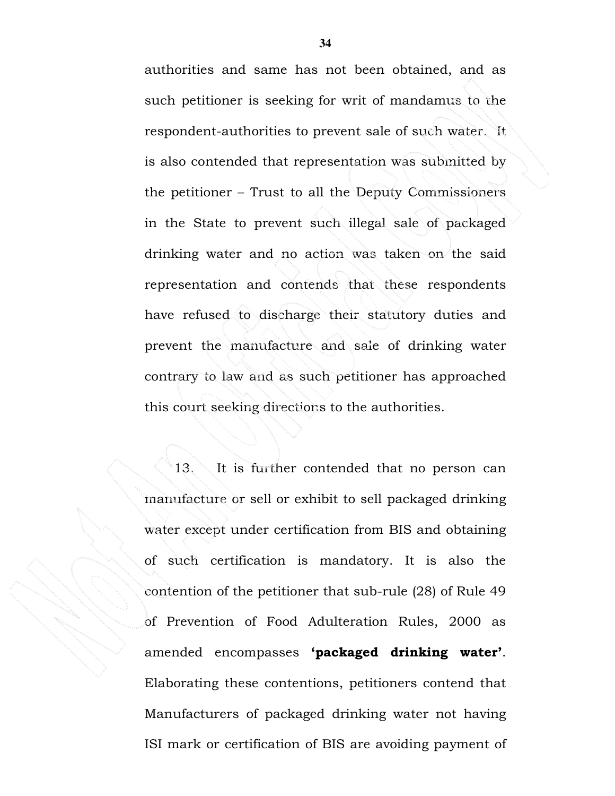authorities and same has not been obtained, and as such petitioner is seeking for writ of mandamus to the respondent-authorities to prevent sale of such water. It is also contended that representation was submitted by the petitioner – Trust to all the Deputy Commissioners in the State to prevent such illegal sale of packaged drinking water and no action was taken on the said representation and contends that these respondents have refused to discharge their statutory duties and prevent the manufacture and sale of drinking water contrary to law and as such petitioner has approached this court seeking directions to the authorities.

 13. It is further contended that no person can manufacture or sell or exhibit to sell packaged drinking water except under certification from BIS and obtaining of such certification is mandatory. It is also the contention of the petitioner that sub-rule (28) of Rule 49 of Prevention of Food Adulteration Rules, 2000 as amended encompasses 'packaged drinking water'. Elaborating these contentions, petitioners contend that Manufacturers of packaged drinking water not having ISI mark or certification of BIS are avoiding payment of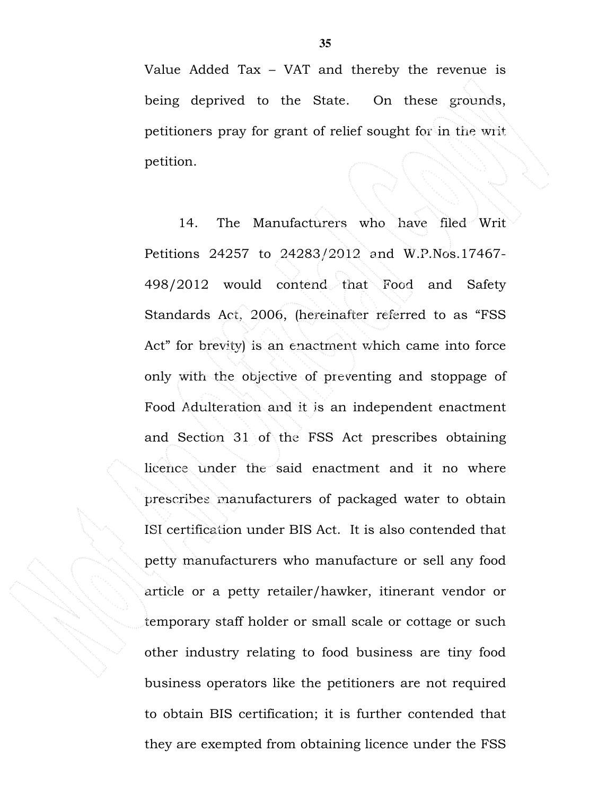Value Added Tax – VAT and thereby the revenue is being deprived to the State. On these grounds, petitioners pray for grant of relief sought for in the writ petition.

 14. The Manufacturers who have filed Writ Petitions 24257 to 24283/2012 and W.P.Nos.17467- 498/2012 would contend that Food and Safety Standards Act, 2006, (hereinafter referred to as "FSS Act" for brevity) is an enactment which came into force only with the objective of preventing and stoppage of Food Adulteration and it is an independent enactment and Section 31 of the FSS Act prescribes obtaining licence under the said enactment and it no where prescribes manufacturers of packaged water to obtain ISI certification under BIS Act. It is also contended that petty manufacturers who manufacture or sell any food article or a petty retailer/hawker, itinerant vendor or temporary staff holder or small scale or cottage or such other industry relating to food business are tiny food business operators like the petitioners are not required to obtain BIS certification; it is further contended that they are exempted from obtaining licence under the FSS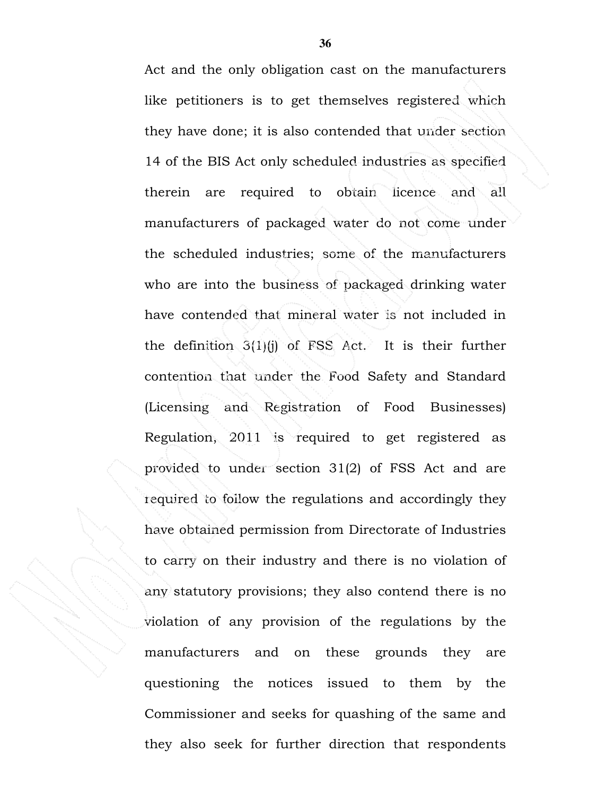Act and the only obligation cast on the manufacturers like petitioners is to get themselves registered which they have done; it is also contended that under section 14 of the BIS Act only scheduled industries as specified therein are required to obtain licence and all manufacturers of packaged water do not come under the scheduled industries; some of the manufacturers who are into the business of packaged drinking water have contended that mineral water is not included in the definition  $3(1)(i)$  of FSS Act. It is their further contention that under the Food Safety and Standard (Licensing and Registration of Food Businesses) Regulation, 2011 is required to get registered as provided to under section 31(2) of FSS Act and are required to follow the regulations and accordingly they have obtained permission from Directorate of Industries to carry on their industry and there is no violation of any statutory provisions; they also contend there is no violation of any provision of the regulations by the manufacturers and on these grounds they are questioning the notices issued to them by the Commissioner and seeks for quashing of the same and they also seek for further direction that respondents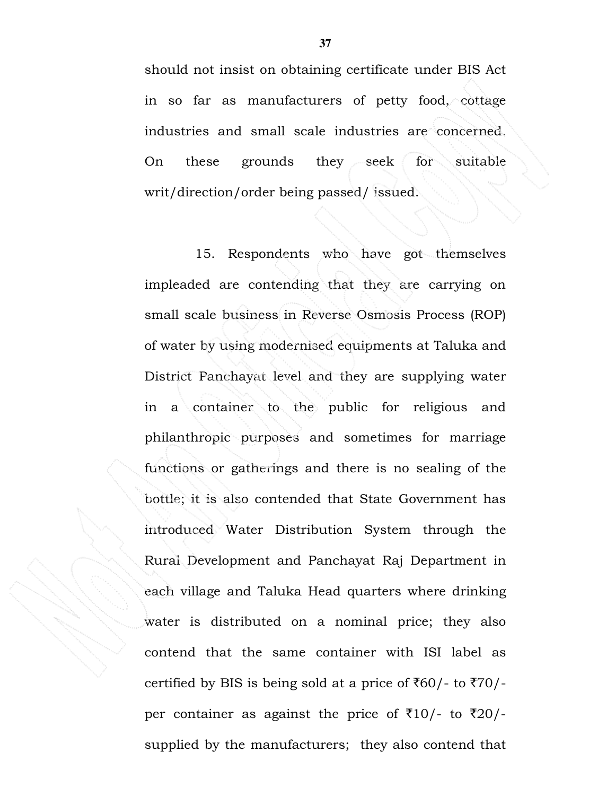should not insist on obtaining certificate under BIS Act in so far as manufacturers of petty food, cottage industries and small scale industries are concerned. On these grounds they seek for suitable writ/direction/order being passed/ issued.

 15. Respondents who have got themselves impleaded are contending that they are carrying on small scale business in Reverse Osmosis Process (ROP) of water by using modernised equipments at Taluka and District Panchayat level and they are supplying water in a container to the public for religious and philanthropic purposes and sometimes for marriage functions or gatherings and there is no sealing of the bottle; it is also contended that State Government has introduced Water Distribution System through the Rural Development and Panchayat Raj Department in each village and Taluka Head quarters where drinking water is distributed on a nominal price; they also contend that the same container with ISI label as certified by BIS is being sold at a price of  $\text{\textsterling}60$ /- to  $\text{\textsterling}70$ /per container as against the price of  $\overline{510}/-$  to  $\overline{520}/$ supplied by the manufacturers; they also contend that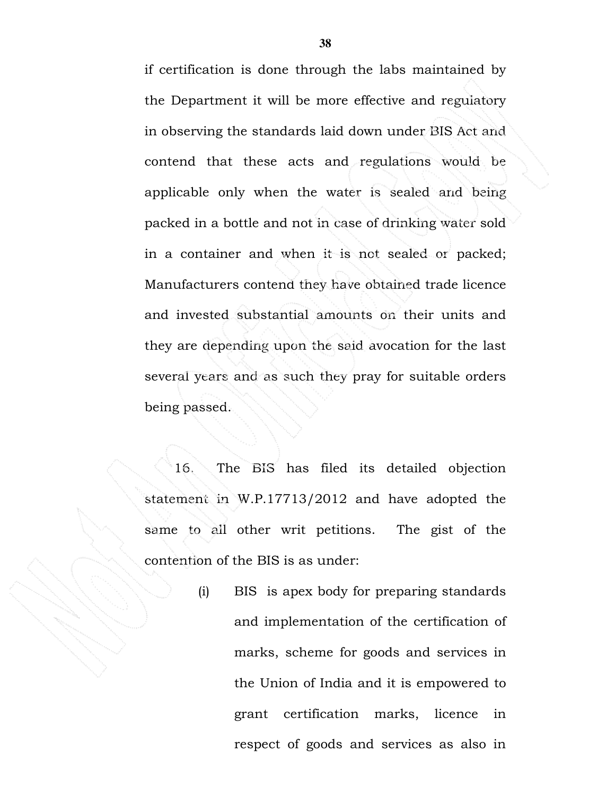if certification is done through the labs maintained by the Department it will be more effective and regulatory in observing the standards laid down under BIS Act and contend that these acts and regulations would be applicable only when the water is sealed and being packed in a bottle and not in case of drinking water sold in a container and when it is not sealed or packed; Manufacturers contend they have obtained trade licence and invested substantial amounts on their units and they are depending upon the said avocation for the last several years and as such they pray for suitable orders being passed.

 16. The BIS has filed its detailed objection statement in W.P.17713/2012 and have adopted the same to all other writ petitions. The gist of the contention of the BIS is as under:

> (i) BIS is apex body for preparing standards and implementation of the certification of marks, scheme for goods and services in the Union of India and it is empowered to grant certification marks, licence in respect of goods and services as also in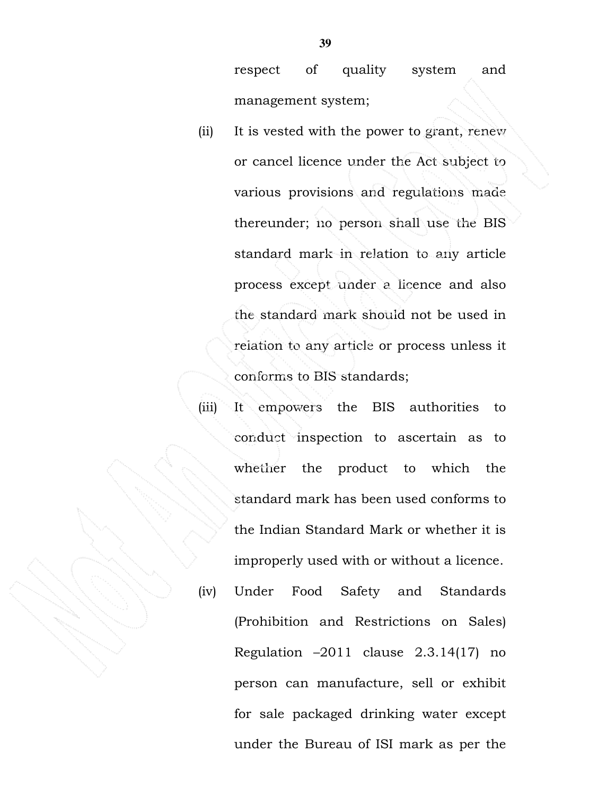respect of quality system and management system;

(ii) It is vested with the power to grant, renew or cancel licence under the Act subject to various provisions and regulations made thereunder; no person shall use the BIS standard mark in relation to any article process except under a licence and also the standard mark should not be used in relation to any article or process unless it conforms to BIS standards;

(iii) It empowers the BIS authorities to conduct inspection to ascertain as to whether the product to which the standard mark has been used conforms to the Indian Standard Mark or whether it is improperly used with or without a licence. (iv) Under Food Safety and Standards

(Prohibition and Restrictions on Sales) Regulation –2011 clause 2.3.14(17) no person can manufacture, sell or exhibit for sale packaged drinking water except under the Bureau of ISI mark as per the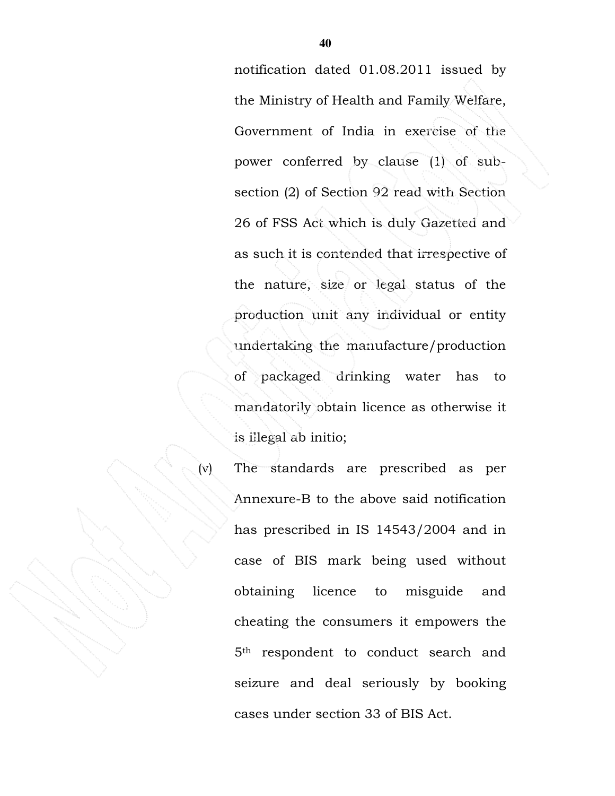notification dated 01.08.2011 issued by the Ministry of Health and Family Welfare, Government of India in exercise of the power conferred by clause (1) of subsection (2) of Section 92 read with Section 26 of FSS Act which is duly Gazetted and as such it is contended that irrespective of the nature, size or legal status of the production unit any individual or entity undertaking the manufacture/production of packaged drinking water has to mandatorily obtain licence as otherwise it is illegal ab initio;

(v) The standards are prescribed as per Annexure-B to the above said notification has prescribed in IS 14543/2004 and in case of BIS mark being used without obtaining licence to misguide and cheating the consumers it empowers the 5th respondent to conduct search and seizure and deal seriously by booking cases under section 33 of BIS Act.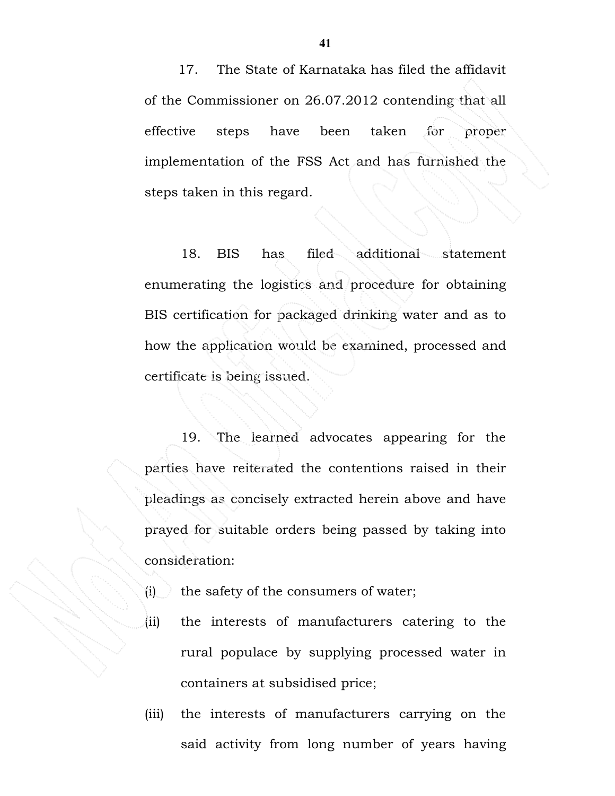17. The State of Karnataka has filed the affidavit of the Commissioner on 26.07.2012 contending that all effective steps have been taken for proper implementation of the FSS Act and has furnished the steps taken in this regard.

18. BIS has filed additional statement enumerating the logistics and procedure for obtaining BIS certification for packaged drinking water and as to how the application would be examined, processed and certificate is being issued.

19. The learned advocates appearing for the parties have reiterated the contentions raised in their pleadings as concisely extracted herein above and have prayed for suitable orders being passed by taking into consideration:

- $(i)$  the safety of the consumers of water;
	- (ii) the interests of manufacturers catering to the rural populace by supplying processed water in containers at subsidised price;
- (iii) the interests of manufacturers carrying on the said activity from long number of years having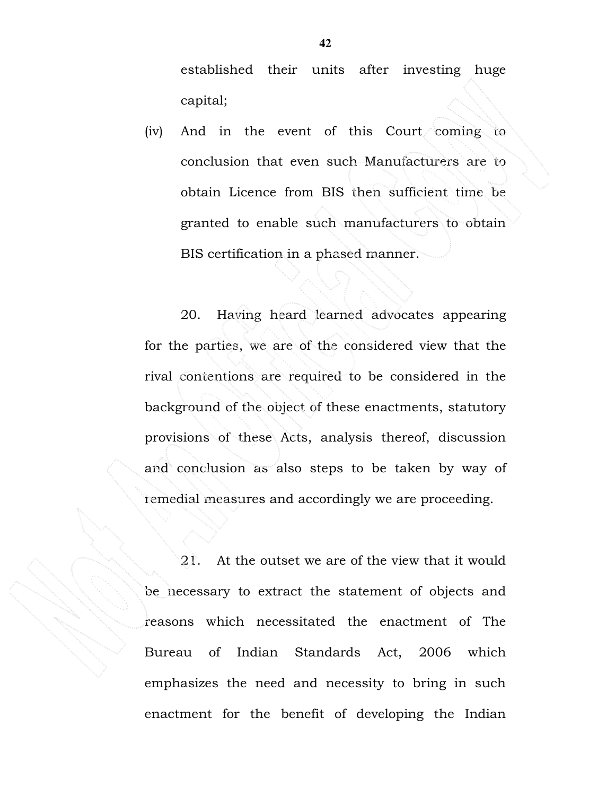established their units after investing huge capital;

(iv) And in the event of this Court coming to conclusion that even such Manufacturers are to obtain Licence from BIS then sufficient time be granted to enable such manufacturers to obtain BIS certification in a phased manner.

20. Having heard learned advocates appearing for the parties, we are of the considered view that the rival contentions are required to be considered in the background of the object of these enactments, statutory provisions of these Acts, analysis thereof, discussion and conclusion as also steps to be taken by way of remedial measures and accordingly we are proceeding.

21. At the outset we are of the view that it would be necessary to extract the statement of objects and reasons which necessitated the enactment of The Bureau of Indian Standards Act, 2006 which emphasizes the need and necessity to bring in such enactment for the benefit of developing the Indian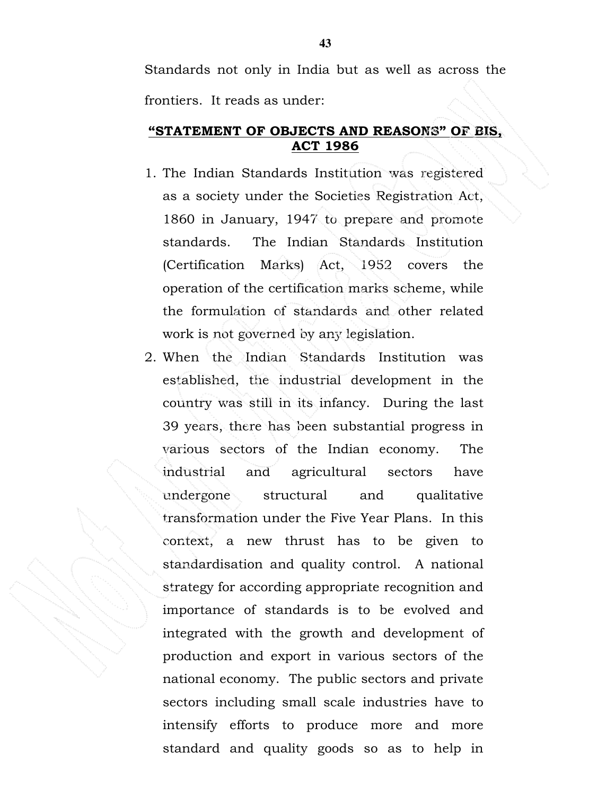Standards not only in India but as well as across the frontiers. It reads as under:

### "STATEMENT OF OBJECTS AND REASONS" OF BIS, ACT 1986

- 1. The Indian Standards Institution was registered as a society under the Societies Registration Act, 1860 in January, 1947 to prepare and promote standards. The Indian Standards Institution (Certification Marks) Act, 1952 covers the operation of the certification marks scheme, while the formulation of standards and other related work is not governed by any legislation.
- 2. When the Indian Standards Institution was established, the industrial development in the country was still in its infancy. During the last 39 years, there has been substantial progress in various sectors of the Indian economy. The industrial and agricultural sectors have undergone structural and qualitative transformation under the Five Year Plans. In this context, a new thrust has to be given to standardisation and quality control. A national strategy for according appropriate recognition and importance of standards is to be evolved and integrated with the growth and development of production and export in various sectors of the national economy. The public sectors and private sectors including small scale industries have to intensify efforts to produce more and more standard and quality goods so as to help in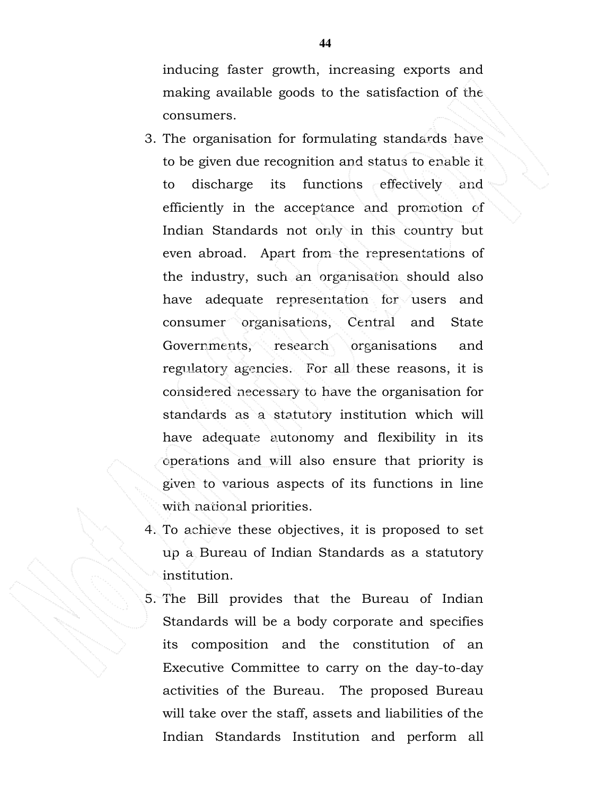inducing faster growth, increasing exports and making available goods to the satisfaction of the consumers.

- 3. The organisation for formulating standards have to be given due recognition and status to enable it to discharge its functions effectively and efficiently in the acceptance and promotion of Indian Standards not only in this country but even abroad. Apart from the representations of the industry, such an organisation should also have adequate representation for users and consumer organisations, Central and State Governments, research organisations and regulatory agencies. For all these reasons, it is considered necessary to have the organisation for standards as a statutory institution which will have adequate autonomy and flexibility in its operations and will also ensure that priority is given to various aspects of its functions in line with national priorities.
- 4. To achieve these objectives, it is proposed to set up a Bureau of Indian Standards as a statutory institution.
- 5. The Bill provides that the Bureau of Indian Standards will be a body corporate and specifies its composition and the constitution of an Executive Committee to carry on the day-to-day activities of the Bureau. The proposed Bureau will take over the staff, assets and liabilities of the Indian Standards Institution and perform all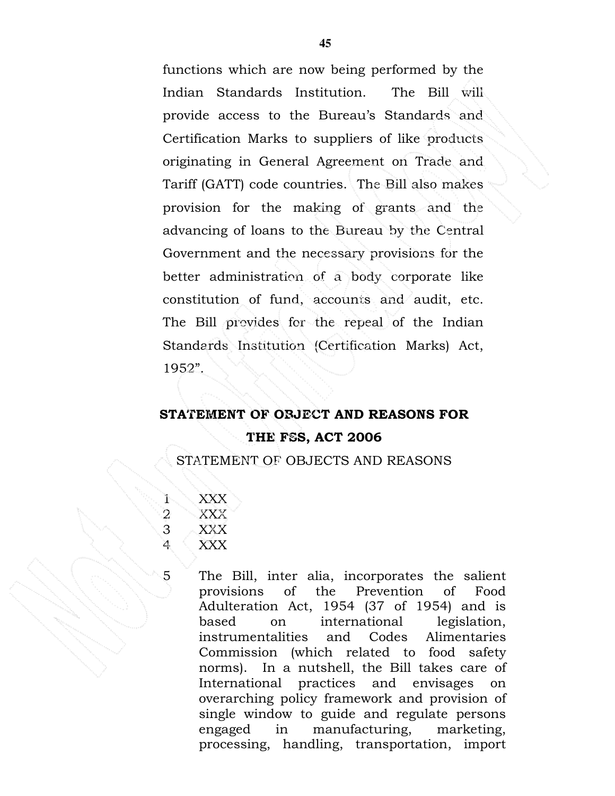functions which are now being performed by the Indian Standards Institution. The Bill will provide access to the Bureau's Standards and Certification Marks to suppliers of like products originating in General Agreement on Trade and Tariff (GATT) code countries. The Bill also makes provision for the making of grants and the advancing of loans to the Bureau by the Central Government and the necessary provisions for the better administration of a body corporate like constitution of fund, accounts and audit, etc. The Bill provides for the repeal of the Indian Standards Institution (Certification Marks) Act, 1952".

# STATEMENT OF OBJECT AND REASONS FOR THE FSS, ACT 2006

STATEMENT OF OBJECTS AND REASONS

1 XXX 2 XXX 3 XXX 4 XXX

5 The Bill, inter alia, incorporates the salient provisions of the Prevention of Food Adulteration Act, 1954 (37 of 1954) and is based on international legislation, instrumentalities and Codes Alimentaries Commission (which related to food safety norms). In a nutshell, the Bill takes care of International practices and envisages on overarching policy framework and provision of single window to guide and regulate persons engaged in manufacturing, marketing, processing, handling, transportation, import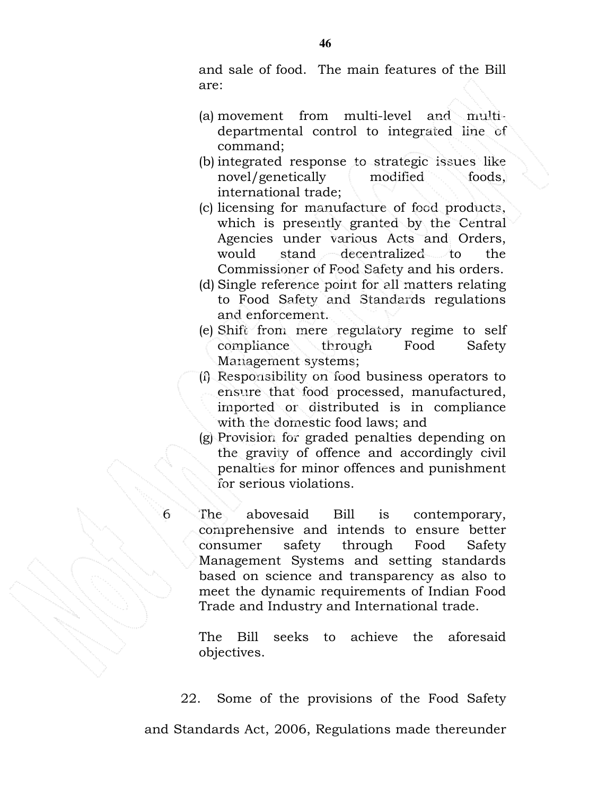and sale of food. The main features of the Bill are:

- (a) movement from multi-level and multidepartmental control to integrated line of command;
- (b) integrated response to strategic issues like novel/genetically modified foods, international trade;
- (c) licensing for manufacture of food products, which is presently granted by the Central Agencies under various Acts and Orders, would stand decentralized to the Commissioner of Food Safety and his orders.
- (d) Single reference point for all matters relating to Food Safety and Standards regulations and enforcement.
- (e) Shift from mere regulatory regime to self compliance through Food Safety Management systems;
- (f) Responsibility on food business operators to ensure that food processed, manufactured, imported or distributed is in compliance with the domestic food laws; and
- (g) Provision for graded penalties depending on the gravity of offence and accordingly civil penalties for minor offences and punishment for serious violations.
- 6 The abovesaid Bill is contemporary, comprehensive and intends to ensure better consumer safety through Food Safety Management Systems and setting standards based on science and transparency as also to meet the dynamic requirements of Indian Food Trade and Industry and International trade.

The Bill seeks to achieve the aforesaid objectives.

22. Some of the provisions of the Food Safety and Standards Act, 2006, Regulations made thereunder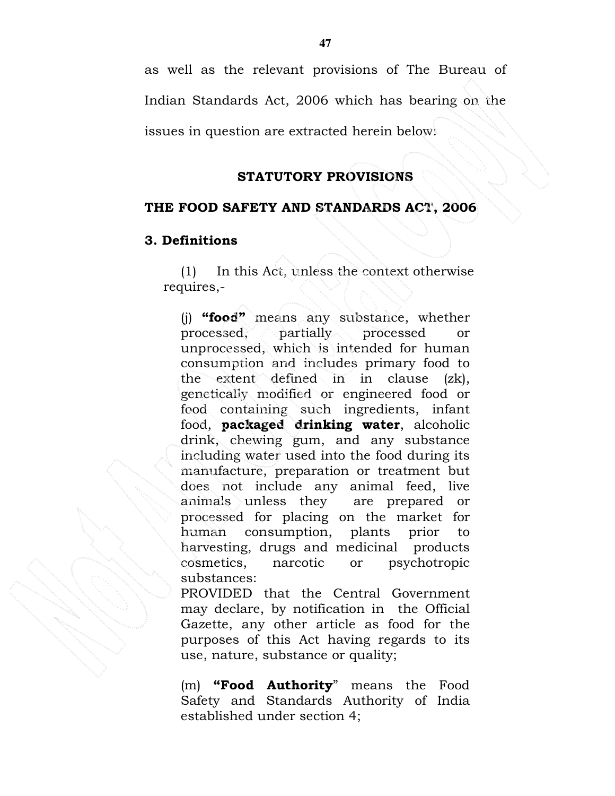as well as the relevant provisions of The Bureau of Indian Standards Act, 2006 which has bearing on the

issues in question are extracted herein below:

### STATUTORY PROVISIONS

## THE FOOD SAFETY AND STANDARDS ACT, 2006

## 3. Definitions

(1) In this Act, unless the context otherwise requires,-

(j) "food" means any substance, whether processed, partially processed or unprocessed, which is intended for human consumption and includes primary food to the extent defined in in clause (zk), genetically modified or engineered food or food containing such ingredients, infant food, packaged drinking water, alcoholic drink, chewing gum, and any substance including water used into the food during its manufacture, preparation or treatment but does not include any animal feed, live animals unless they are prepared or processed for placing on the market for human consumption, plants prior to harvesting, drugs and medicinal products cosmetics, narcotic or psychotropic substances:

PROVIDED that the Central Government may declare, by notification in the Official Gazette, any other article as food for the purposes of this Act having regards to its use, nature, substance or quality;

(m) "Food Authority" means the Food Safety and Standards Authority of India established under section 4;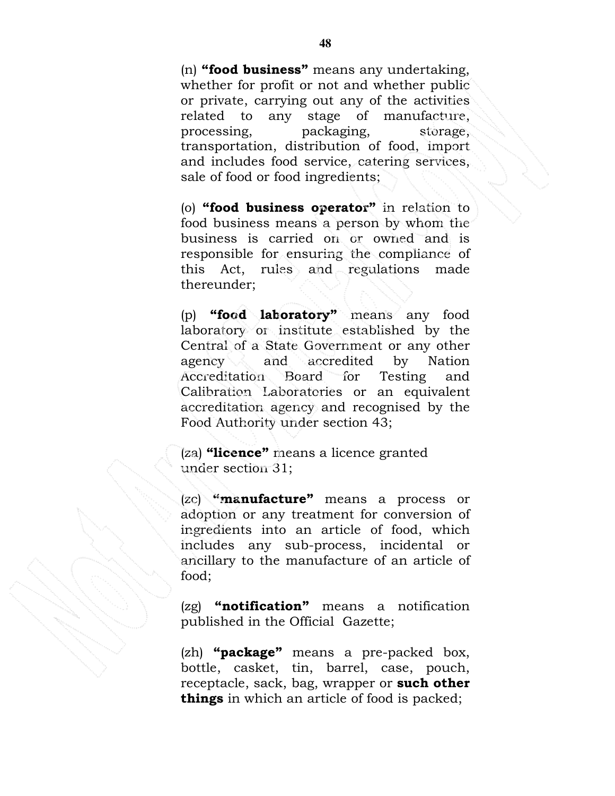(n) "food business" means any undertaking, whether for profit or not and whether public or private, carrying out any of the activities related to any stage of manufacture, processing, packaging, storage, transportation, distribution of food, import and includes food service, catering services, sale of food or food ingredients;

(o) "food business operator" in relation to food business means a person by whom the business is carried on or owned and is responsible for ensuring the compliance of this Act, rules and regulations made thereunder;

(p) "food laboratory" means any food laboratory or institute established by the Central of a State Government or any other agency and accredited by Nation Accreditation Board for Testing and Calibration Laboratories or an equivalent accreditation agency and recognised by the Food Authority under section 43;

(za) "licence" means a licence granted under section 31;

(zc) "manufacture" means a process or adoption or any treatment for conversion of ingredients into an article of food, which includes any sub-process, incidental or ancillary to the manufacture of an article of food;

 $(2g)$  "notification" means a notification published in the Official Gazette;

 $(zh)$  "package" means a pre-packed box, bottle, casket, tin, barrel, case, pouch, receptacle, sack, bag, wrapper or such other things in which an article of food is packed;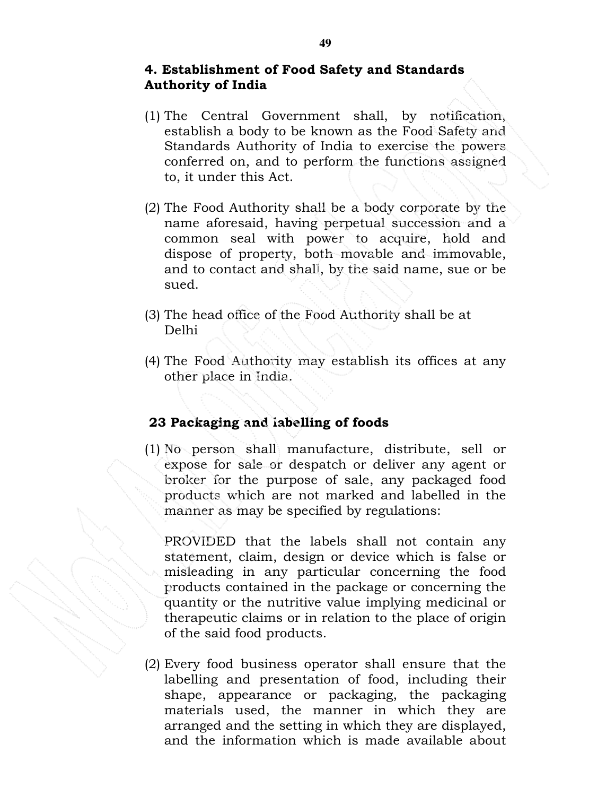#### 4. Establishment of Food Safety and Standards Authority of India

- (1) The Central Government shall, by notification, establish a body to be known as the Food Safety and Standards Authority of India to exercise the powers conferred on, and to perform the functions assigned to, it under this Act.
- (2) The Food Authority shall be a body corporate by the name aforesaid, having perpetual succession and a common seal with power to acquire, hold and dispose of property, both movable and immovable, and to contact and shall, by the said name, sue or be sued.
- (3) The head office of the Food Authority shall be at Delhi
- (4) The Food Authority may establish its offices at any other place in India.

### 23 Packaging and labelling of foods

(1) No person shall manufacture, distribute, sell or expose for sale or despatch or deliver any agent or broker for the purpose of sale, any packaged food products which are not marked and labelled in the manner as may be specified by regulations:

PROVIDED that the labels shall not contain any statement, claim, design or device which is false or misleading in any particular concerning the food products contained in the package or concerning the quantity or the nutritive value implying medicinal or therapeutic claims or in relation to the place of origin of the said food products.

(2) Every food business operator shall ensure that the labelling and presentation of food, including their shape, appearance or packaging, the packaging materials used, the manner in which they are arranged and the setting in which they are displayed, and the information which is made available about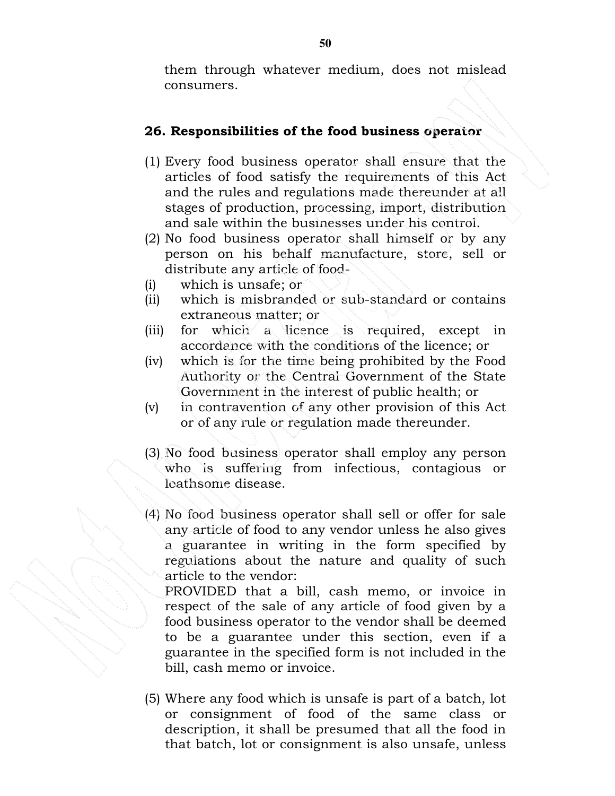them through whatever medium, does not mislead consumers.

## 26. Responsibilities of the food business operator

- (1) Every food business operator shall ensure that the articles of food satisfy the requirements of this Act and the rules and regulations made thereunder at all stages of production, processing, import, distribution and sale within the businesses under his control.
- (2) No food business operator shall himself or by any person on his behalf manufacture, store, sell or distribute any article of food-
- (i) which is unsafe; or
- (ii) which is misbranded or sub-standard or contains extraneous matter; or
- (iii) for which a licence is required, except in accordance with the conditions of the licence; or
- (iv) which is for the time being prohibited by the Food Authority or the Central Government of the State Government in the interest of public health; or
- (v) in contravention of any other provision of this Act or of any rule or regulation made thereunder.
- (3) No food business operator shall employ any person who is suffering from infectious, contagious or loathsome disease.
- (4) No food business operator shall sell or offer for sale any article of food to any vendor unless he also gives a guarantee in writing in the form specified by regulations about the nature and quality of such article to the vendor:

PROVIDED that a bill, cash memo, or invoice in respect of the sale of any article of food given by a food business operator to the vendor shall be deemed to be a guarantee under this section, even if a guarantee in the specified form is not included in the bill, cash memo or invoice.

(5) Where any food which is unsafe is part of a batch, lot or consignment of food of the same class or description, it shall be presumed that all the food in that batch, lot or consignment is also unsafe, unless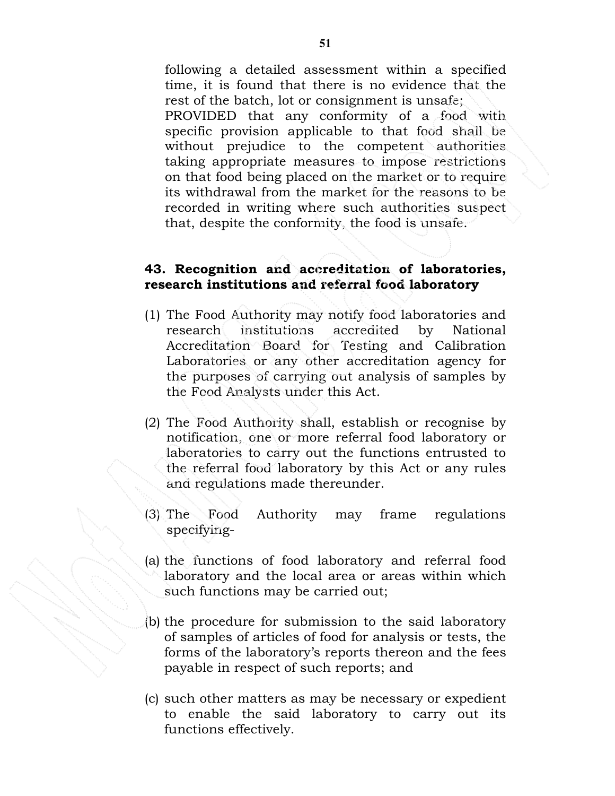following a detailed assessment within a specified time, it is found that there is no evidence that the rest of the batch, lot or consignment is unsafe; PROVIDED that any conformity of a food with specific provision applicable to that food shall be without prejudice to the competent authorities taking appropriate measures to impose restrictions on that food being placed on the market or to require its withdrawal from the market for the reasons to be recorded in writing where such authorities suspect that, despite the conformity, the food is unsafe.

#### 43. Recognition and accreditation of laboratories, research institutions and referral food laboratory

- (1) The Food Authority may notify food laboratories and research institutions accredited by National Accreditation Board for Testing and Calibration Laboratories or any other accreditation agency for the purposes of carrying out analysis of samples by the Food Analysts under this Act.
- (2) The Food Authority shall, establish or recognise by notification, one or more referral food laboratory or laboratories to carry out the functions entrusted to the referral food laboratory by this Act or any rules and regulations made thereunder.
- (3) The Food Authority may frame regulations specifying-
- (a) the functions of food laboratory and referral food laboratory and the local area or areas within which such functions may be carried out;
- (b) the procedure for submission to the said laboratory of samples of articles of food for analysis or tests, the forms of the laboratory's reports thereon and the fees payable in respect of such reports; and
- (c) such other matters as may be necessary or expedient to enable the said laboratory to carry out its functions effectively.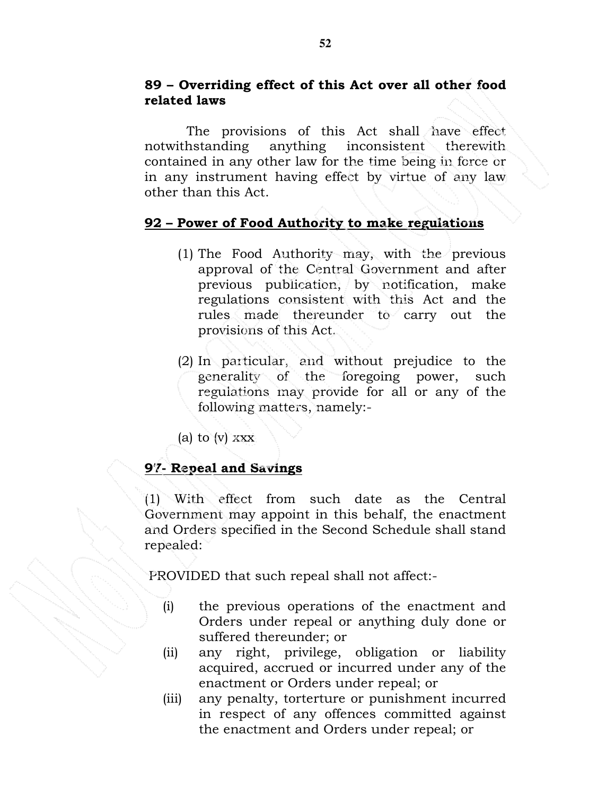## 89 – Overriding effect of this Act over all other food related laws

 The provisions of this Act shall have effect notwithstanding anything inconsistent therewith contained in any other law for the time being in force or in any instrument having effect by virtue of any law other than this Act.

### 92 – Power of Food Authority to make regulations

- (1) The Food Authority may, with the previous approval of the Central Government and after previous publication, by notification, make regulations consistent with this Act and the rules made thereunder to carry out the provisions of this Act.
- (2) In particular, and without prejudice to the generality of the foregoing power, such regulations may provide for all or any of the following matters, namely:-
- (a) to  $(v)$  xxx

### 97- Repeal and Savings

(1) With effect from such date as the Central Government may appoint in this behalf, the enactment and Orders specified in the Second Schedule shall stand repealed:

PROVIDED that such repeal shall not affect:-

- (i) the previous operations of the enactment and Orders under repeal or anything duly done or suffered thereunder; or
- (ii) any right, privilege, obligation or liability acquired, accrued or incurred under any of the enactment or Orders under repeal; or
- (iii) any penalty, torterture or punishment incurred in respect of any offences committed against the enactment and Orders under repeal; or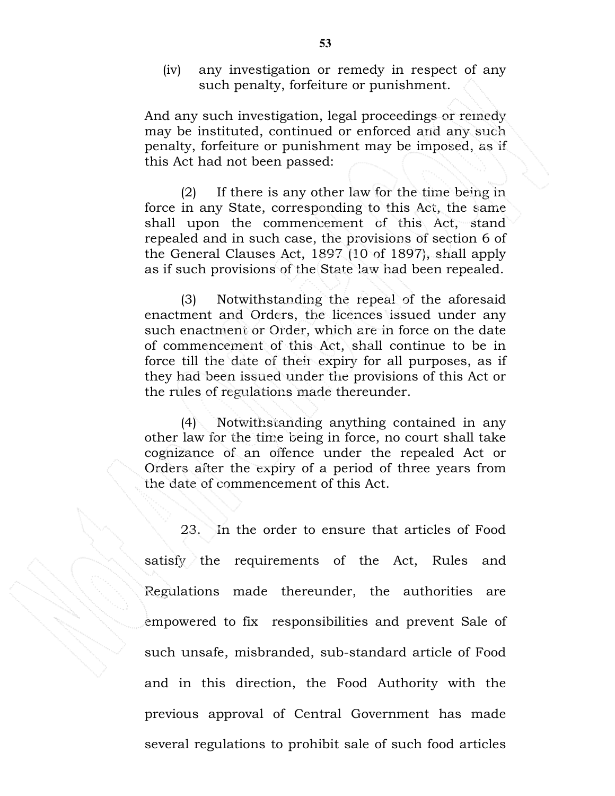(iv) any investigation or remedy in respect of any such penalty, forfeiture or punishment.

And any such investigation, legal proceedings or remedy may be instituted, continued or enforced and any such penalty, forfeiture or punishment may be imposed, as if this Act had not been passed:

 (2) If there is any other law for the time being in force in any State, corresponding to this Act, the same shall upon the commencement of this Act, stand repealed and in such case, the provisions of section 6 of the General Clauses Act, 1897 (10 of 1897), shall apply as if such provisions of the State law had been repealed.

 (3) Notwithstanding the repeal of the aforesaid enactment and Orders, the licences issued under any such enactment or Order, which are in force on the date of commencement of this Act, shall continue to be in force till the date of their expiry for all purposes, as if they had been issued under the provisions of this Act or the rules of regulations made thereunder.

 (4) Notwithstanding anything contained in any other law for the time being in force, no court shall take cognizance of an offence under the repealed Act or Orders after the expiry of a period of three years from the date of commencement of this Act.

23. In the order to ensure that articles of Food satisfy the requirements of the Act, Rules and Regulations made thereunder, the authorities are empowered to fix responsibilities and prevent Sale of such unsafe, misbranded, sub-standard article of Food and in this direction, the Food Authority with the previous approval of Central Government has made several regulations to prohibit sale of such food articles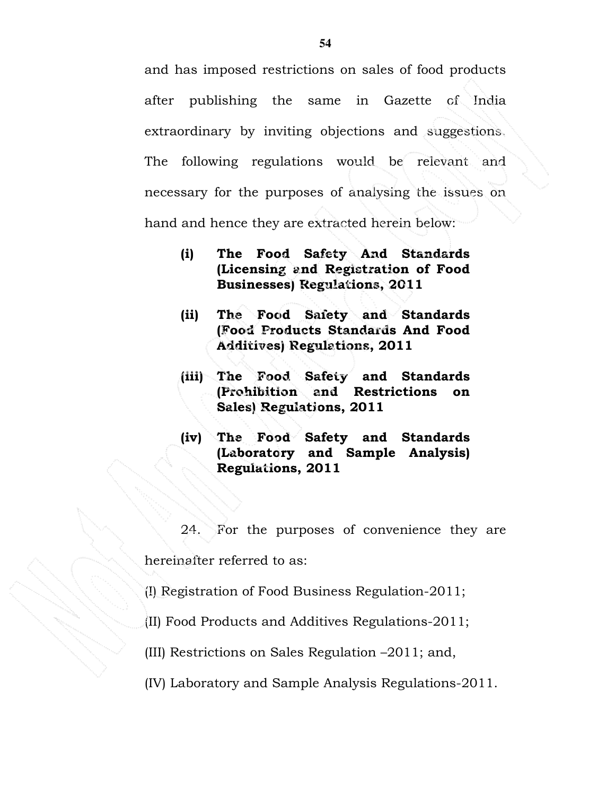and has imposed restrictions on sales of food products after publishing the same in Gazette of India extraordinary by inviting objections and suggestions. The following regulations would be relevant and necessary for the purposes of analysing the issues on hand and hence they are extracted herein below:

- (i) The Food Safety And Standards (Licensing and Registration of Food Businesses) Regulations, 2011
- (ii) The Food Safety and Standards (Food Products Standards And Food Additives) Regulations, 2011
- (iii) The Food Safety and Standards (Prohibition and Restrictions on Sales) Regulations, 2011
- (iv) The Food Safety and Standards (Laboratory and Sample Analysis) Regulations, 2011

24. For the purposes of convenience they are hereinafter referred to as:

(I) Registration of Food Business Regulation-2011;

(II) Food Products and Additives Regulations-2011;

(III) Restrictions on Sales Regulation –2011; and,

(IV) Laboratory and Sample Analysis Regulations-2011.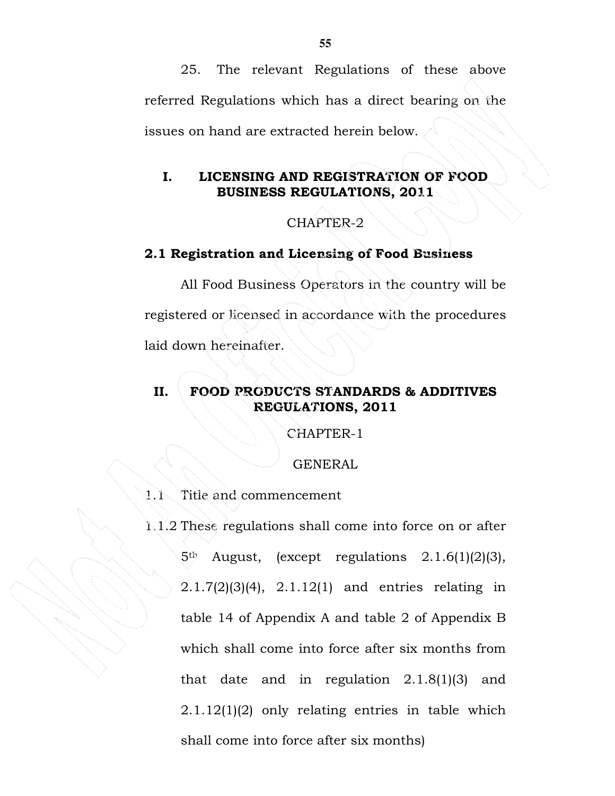25. The relevant Regulations of these above referred Regulations which has a direct bearing on the issues on hand are extracted herein below.

### I. LICENSING AND REGISTRATION OF FOOD BUSINESS REGULATIONS, 2011

#### CHAPTER-2

#### 2.1 Registration and Licensing of Food Business

All Food Business Operators in the country will be registered or licensed in accordance with the procedures laid down hereinafter.

### II. FOOD PRODUCTS STANDARDS & ADDITIVES REGULATIONS, 2011

CHAPTER-1

GENERAL

1.1 Title and commencement

1.1.2 These regulations shall come into force on or after 5th August, (except regulations 2.1.6(1)(2)(3), 2.1.7(2)(3)(4), 2.1.12(1) and entries relating in table 14 of Appendix A and table 2 of Appendix B which shall come into force after six months from that date and in regulation 2.1.8(1)(3) and 2.1.12(1)(2) only relating entries in table which shall come into force after six months)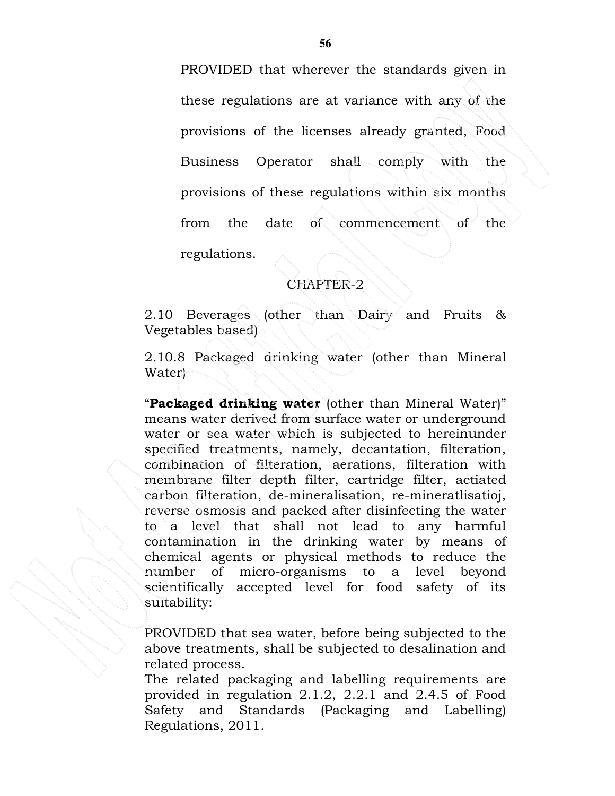PROVIDED that wherever the standards given in these regulations are at variance with any of the provisions of the licenses already granted, Food Business Operator shall comply with the provisions of these regulations within six months from the date of commencement of the regulations.

#### CHAPTER-2

2.10 Beverages (other than Dairy and Fruits & Vegetables based)

2.10.8 Packaged drinking water (other than Mineral Water)

"Packaged drinking water (other than Mineral Water)" means water derived from surface water or underground water or sea water which is subjected to hereinunder specified treatments, namely, decantation, filteration, combination of filteration, aerations, filteration with membrane filter depth filter, cartridge filter, actiated carbon filteration, de-mineralisation, re-mineratlisatioj, reverse osmosis and packed after disinfecting the water to a level that shall not lead to any harmful contamination in the drinking water by means of chemical agents or physical methods to reduce the number of micro-organisms to a level beyond scientifically accepted level for food safety of its suitability:

PROVIDED that sea water, before being subjected to the above treatments, shall be subjected to desalination and related process.

The related packaging and labelling requirements are provided in regulation 2.1.2, 2.2.1 and 2.4.5 of Food Safety and Standards (Packaging and Labelling) Regulations, 2011.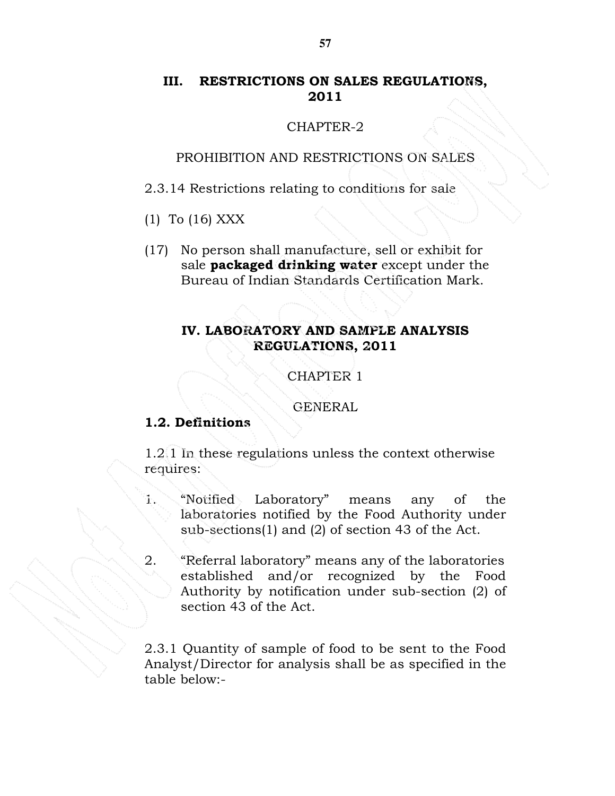## III. RESTRICTIONS ON SALES REGULATIONS, 2011

#### CHAPTER-2

#### PROHIBITION AND RESTRICTIONS ON SALES

2.3.14 Restrictions relating to conditions for sale

- (1) To (16) XXX
- (17) No person shall manufacture, sell or exhibit for sale **packaged drinking water** except under the Bureau of Indian Standards Certification Mark.

# IV. LABORATORY AND SAMPLE ANALYSIS REGULATIONS, 2011

CHAPTER 1

GENERAL

### 1.2. Definitions

1.2.1 In these regulations unless the context otherwise requires:

- 1. "Notified Laboratory" means any of the laboratories notified by the Food Authority under sub-sections(1) and (2) of section 43 of the Act.
- 2. "Referral laboratory" means any of the laboratories established and/or recognized by the Food Authority by notification under sub-section (2) of section 43 of the Act.

2.3.1 Quantity of sample of food to be sent to the Food Analyst/Director for analysis shall be as specified in the table below:-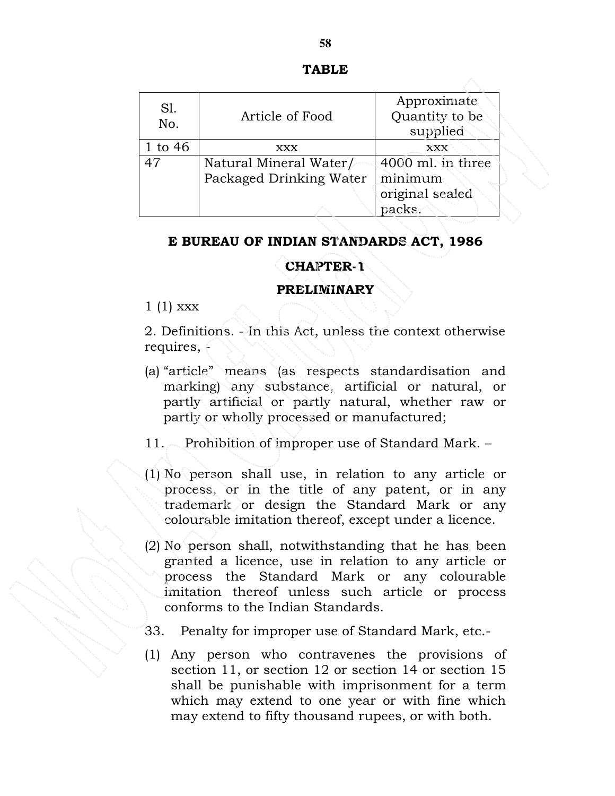| S1.<br>No. | Article of Food                                   | Approximate<br>Quantity to be<br>supplied                 |
|------------|---------------------------------------------------|-----------------------------------------------------------|
| 1 to $46$  | XXX                                               | XXX                                                       |
| 47         | Natural Mineral Water/<br>Packaged Drinking Water | 4000 ml. in three<br>minimum<br>original sealed<br>packs. |

#### E BUREAU OF INDIAN STANDARDS ACT, 1986

### CHAPTER-1

#### PRELIMINARY

 $1(1)$  xxx

2. Definitions. - In this Act, unless the context otherwise requires,  $\epsilon$ 

- (a) "article" means (as respects standardisation and marking) any substance, artificial or natural, or partly artificial or partly natural, whether raw or partly or wholly processed or manufactured;
- 11. Prohibition of improper use of Standard Mark. –
- (1) No person shall use, in relation to any article or process, or in the title of any patent, or in any trademark or design the Standard Mark or any colourable imitation thereof, except under a licence.
- (2) No person shall, notwithstanding that he has been granted a licence, use in relation to any article or process the Standard Mark or any colourable imitation thereof unless such article or process conforms to the Indian Standards.
- 33. Penalty for improper use of Standard Mark, etc.-
- (1) Any person who contravenes the provisions of section 11, or section 12 or section 14 or section 15 shall be punishable with imprisonment for a term which may extend to one year or with fine which may extend to fifty thousand rupees, or with both.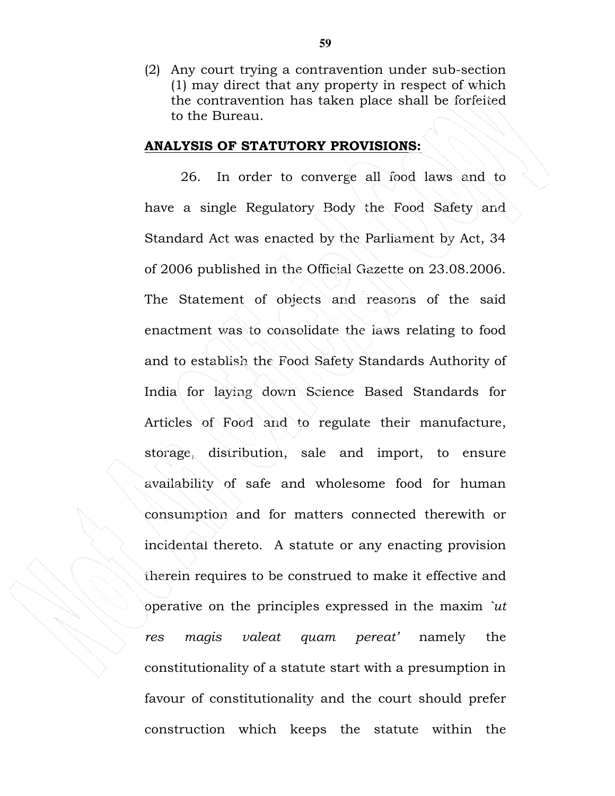(2) Any court trying a contravention under sub-section (1) may direct that any property in respect of which the contravention has taken place shall be forfeited to the Bureau.

#### ANALYSIS OF STATUTORY PROVISIONS:

26. In order to converge all food laws and to have a single Regulatory Body the Food Safety and Standard Act was enacted by the Parliament by Act, 34 of 2006 published in the Official Gazette on 23.08.2006. The Statement of objects and reasons of the said enactment was to consolidate the laws relating to food and to establish the Food Safety Standards Authority of India for laying down Science Based Standards for Articles of Food and to regulate their manufacture, storage, distribution, sale and import, to ensure availability of safe and wholesome food for human consumption and for matters connected therewith or incidental thereto. A statute or any enacting provision therein requires to be construed to make it effective and operative on the principles expressed in the maxim `ut res magis valeat quam pereat' namely the constitutionality of a statute start with a presumption in favour of constitutionality and the court should prefer construction which keeps the statute within the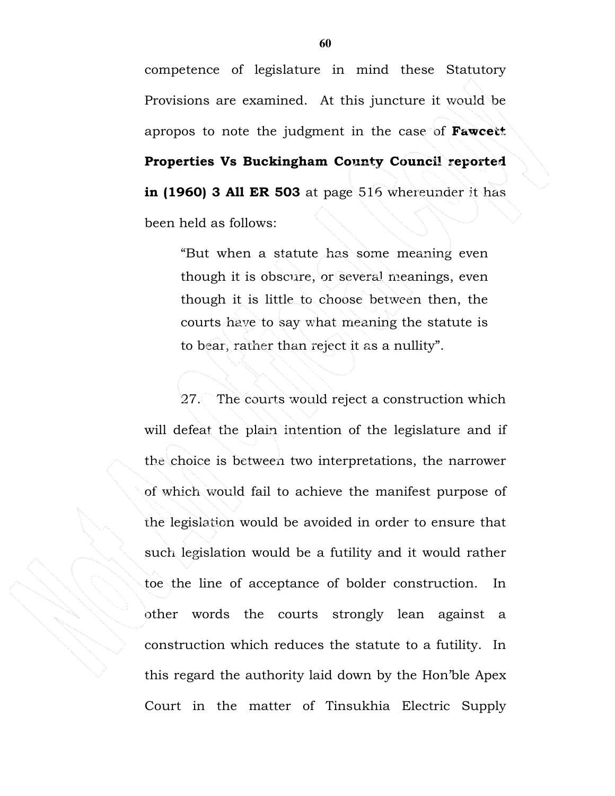competence of legislature in mind these Statutory Provisions are examined. At this juncture it would be apropos to note the judgment in the case of Fawcett Properties Vs Buckingham County Council reported in (1960) 3 All ER 503 at page 516 whereunder it has been held as follows:

"But when a statute has some meaning even though it is obscure, or several meanings, even though it is little to choose between then, the courts have to say what meaning the statute is to bear, rather than reject it as a nullity".

27. The courts would reject a construction which will defeat the plain intention of the legislature and if the choice is between two interpretations, the narrower of which would fail to achieve the manifest purpose of the legislation would be avoided in order to ensure that such legislation would be a futility and it would rather toe the line of acceptance of bolder construction. In other words the courts strongly lean against a construction which reduces the statute to a futility. In this regard the authority laid down by the Hon'ble Apex Court in the matter of Tinsukhia Electric Supply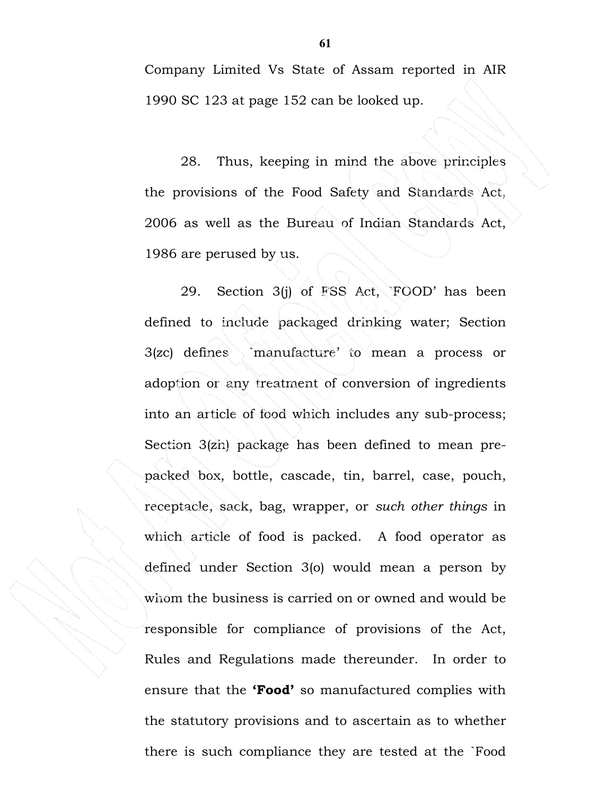Company Limited Vs State of Assam reported in AIR 1990 SC 123 at page 152 can be looked up.

28. Thus, keeping in mind the above principles the provisions of the Food Safety and Standards Act, 2006 as well as the Bureau of Indian Standards Act, 1986 are perused by us.

29. Section 3(j) of FSS Act, `FOOD' has been defined to include packaged drinking water; Section 3(zc) defines `manufacture' to mean a process or adoption or any treatment of conversion of ingredients into an article of food which includes any sub-process; Section 3(zh) package has been defined to mean prepacked box, bottle, cascade, tin, barrel, case, pouch, receptacle, sack, bag, wrapper, or such other things in which article of food is packed. A food operator as defined under Section 3(o) would mean a person by whom the business is carried on or owned and would be responsible for compliance of provisions of the Act, Rules and Regulations made thereunder. In order to ensure that the **'Food'** so manufactured complies with the statutory provisions and to ascertain as to whether there is such compliance they are tested at the `Food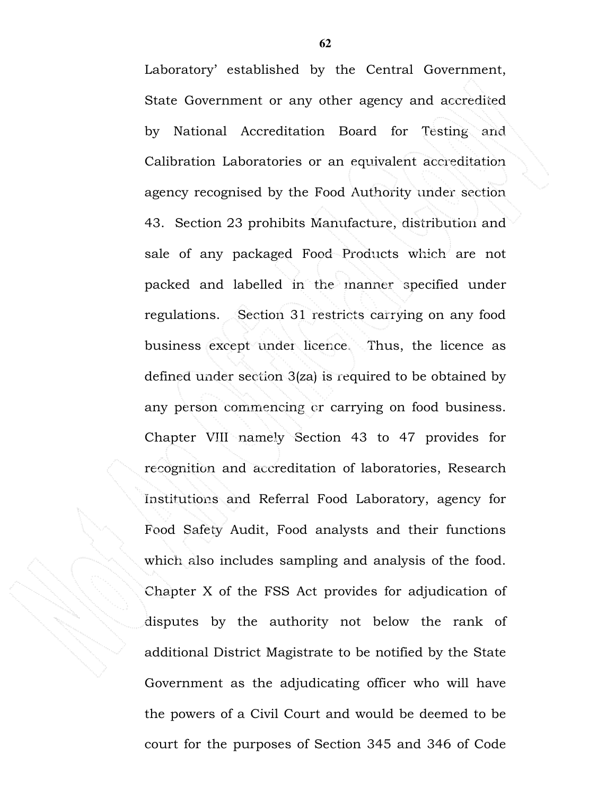Laboratory' established by the Central Government, State Government or any other agency and accredited by National Accreditation Board for Testing and Calibration Laboratories or an equivalent accreditation agency recognised by the Food Authority under section 43. Section 23 prohibits Manufacture, distribution and sale of any packaged Food Products which are not packed and labelled in the manner specified under regulations. Section 31 restricts carrying on any food business except under licence. Thus, the licence as defined under section 3(za) is required to be obtained by any person commencing or carrying on food business. Chapter VIII namely Section 43 to 47 provides for recognition and accreditation of laboratories, Research Institutions and Referral Food Laboratory, agency for Food Safety Audit, Food analysts and their functions which also includes sampling and analysis of the food. Chapter X of the FSS Act provides for adjudication of disputes by the authority not below the rank of additional District Magistrate to be notified by the State Government as the adjudicating officer who will have the powers of a Civil Court and would be deemed to be court for the purposes of Section 345 and 346 of Code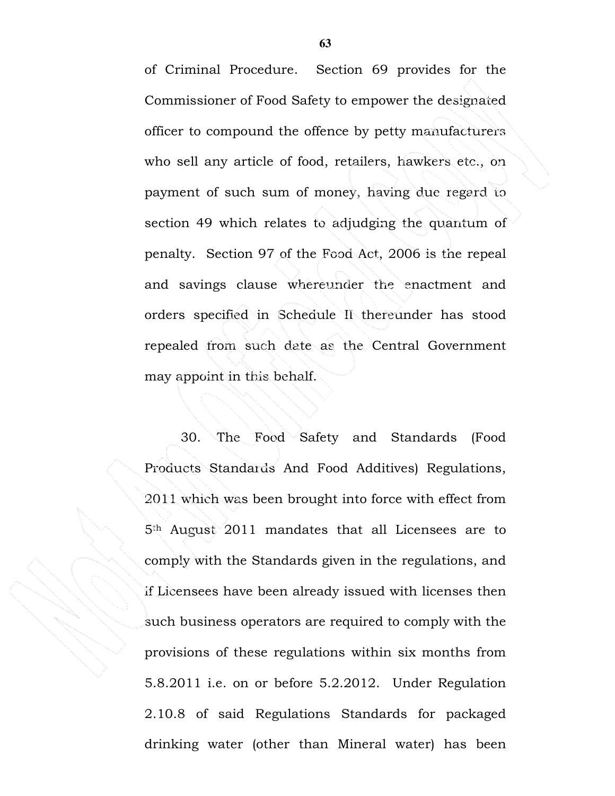of Criminal Procedure. Section 69 provides for the Commissioner of Food Safety to empower the designated officer to compound the offence by petty manufacturers who sell any article of food, retailers, hawkers etc., on payment of such sum of money, having due regard to section 49 which relates to adjudging the quantum of penalty. Section 97 of the Food Act, 2006 is the repeal and savings clause whereunder the enactment and orders specified in Schedule II thereunder has stood repealed from such date as the Central Government may appoint in this behalf.

30. The Food Safety and Standards (Food Products Standards And Food Additives) Regulations, 2011 which was been brought into force with effect from 5th August 2011 mandates that all Licensees are to comply with the Standards given in the regulations, and if Licensees have been already issued with licenses then such business operators are required to comply with the provisions of these regulations within six months from 5.8.2011 i.e. on or before 5.2.2012. Under Regulation 2.10.8 of said Regulations Standards for packaged drinking water (other than Mineral water) has been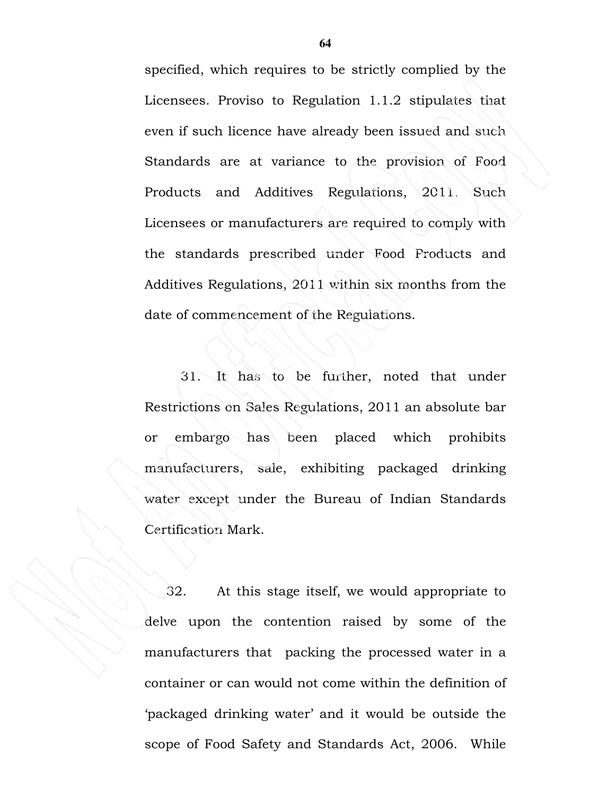specified, which requires to be strictly complied by the Licensees. Proviso to Regulation 1.1.2 stipulates that even if such licence have already been issued and such Standards are at variance to the provision of Food Products and Additives Regulations, 2011. Such Licensees or manufacturers are required to comply with the standards prescribed under Food Products and Additives Regulations, 2011 within six months from the date of commencement of the Regulations.

31. It has to be further, noted that under Restrictions on Sales Regulations, 2011 an absolute bar or embargo has been placed which prohibits manufacturers, sale, exhibiting packaged drinking water except under the Bureau of Indian Standards Certification Mark.

32. At this stage itself, we would appropriate to delve upon the contention raised by some of the manufacturers that packing the processed water in a container or can would not come within the definition of 'packaged drinking water' and it would be outside the scope of Food Safety and Standards Act, 2006. While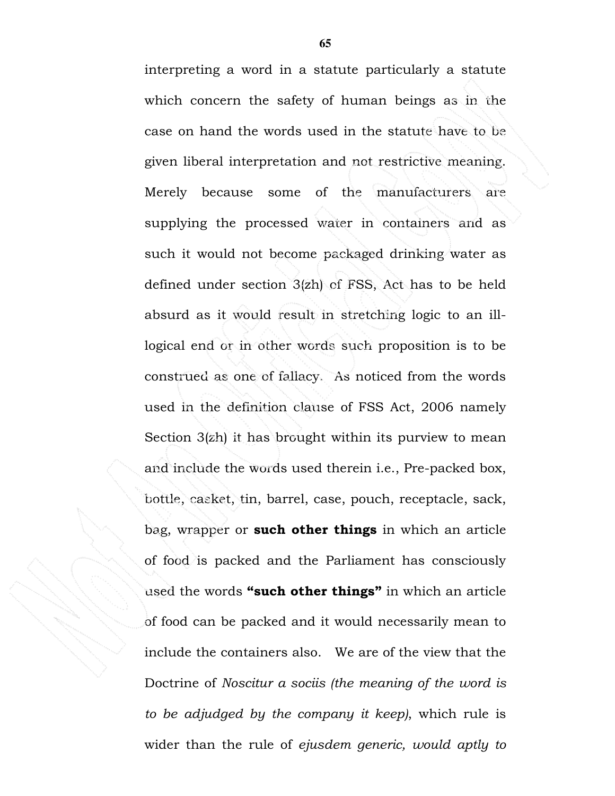interpreting a word in a statute particularly a statute which concern the safety of human beings as in the case on hand the words used in the statute have to be given liberal interpretation and not restrictive meaning. Merely because some of the manufacturers are supplying the processed water in containers and as such it would not become packaged drinking water as defined under section 3(zh) of FSS, Act has to be held absurd as it would result in stretching logic to an illlogical end or in other words such proposition is to be construed as one of fallacy. As noticed from the words used in the definition clause of FSS Act, 2006 namely Section 3(zh) it has brought within its purview to mean and include the words used therein i.e., Pre-packed box, bottle, casket, tin, barrel, case, pouch, receptacle, sack, bag, wrapper or such other things in which an article of food is packed and the Parliament has consciously used the words "such other things" in which an article of food can be packed and it would necessarily mean to include the containers also. We are of the view that the Doctrine of Noscitur a sociis (the meaning of the word is to be adjudged by the company it keep), which rule is wider than the rule of ejusdem generic, would aptly to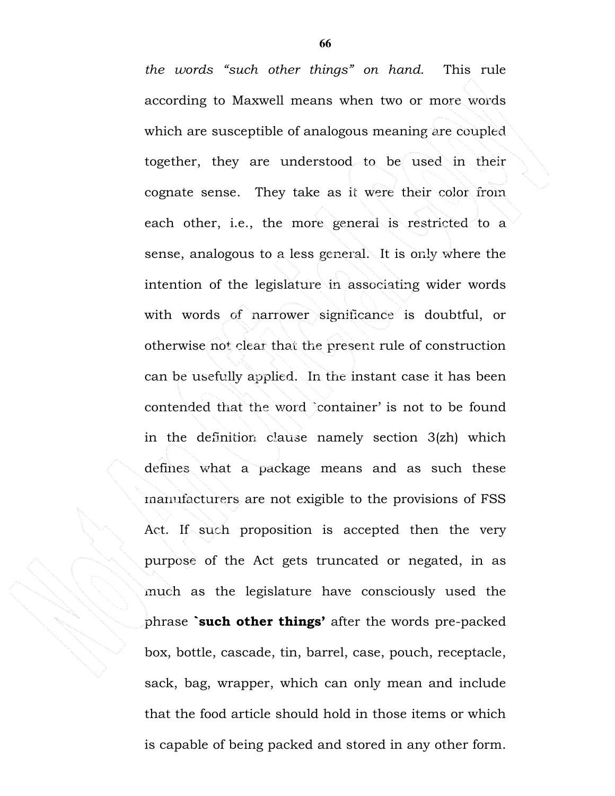the words "such other things" on hand. This rule according to Maxwell means when two or more words which are susceptible of analogous meaning are coupled together, they are understood to be used in their cognate sense. They take as it were their color from each other, i.e., the more general is restricted to a sense, analogous to a less general. It is only where the intention of the legislature in associating wider words with words of narrower significance is doubtful, or otherwise not clear that the present rule of construction can be usefully applied. In the instant case it has been contended that the word `container' is not to be found in the definition clause namely section 3(zh) which defines what a package means and as such these manufacturers are not exigible to the provisions of FSS Act. If such proposition is accepted then the very purpose of the Act gets truncated or negated, in as much as the legislature have consciously used the phrase **such other things'** after the words pre-packed box, bottle, cascade, tin, barrel, case, pouch, receptacle, sack, bag, wrapper, which can only mean and include that the food article should hold in those items or which is capable of being packed and stored in any other form.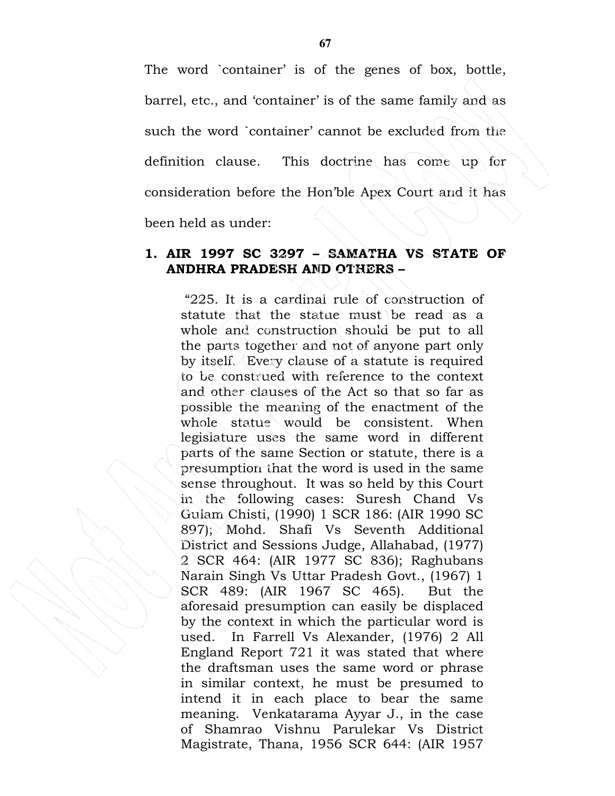The word `container' is of the genes of box, bottle, barrel, etc., and 'container' is of the same family and as such the word `container' cannot be excluded from the definition clause. This doctrine has come up for consideration before the Hon'ble Apex Court and it has been held as under:

#### 1. AIR 1997 SC 3297 – SAMATHA VS STATE OF ANDHRA PRADESH AND OTHERS –

 "225. It is a cardinal rule of construction of statute that the statue must be read as a whole and construction should be put to all the parts together and not of anyone part only by itself. Every clause of a statute is required to be construed with reference to the context and other clauses of the Act so that so far as possible the meaning of the enactment of the whole statue would be consistent. When legislature uses the same word in different parts of the same Section or statute, there is a presumption that the word is used in the same sense throughout. It was so held by this Court in the following cases: Suresh Chand Vs Gulam Chisti, (1990) 1 SCR 186: (AIR 1990 SC 897); Mohd. Shafi Vs Seventh Additional District and Sessions Judge, Allahabad, (1977) 2 SCR 464: (AIR 1977 SC 836); Raghubans Narain Singh Vs Uttar Pradesh Govt., (1967) 1 SCR 489: (AIR 1967 SC 465). But the aforesaid presumption can easily be displaced by the context in which the particular word is used. In Farrell Vs Alexander, (1976) 2 All England Report 721 it was stated that where the draftsman uses the same word or phrase in similar context, he must be presumed to intend it in each place to bear the same meaning. Venkatarama Ayyar J., in the case of Shamrao Vishnu Parulekar Vs District Magistrate, Thana, 1956 SCR 644: (AIR 1957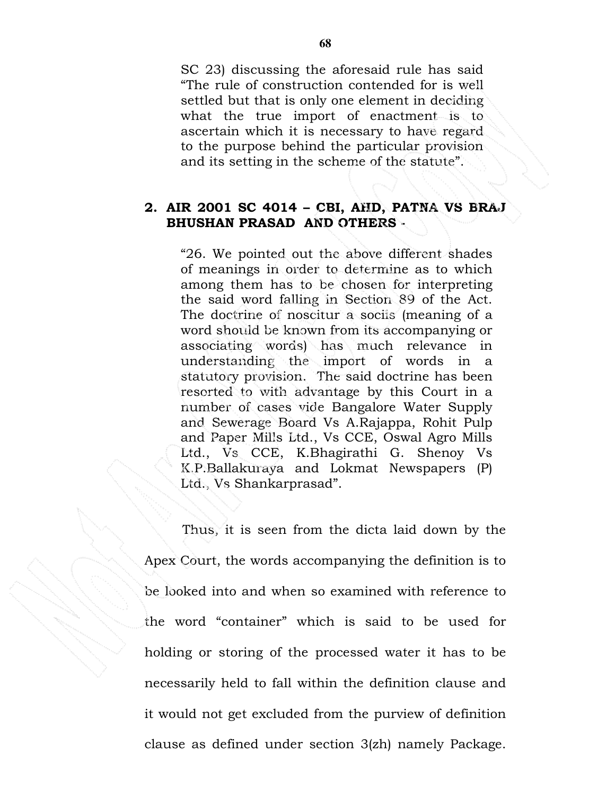SC 23) discussing the aforesaid rule has said "The rule of construction contended for is well settled but that is only one element in deciding what the true import of enactment is to ascertain which it is necessary to have regard to the purpose behind the particular provision and its setting in the scheme of the statute".

#### 2. AIR 2001 SC 4014 – CBI, AHD, PATNA VS BRAJ BHUSHAN PRASAD AND OTHERS -

"26. We pointed out the above different shades of meanings in order to determine as to which among them has to be chosen for interpreting the said word falling in Section 89 of the Act. The doctrine of noscitur a sociis (meaning of a word should be known from its accompanying or associating words) has much relevance in understanding the import of words in a statutory provision. The said doctrine has been resorted to with advantage by this Court in a number of cases vide Bangalore Water Supply and Sewerage Board Vs A.Rajappa, Rohit Pulp and Paper Mills Ltd., Vs CCE, Oswal Agro Mills Ltd., Vs CCE, K.Bhagirathi G. Shenoy Vs K.P.Ballakuraya and Lokmat Newspapers (P) Ltd., Vs Shankarprasad".

 Thus, it is seen from the dicta laid down by the Apex Court, the words accompanying the definition is to be looked into and when so examined with reference to the word "container" which is said to be used for holding or storing of the processed water it has to be necessarily held to fall within the definition clause and it would not get excluded from the purview of definition clause as defined under section 3(zh) namely Package.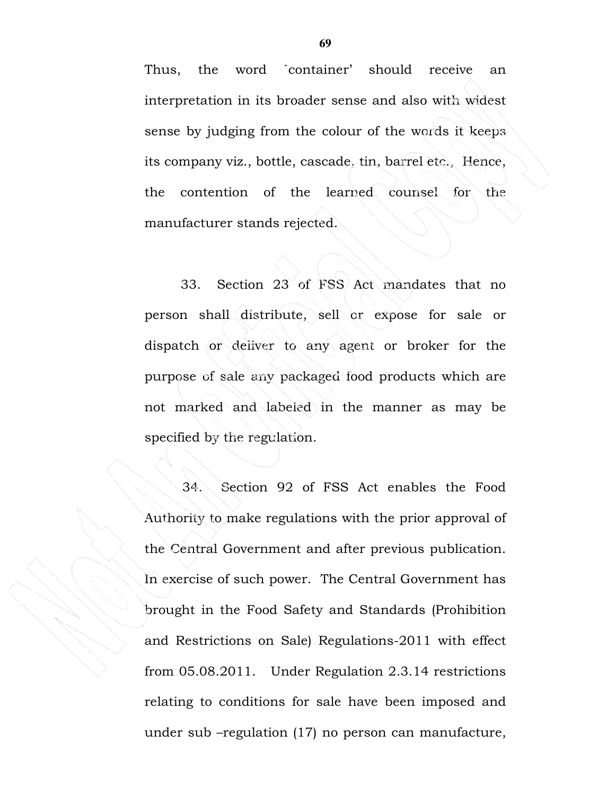Thus, the word `container' should receive an interpretation in its broader sense and also with widest sense by judging from the colour of the words it keeps its company viz., bottle, cascade, tin, barrel etc., Hence, the contention of the learned counsel for the manufacturer stands rejected.

33. Section 23 of FSS Act mandates that no person shall distribute, sell or expose for sale or dispatch or deliver to any agent or broker for the purpose of sale any packaged food products which are not marked and labeled in the manner as may be specified by the regulation.

 34. Section 92 of FSS Act enables the Food Authority to make regulations with the prior approval of the Central Government and after previous publication. In exercise of such power. The Central Government has brought in the Food Safety and Standards (Prohibition and Restrictions on Sale) Regulations-2011 with effect from 05.08.2011. Under Regulation 2.3.14 restrictions relating to conditions for sale have been imposed and under sub –regulation (17) no person can manufacture,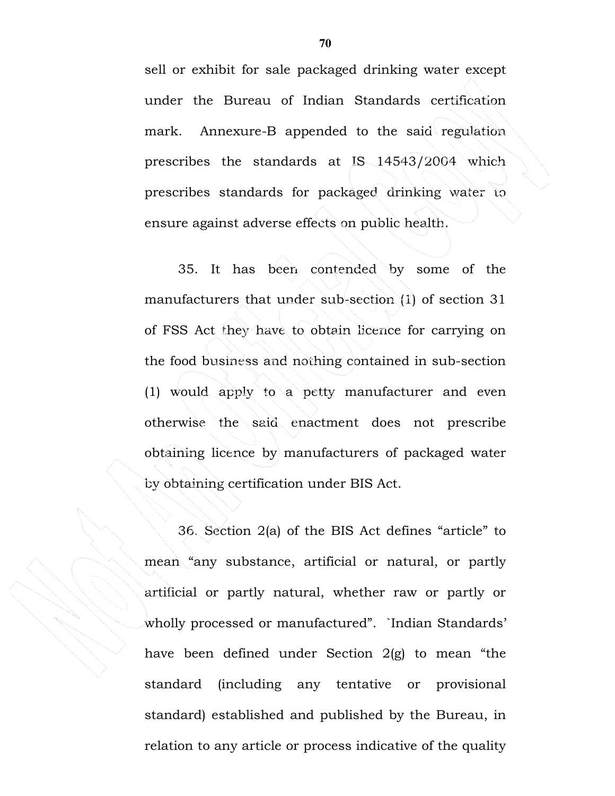sell or exhibit for sale packaged drinking water except under the Bureau of Indian Standards certification mark. Annexure-B appended to the said regulation prescribes the standards at IS 14543/2004 which prescribes standards for packaged drinking water to ensure against adverse effects on public health.

 35. It has been contended by some of the manufacturers that under sub-section (1) of section 31 of FSS Act they have to obtain licence for carrying on the food business and nothing contained in sub-section (1) would apply to a petty manufacturer and even otherwise the said enactment does not prescribe obtaining licence by manufacturers of packaged water by obtaining certification under BIS Act.

 36. Section 2(a) of the BIS Act defines "article" to mean "any substance, artificial or natural, or partly artificial or partly natural, whether raw or partly or wholly processed or manufactured". `Indian Standards' have been defined under Section 2(g) to mean "the standard (including any tentative or provisional standard) established and published by the Bureau, in relation to any article or process indicative of the quality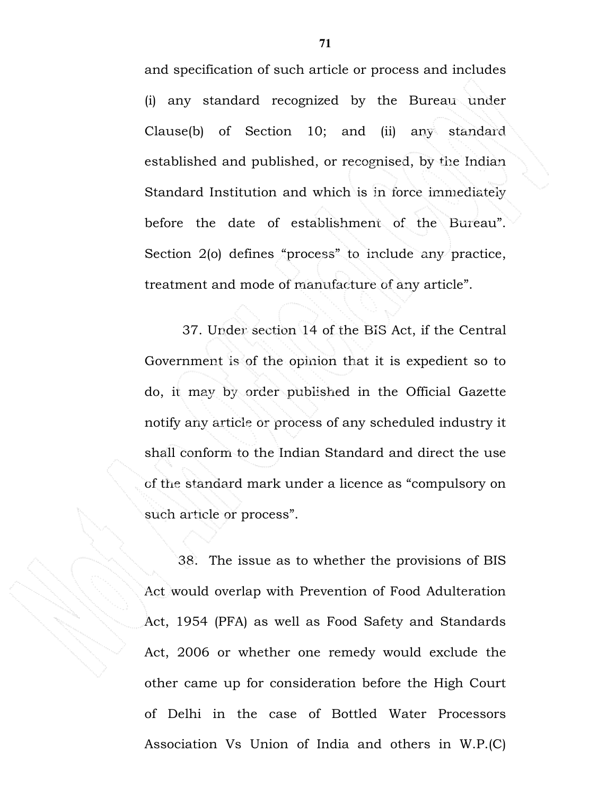and specification of such article or process and includes (i) any standard recognized by the Bureau under Clause(b) of Section 10; and (ii) any standard established and published, or recognised, by the Indian Standard Institution and which is in force immediately before the date of establishment of the Bureau". Section 2(o) defines "process" to include any practice, treatment and mode of manufacture of any article".

 37. Under section 14 of the BIS Act, if the Central Government is of the opinion that it is expedient so to do, it may by order published in the Official Gazette notify any article or process of any scheduled industry it shall conform to the Indian Standard and direct the use of the standard mark under a licence as "compulsory on such article or process".

 38. The issue as to whether the provisions of BIS Act would overlap with Prevention of Food Adulteration Act, 1954 (PFA) as well as Food Safety and Standards Act, 2006 or whether one remedy would exclude the other came up for consideration before the High Court of Delhi in the case of Bottled Water Processors Association Vs Union of India and others in W.P.(C)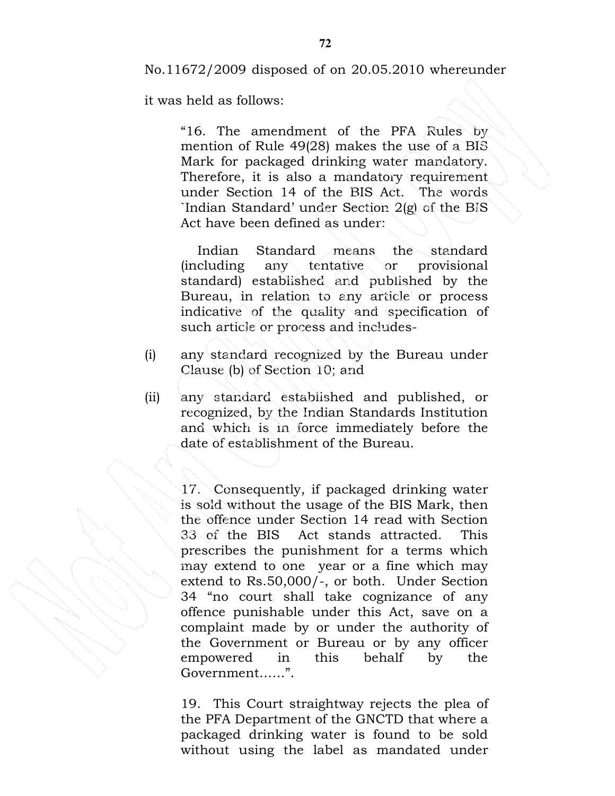No.11672/2009 disposed of on 20.05.2010 whereunder

it was held as follows:

"16. The amendment of the PFA Rules by mention of Rule 49(28) makes the use of a BIS Mark for packaged drinking water mandatory. Therefore, it is also a mandatory requirement under Section 14 of the BIS Act. The words `Indian Standard' under Section 2(g) of the BIS Act have been defined as under:

 Indian Standard means the standard (including any tentative or provisional standard) established and published by the Bureau, in relation to any article or process indicative of the quality and specification of such article or process and includes-

- (i) any standard recognized by the Bureau under Clause (b) of Section 10; and
- (ii) any standard established and published, or recognized, by the Indian Standards Institution and which is in force immediately before the date of establishment of the Bureau.

17. Consequently, if packaged drinking water is sold without the usage of the BIS Mark, then the offence under Section 14 read with Section 33 of the BIS Act stands attracted. This prescribes the punishment for a terms which may extend to one year or a fine which may extend to Rs.50,000/-, or both. Under Section 34 "no court shall take cognizance of any offence punishable under this Act, save on a complaint made by or under the authority of the Government or Bureau or by any officer empowered in this behalf by the Government……".

19. This Court straightway rejects the plea of the PFA Department of the GNCTD that where a packaged drinking water is found to be sold without using the label as mandated under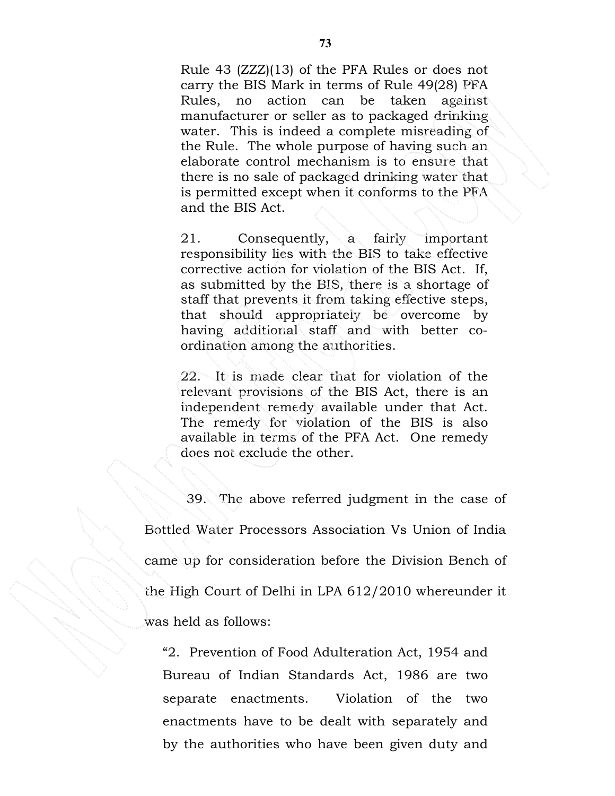Rule 43 (ZZZ)(13) of the PFA Rules or does not carry the BIS Mark in terms of Rule 49(28) PFA Rules, no action can be taken against manufacturer or seller as to packaged drinking water. This is indeed a complete misreading of the Rule. The whole purpose of having such an elaborate control mechanism is to ensure that there is no sale of packaged drinking water that is permitted except when it conforms to the PFA and the BIS Act.

21. Consequently, a fairly important responsibility lies with the BIS to take effective corrective action for violation of the BIS Act. If, as submitted by the BIS, there is a shortage of staff that prevents it from taking effective steps, that should appropriately be overcome by having additional staff and with better coordination among the authorities.

22. It is made clear that for violation of the relevant provisions of the BIS Act, there is an independent remedy available under that Act. The remedy for violation of the BIS is also available in terms of the PFA Act. One remedy does not exclude the other.

 39. The above referred judgment in the case of Bottled Water Processors Association Vs Union of India came up for consideration before the Division Bench of the High Court of Delhi in LPA 612/2010 whereunder it was held as follows:

"2. Prevention of Food Adulteration Act, 1954 and Bureau of Indian Standards Act, 1986 are two separate enactments. Violation of the two enactments have to be dealt with separately and by the authorities who have been given duty and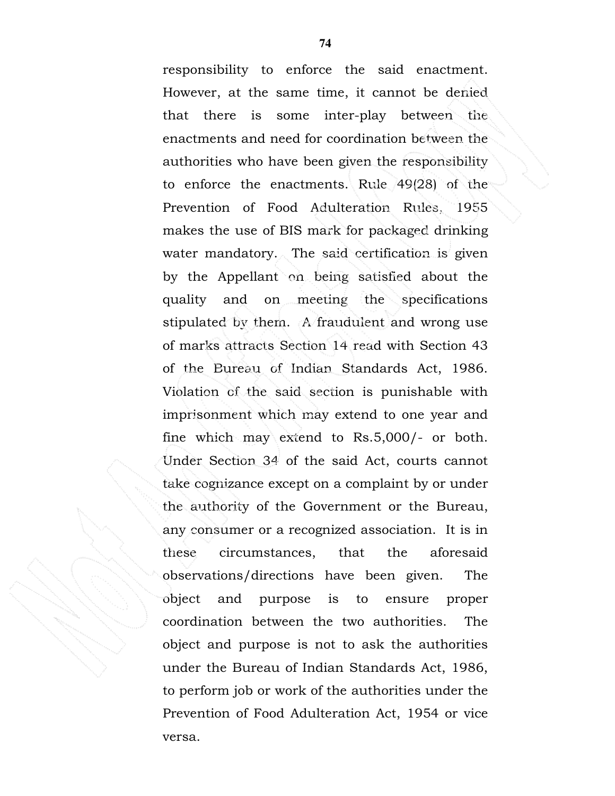responsibility to enforce the said enactment. However, at the same time, it cannot be denied that there is some inter-play between the enactments and need for coordination between the authorities who have been given the responsibility to enforce the enactments. Rule 49(28) of the Prevention of Food Adulteration Rules, 1955 makes the use of BIS mark for packaged drinking water mandatory. The said certification is given by the Appellant on being satisfied about the quality and on meeting the specifications stipulated by them. A fraudulent and wrong use of marks attracts Section 14 read with Section 43 of the Bureau of Indian Standards Act, 1986. Violation of the said section is punishable with imprisonment which may extend to one year and fine which may extend to Rs.5,000/- or both. Under Section 34 of the said Act, courts cannot take cognizance except on a complaint by or under the authority of the Government or the Bureau, any consumer or a recognized association. It is in these circumstances, that the aforesaid observations/directions have been given. The object and purpose is to ensure proper coordination between the two authorities. The object and purpose is not to ask the authorities under the Bureau of Indian Standards Act, 1986, to perform job or work of the authorities under the Prevention of Food Adulteration Act, 1954 or vice versa.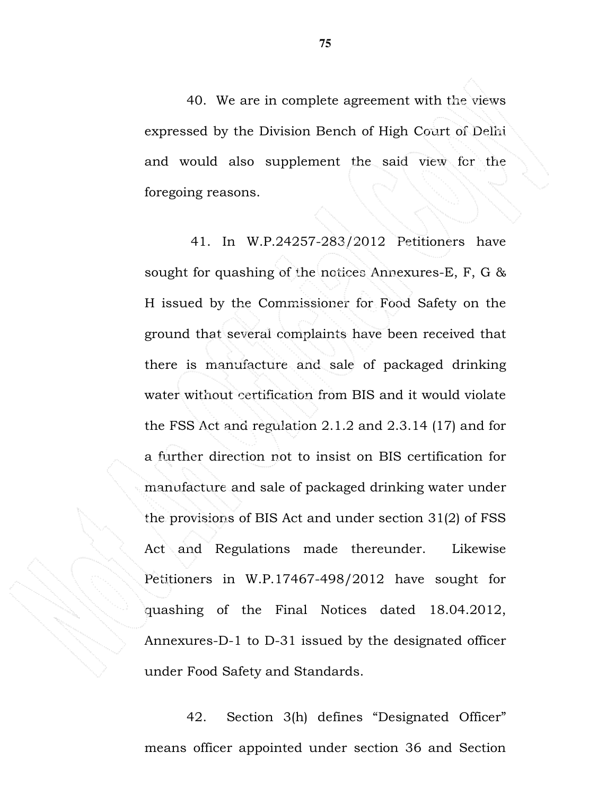40. We are in complete agreement with the views expressed by the Division Bench of High Court of Delhi and would also supplement the said view for the foregoing reasons.

 41. In W.P.24257-283/2012 Petitioners have sought for quashing of the notices Annexures-E, F, G & H issued by the Commissioner for Food Safety on the ground that several complaints have been received that there is manufacture and sale of packaged drinking water without certification from BIS and it would violate the FSS Act and regulation 2.1.2 and 2.3.14 (17) and for a further direction not to insist on BIS certification for manufacture and sale of packaged drinking water under the provisions of BIS Act and under section 31(2) of FSS Act and Regulations made thereunder. Likewise Petitioners in W.P.17467-498/2012 have sought for quashing of the Final Notices dated 18.04.2012, Annexures-D-1 to D-31 issued by the designated officer under Food Safety and Standards.

 42. Section 3(h) defines "Designated Officer" means officer appointed under section 36 and Section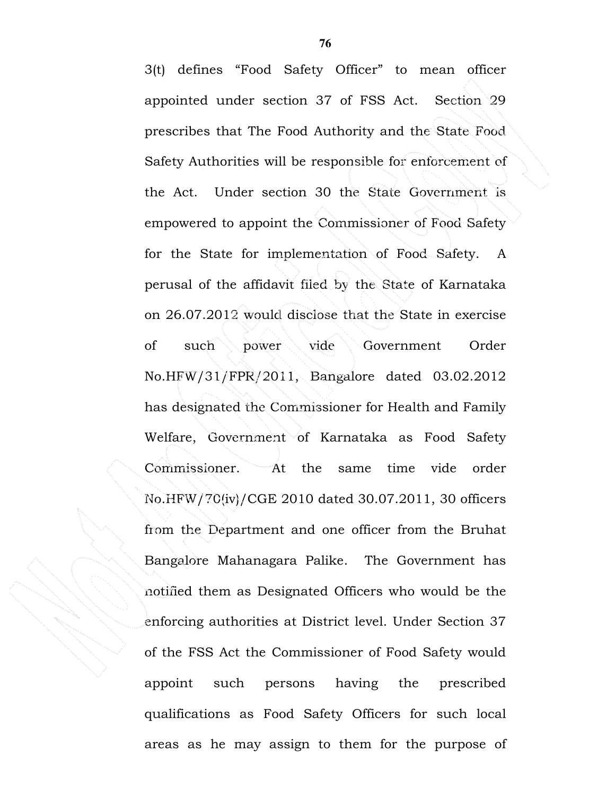3(t) defines "Food Safety Officer" to mean officer appointed under section 37 of FSS Act. Section 29 prescribes that The Food Authority and the State Food Safety Authorities will be responsible for enforcement of the Act. Under section 30 the State Government is empowered to appoint the Commissioner of Food Safety for the State for implementation of Food Safety. A perusal of the affidavit filed by the State of Karnataka on 26.07.2012 would disclose that the State in exercise of such power vide Government Order No.HFW/31/FPR/2011, Bangalore dated 03.02.2012 has designated the Commissioner for Health and Family Welfare, Government of Karnataka as Food Safety Commissioner. At the same time vide order No.HFW/70(iv)/CGE 2010 dated 30.07.2011, 30 officers from the Department and one officer from the Bruhat Bangalore Mahanagara Palike. The Government has notified them as Designated Officers who would be the enforcing authorities at District level. Under Section 37 of the FSS Act the Commissioner of Food Safety would appoint such persons having the prescribed qualifications as Food Safety Officers for such local areas as he may assign to them for the purpose of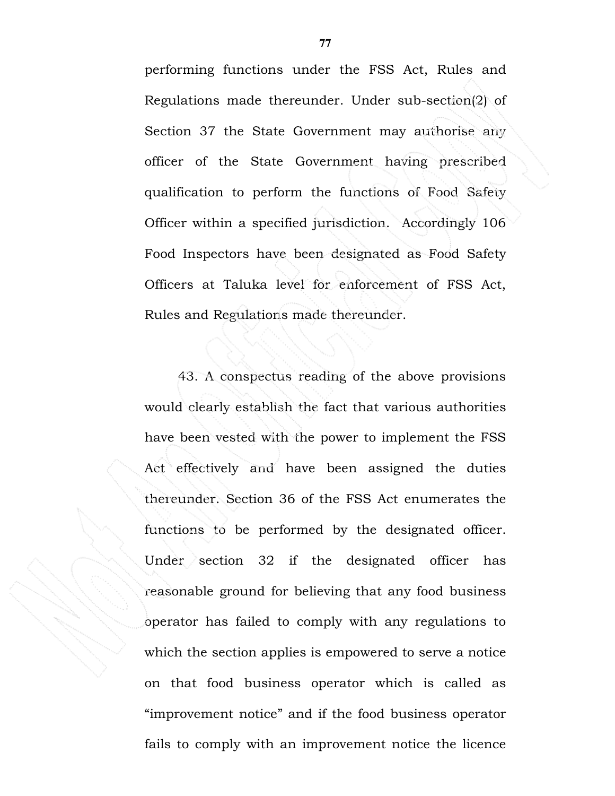performing functions under the FSS Act, Rules and Regulations made thereunder. Under sub-section(2) of Section 37 the State Government may authorise any officer of the State Government having prescribed qualification to perform the functions of Food Safety Officer within a specified jurisdiction. Accordingly 106 Food Inspectors have been designated as Food Safety Officers at Taluka level for enforcement of FSS Act, Rules and Regulations made thereunder.

 43. A conspectus reading of the above provisions would clearly establish the fact that various authorities have been vested with the power to implement the FSS Act effectively and have been assigned the duties thereunder. Section 36 of the FSS Act enumerates the functions to be performed by the designated officer. Under section 32 if the designated officer has reasonable ground for believing that any food business operator has failed to comply with any regulations to which the section applies is empowered to serve a notice on that food business operator which is called as "improvement notice" and if the food business operator fails to comply with an improvement notice the licence

 **77**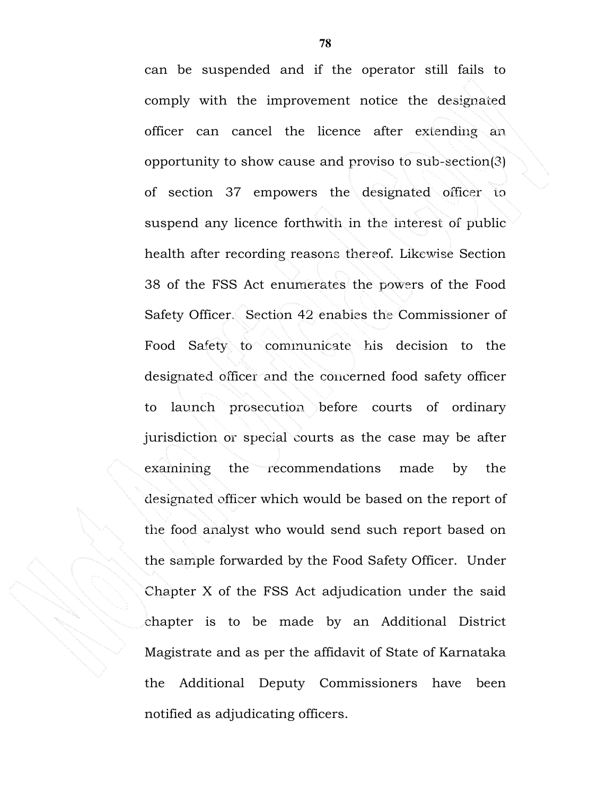can be suspended and if the operator still fails to comply with the improvement notice the designated officer can cancel the licence after extending an opportunity to show cause and proviso to sub-section(3) of section 37 empowers the designated officer to suspend any licence forthwith in the interest of public health after recording reasons thereof. Likewise Section 38 of the FSS Act enumerates the powers of the Food Safety Officer. Section 42 enables the Commissioner of Food Safety to communicate his decision to the designated officer and the concerned food safety officer to launch prosecution before courts of ordinary jurisdiction or special courts as the case may be after examining the recommendations made by the designated officer which would be based on the report of the food analyst who would send such report based on the sample forwarded by the Food Safety Officer. Under Chapter X of the FSS Act adjudication under the said chapter is to be made by an Additional District Magistrate and as per the affidavit of State of Karnataka the Additional Deputy Commissioners have been notified as adjudicating officers.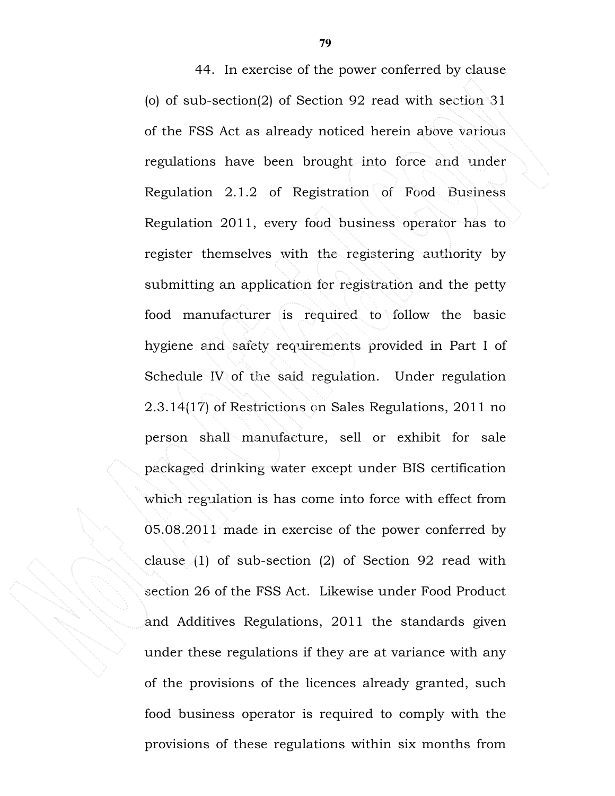44. In exercise of the power conferred by clause (o) of sub-section(2) of Section 92 read with section 31 of the FSS Act as already noticed herein above various regulations have been brought into force and under Regulation 2.1.2 of Registration of Food Business Regulation 2011, every food business operator has to register themselves with the registering authority by submitting an application for registration and the petty food manufacturer is required to follow the basic hygiene and safety requirements provided in Part I of Schedule IV of the said regulation. Under regulation 2.3.14(17) of Restrictions on Sales Regulations, 2011 no person shall manufacture, sell or exhibit for sale packaged drinking water except under BIS certification which regulation is has come into force with effect from 05.08.2011 made in exercise of the power conferred by clause (1) of sub-section (2) of Section 92 read with section 26 of the FSS Act. Likewise under Food Product and Additives Regulations, 2011 the standards given under these regulations if they are at variance with any of the provisions of the licences already granted, such food business operator is required to comply with the provisions of these regulations within six months from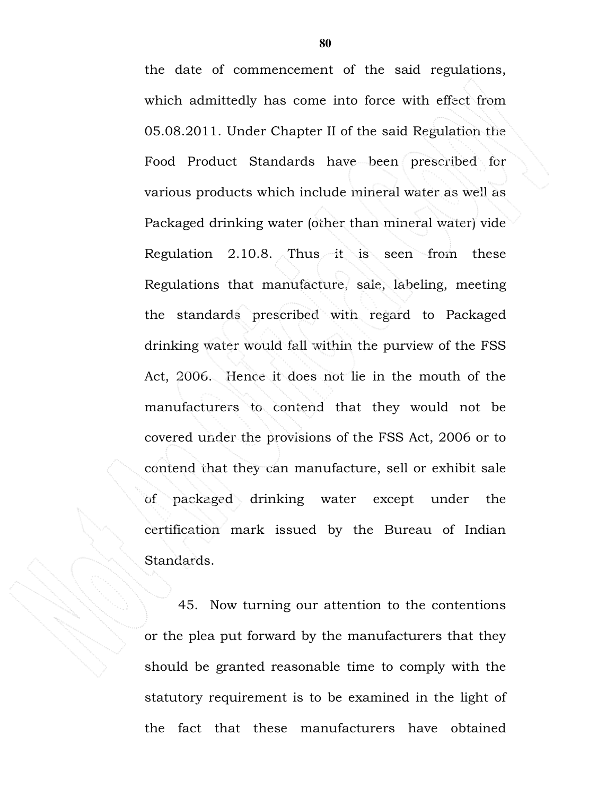the date of commencement of the said regulations, which admittedly has come into force with effect from 05.08.2011. Under Chapter II of the said Regulation the Food Product Standards have been prescribed for various products which include mineral water as well as Packaged drinking water (other than mineral water) vide Regulation 2.10.8. Thus it is seen from these Regulations that manufacture, sale, labeling, meeting the standards prescribed with regard to Packaged drinking water would fall within the purview of the FSS Act, 2006. Hence it does not lie in the mouth of the manufacturers to contend that they would not be covered under the provisions of the FSS Act, 2006 or to contend that they can manufacture, sell or exhibit sale of packaged drinking water except under the certification mark issued by the Bureau of Indian Standards.

 45. Now turning our attention to the contentions or the plea put forward by the manufacturers that they should be granted reasonable time to comply with the statutory requirement is to be examined in the light of the fact that these manufacturers have obtained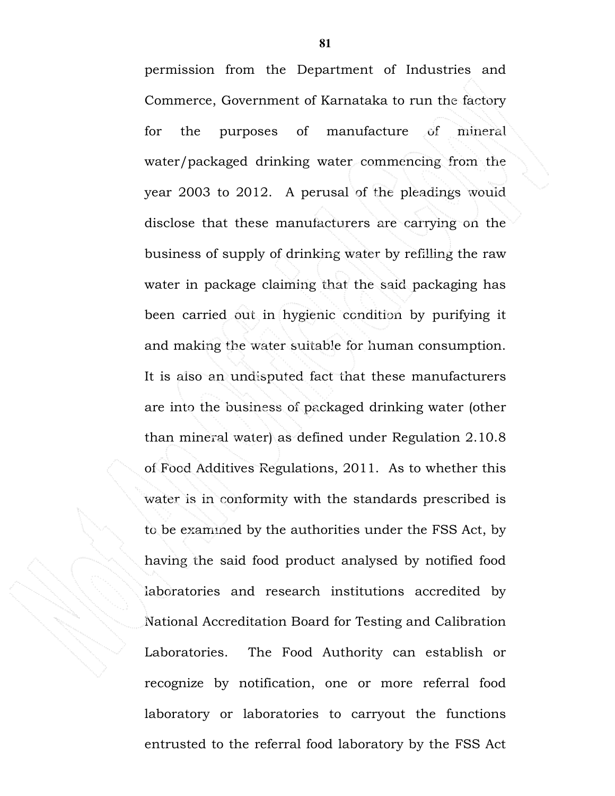permission from the Department of Industries and Commerce, Government of Karnataka to run the factory for the purposes of manufacture of mineral water/packaged drinking water commencing from the year 2003 to 2012. A perusal of the pleadings would disclose that these manufacturers are carrying on the business of supply of drinking water by refilling the raw water in package claiming that the said packaging has been carried out in hygienic condition by purifying it and making the water suitable for human consumption. It is also an undisputed fact that these manufacturers are into the business of packaged drinking water (other than mineral water) as defined under Regulation 2.10.8 of Food Additives Regulations, 2011. As to whether this water is in conformity with the standards prescribed is to be examined by the authorities under the FSS Act, by having the said food product analysed by notified food laboratories and research institutions accredited by National Accreditation Board for Testing and Calibration Laboratories. The Food Authority can establish or recognize by notification, one or more referral food laboratory or laboratories to carryout the functions entrusted to the referral food laboratory by the FSS Act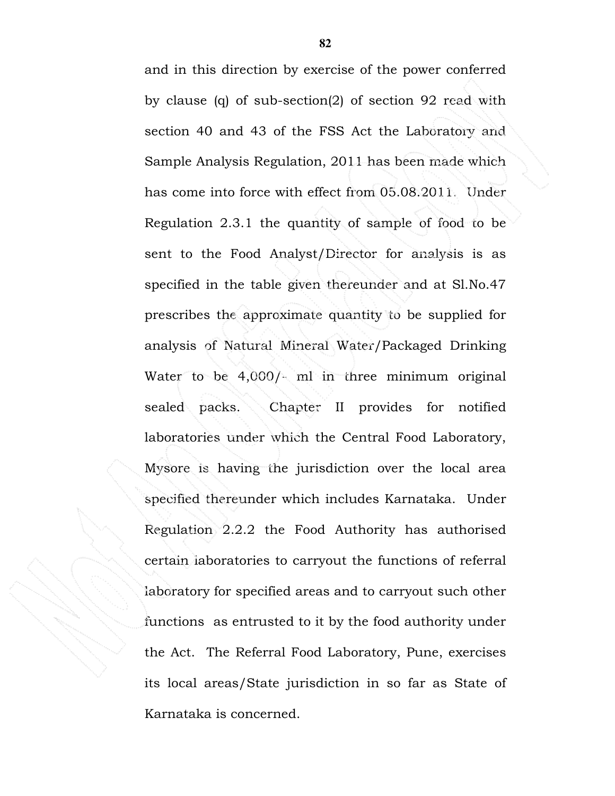and in this direction by exercise of the power conferred by clause (q) of sub-section(2) of section 92 read with section 40 and 43 of the FSS Act the Laboratory and Sample Analysis Regulation, 2011 has been made which has come into force with effect from 05.08.2011. Under Regulation 2.3.1 the quantity of sample of food to be sent to the Food Analyst/Director for analysis is as specified in the table given thereunder and at Sl.No.47 prescribes the approximate quantity to be supplied for analysis of Natural Mineral Water/Packaged Drinking Water to be 4,000/- ml in three minimum original sealed packs. Chapter II provides for notified laboratories under which the Central Food Laboratory, Mysore is having the jurisdiction over the local area specified thereunder which includes Karnataka. Under Regulation 2.2.2 the Food Authority has authorised certain laboratories to carryout the functions of referral laboratory for specified areas and to carryout such other functions as entrusted to it by the food authority under the Act. The Referral Food Laboratory, Pune, exercises its local areas/State jurisdiction in so far as State of Karnataka is concerned.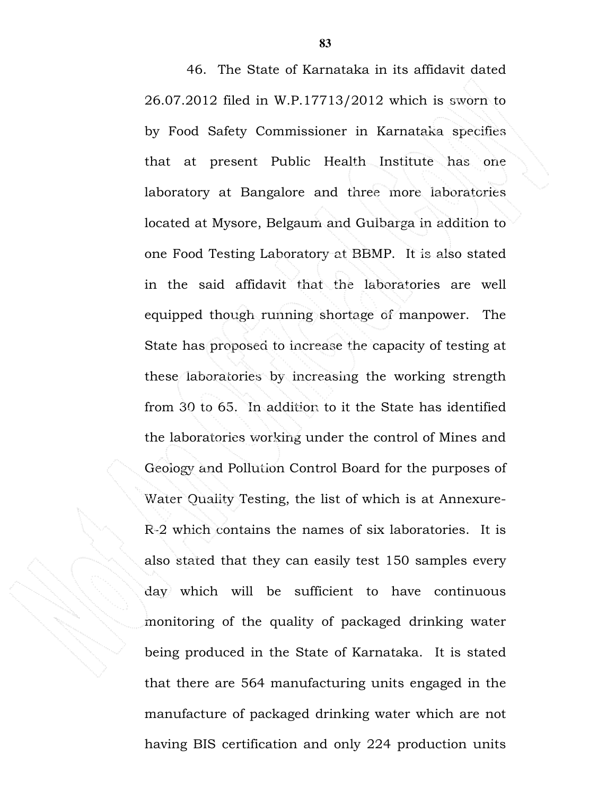46. The State of Karnataka in its affidavit dated 26.07.2012 filed in W.P.17713/2012 which is sworn to by Food Safety Commissioner in Karnataka specifies that at present Public Health Institute has one laboratory at Bangalore and three more laboratories located at Mysore, Belgaum and Gulbarga in addition to one Food Testing Laboratory at BBMP. It is also stated in the said affidavit that the laboratories are well equipped though running shortage of manpower. The State has proposed to increase the capacity of testing at these laboratories by increasing the working strength from 30 to 65. In addition to it the State has identified the laboratories working under the control of Mines and Geology and Pollution Control Board for the purposes of Water Quality Testing, the list of which is at Annexure-R-2 which contains the names of six laboratories. It is also stated that they can easily test 150 samples every day which will be sufficient to have continuous monitoring of the quality of packaged drinking water being produced in the State of Karnataka. It is stated that there are 564 manufacturing units engaged in the manufacture of packaged drinking water which are not having BIS certification and only 224 production units

 **83**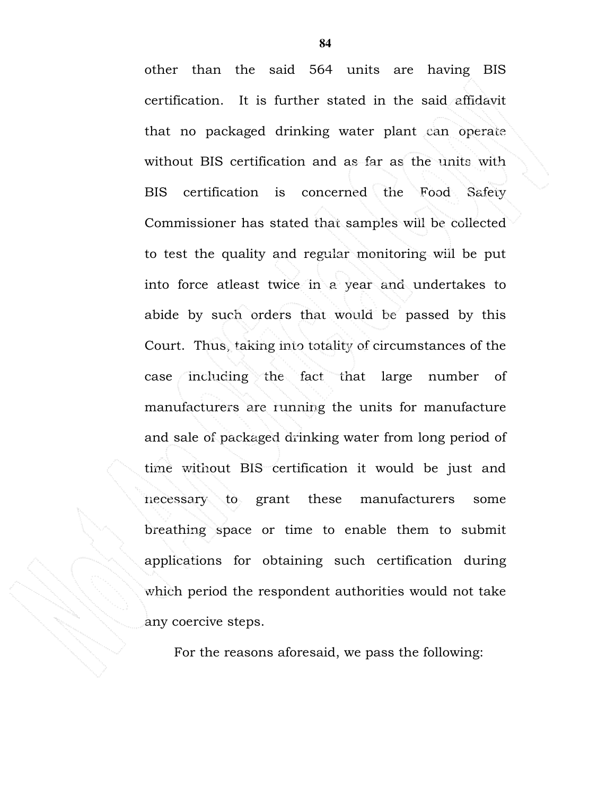other than the said 564 units are having BIS certification. It is further stated in the said affidavit that no packaged drinking water plant can operate without BIS certification and as far as the units with BIS certification is concerned the Food Safety Commissioner has stated that samples will be collected to test the quality and regular monitoring will be put into force atleast twice in a year and undertakes to abide by such orders that would be passed by this Court. Thus, taking into totality of circumstances of the case including the fact that large number of manufacturers are running the units for manufacture and sale of packaged drinking water from long period of time without BIS certification it would be just and necessary to grant these manufacturers some breathing space or time to enable them to submit applications for obtaining such certification during which period the respondent authorities would not take any coercive steps.

For the reasons aforesaid, we pass the following: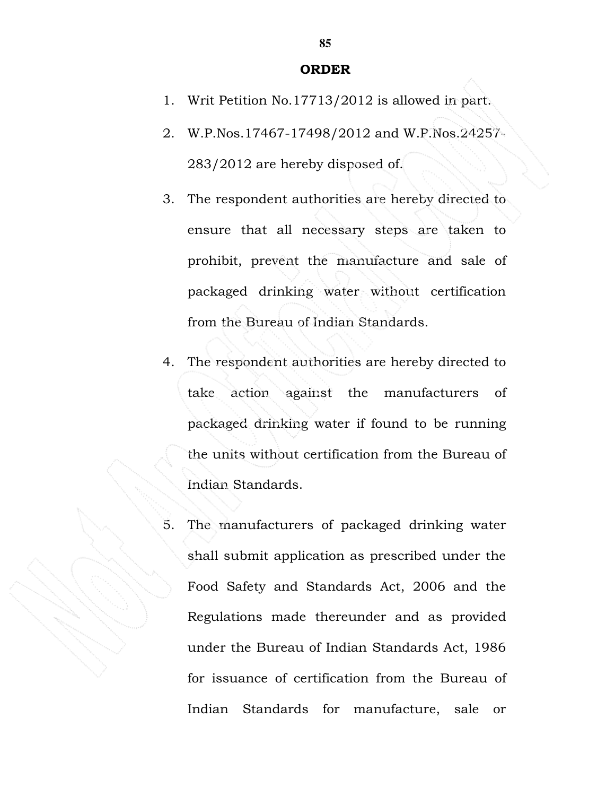## ORDER

- 1. Writ Petition No.17713/2012 is allowed in part.
- 2. W.P.Nos.17467-17498/2012 and W.P.Nos.24257- 283/2012 are hereby disposed of.
- 3. The respondent authorities are hereby directed to ensure that all necessary steps are taken to prohibit, prevent the manufacture and sale of packaged drinking water without certification from the Bureau of Indian Standards.
- 4. The respondent authorities are hereby directed to take action against the manufacturers of packaged drinking water if found to be running the units without certification from the Bureau of Indian Standards.
- 5. The manufacturers of packaged drinking water shall submit application as prescribed under the Food Safety and Standards Act, 2006 and the Regulations made thereunder and as provided under the Bureau of Indian Standards Act, 1986 for issuance of certification from the Bureau of Indian Standards for manufacture, sale or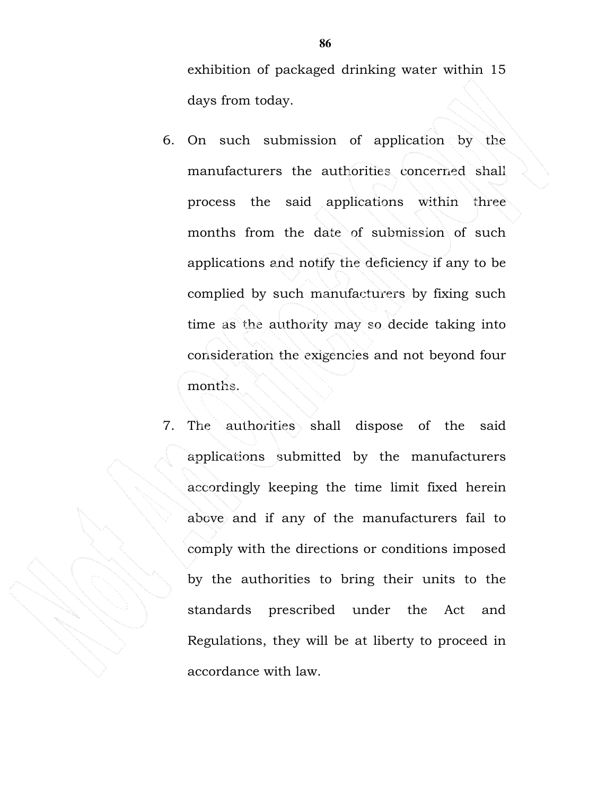exhibition of packaged drinking water within 15 days from today.

- 6. On such submission of application by the manufacturers the authorities concerned shall process the said applications within three months from the date of submission of such applications and notify the deficiency if any to be complied by such manufacturers by fixing such time as the authority may so decide taking into consideration the exigencies and not beyond four months.
- 7. The authorities shall dispose of the said applications submitted by the manufacturers accordingly keeping the time limit fixed herein above and if any of the manufacturers fail to comply with the directions or conditions imposed by the authorities to bring their units to the standards prescribed under the Act and Regulations, they will be at liberty to proceed in accordance with law.